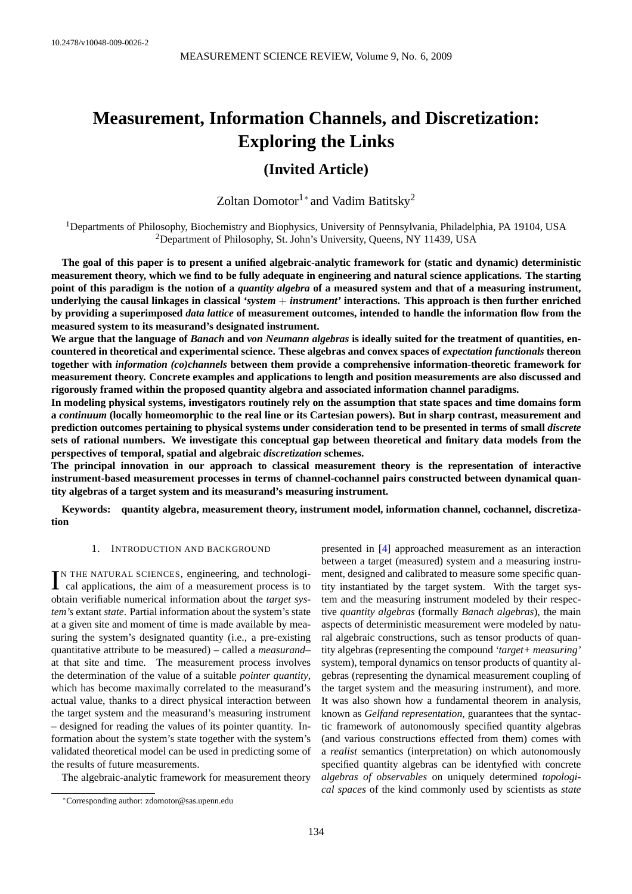# **Measurement, Information Channels, and Discretization: Exploring the Links**

# **(Invited Article)**

Zoltan Domotor1<sup>∗</sup> and Vadim Batitsky<sup>2</sup>

<sup>1</sup>Departments of Philosophy, Biochemistry and Biophysics, University of Pennsylvania, Philadelphia, PA 19104, USA <sup>2</sup>Department of Philosophy, St. John's University, Queens, NY 11439, USA

**The goal of this paper is to present a unified algebraic-analytic framework for (static and dynamic) deterministic measurement theory, which we find to be fully adequate in engineering and natural science applications. The starting point of this paradigm is the notion of a** *quantity algebra* **of a measured system and that of a measuring instrument, underlying the causal linkages in classical** *'system* + *instrument'* **interactions. This approach is then further enriched by providing a superimposed** *data lattice* **of measurement outcomes, intended to handle the information flow from the measured system to its measurand's designated instrument.**

**We argue that the language of** *Banach* **and** *von Neumann algebras* **is ideally suited for the treatment of quantities, encountered in theoretical and experimental science. These algebras and convex spaces of** *expectation functionals* **thereon together with** *information (co)channels* **between them provide a comprehensive information-theoretic framework for measurement theory. Concrete examples and applications to length and position measurements are also discussed and rigorously framed within the proposed quantity algebra and associated information channel paradigms.**

**In modeling physical systems, investigators routinely rely on the assumption that state spaces and time domains form a** *continuum* **(locally homeomorphic to the real line or its Cartesian powers). But in sharp contrast, measurement and prediction outcomes pertaining to physical systems under consideration tend to be presented in terms of small** *discrete* **sets of rational numbers. We investigate this conceptual gap between theoretical and finitary data models from the perspectives of temporal, spatial and algebraic** *discretization* **schemes.**

**The principal innovation in our approach to classical measurement theory is the representation of interactive instrument-based measurement processes in terms of channel-cochannel pairs constructed between dynamical quantity algebras of a target system and its measurand's measuring instrument.**

**Keywords: quantity algebra, measurement theory, instrument model, information channel, cochannel, discretization**

#### 1. INTRODUCTION AND BACKGROUND

IN THE NATURAL SCIENCES, engineering, and technological applications, the aim of a measurement process is to N THE NATURAL SCIENCES, engineering, and technologiobtain verifiable numerical information about the *target system's* extant *state*. Partial information about the system's state at a given site and moment of time is made available by measuring the system's designated quantity (i.e., a pre-existing quantitative attribute to be measured) – called a *measurand*– at that site and time. The measurement process involves the determination of the value of a suitable *pointer quantity*, which has become maximally correlated to the measurand's actual value, thanks to a direct physical interaction between the target system and the measurand's measuring instrument – designed for reading the values of its pointer quantity. Information about the system's state together with the system's validated theoretical model can be used in predicting some of the results of future measurements.

The algebraic-analytic framework for measurement theory

presented in [\[4\]](#page-27-0) approached measurement as an interaction between a target (measured) system and a measuring instrument, designed and calibrated to measure some specific quantity instantiated by the target system. With the target system and the measuring instrument modeled by their respective *quantity algebras* (formally *Banach algebras*), the main aspects of deterministic measurement were modeled by natural algebraic constructions, such as tensor products of quantity algebras (representing the compound *'target+ measuring'* system), temporal dynamics on tensor products of quantity algebras (representing the dynamical measurement coupling of the target system and the measuring instrument), and more. It was also shown how a fundamental theorem in analysis, known as *Gelfand representation*, guarantees that the syntactic framework of autonomously specified quantity algebras (and various constructions effected from them) comes with a *realist* semantics (interpretation) on which autonomously specified quantity algebras can be identyfied with concrete *algebras of observables* on uniquely determined *topological spaces* of the kind commonly used by scientists as *state*

<sup>∗</sup>Corresponding author: [zdomotor@sas.upenn.edu](mailto:zdomotor@sas.upenn.edu)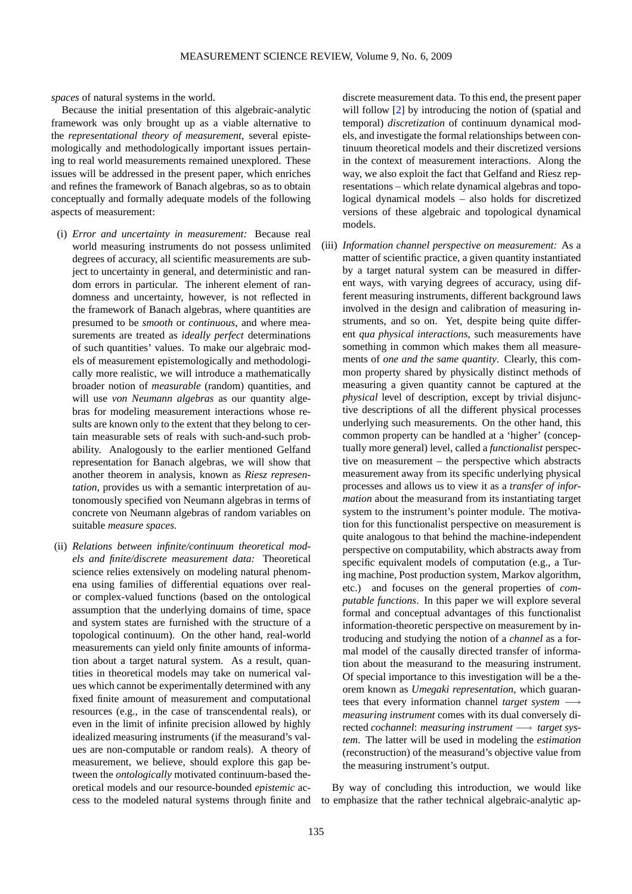*spaces* of natural systems in the world.

Because the initial presentation of this algebraic-analytic framework was only brought up as a viable alternative to the *representational theory of measurement*, several epistemologically and methodologically important issues pertaining to real world measurements remained unexplored. These issues will be addressed in the present paper, which enriches and refines the framework of Banach algebras, so as to obtain conceptually and formally adequate models of the following aspects of measurement:

- (i) *Error and uncertainty in measurement:* Because real world measuring instruments do not possess unlimited degrees of accuracy, all scientific measurements are subject to uncertainty in general, and deterministic and random errors in particular. The inherent element of randomness and uncertainty, however, is not reflected in the framework of Banach algebras, where quantities are presumed to be *smooth* or *continuous*, and where measurements are treated as *ideally perfect* determinations of such quantities' values. To make our algebraic models of measurement epistemologically and methodologically more realistic, we will introduce a mathematically broader notion of *measurable* (random) quantities, and will use *von Neumann algebras* as our quantity algebras for modeling measurement interactions whose results are known only to the extent that they belong to certain measurable sets of reals with such-and-such probability. Analogously to the earlier mentioned Gelfand representation for Banach algebras, we will show that another theorem in analysis, known as *Riesz representation*, provides us with a semantic interpretation of autonomously specified von Neumann algebras in terms of concrete von Neumann algebras of random variables on suitable *measure spaces*.
- (ii) *Relations between infinite/continuum theoretical models and finite/discrete measurement data:* Theoretical science relies extensively on modeling natural phenomena using families of differential equations over realor complex-valued functions (based on the ontological assumption that the underlying domains of time, space and system states are furnished with the structure of a topological continuum). On the other hand, real-world measurements can yield only finite amounts of information about a target natural system. As a result, quantities in theoretical models may take on numerical values which cannot be experimentally determined with any fixed finite amount of measurement and computational resources (e.g., in the case of transcendental reals), or even in the limit of infinite precision allowed by highly idealized measuring instruments (if the measurand's values are non-computable or random reals). A theory of measurement, we believe, should explore this gap between the *ontologically* motivated continuum-based theoretical models and our resource-bounded *epistemic* access to the modeled natural systems through finite and

discrete measurement data. To this end, the present paper will follow [\[2\]](#page-27-1) by introducing the notion of (spatial and temporal) *discretization* of continuum dynamical models, and investigate the formal relationships between continuum theoretical models and their discretized versions in the context of measurement interactions. Along the way, we also exploit the fact that Gelfand and Riesz representations – which relate dynamical algebras and topological dynamical models – also holds for discretized versions of these algebraic and topological dynamical models.

(iii) *Information channel perspective on measurement:* As a matter of scientific practice, a given quantity instantiated by a target natural system can be measured in different ways, with varying degrees of accuracy, using different measuring instruments, different background laws involved in the design and calibration of measuring instruments, and so on. Yet, despite being quite different *qua physical interactions*, such measurements have something in common which makes them all measurements of *one and the same quantity*. Clearly, this common property shared by physically distinct methods of measuring a given quantity cannot be captured at the *physical* level of description, except by trivial disjunctive descriptions of all the different physical processes underlying such measurements. On the other hand, this common property can be handled at a 'higher' (conceptually more general) level, called a *functionalist* perspective on measurement – the perspective which abstracts measurement away from its specific underlying physical processes and allows us to view it as a *transfer of information* about the measurand from its instantiating target system to the instrument's pointer module. The motivation for this functionalist perspective on measurement is quite analogous to that behind the machine-independent perspective on computability, which abstracts away from specific equivalent models of computation (e.g., a Turing machine, Post production system, Markov algorithm, etc.) and focuses on the general properties of *computable functions*. In this paper we will explore several formal and conceptual advantages of this functionalist information-theoretic perspective on measurement by introducing and studying the notion of a *channel* as a formal model of the causally directed transfer of information about the measurand to the measuring instrument. Of special importance to this investigation will be a theorem known as *Umegaki representation*, which guarantees that every information channel *target system* −→ *measuring instrument* comes with its dual conversely directed *cochannel*: *measuring instrument* −→ *target system*. The latter will be used in modeling the *estimation* (reconstruction) of the measurand's objective value from the measuring instrument's output.

By way of concluding this introduction, we would like to emphasize that the rather technical algebraic-analytic ap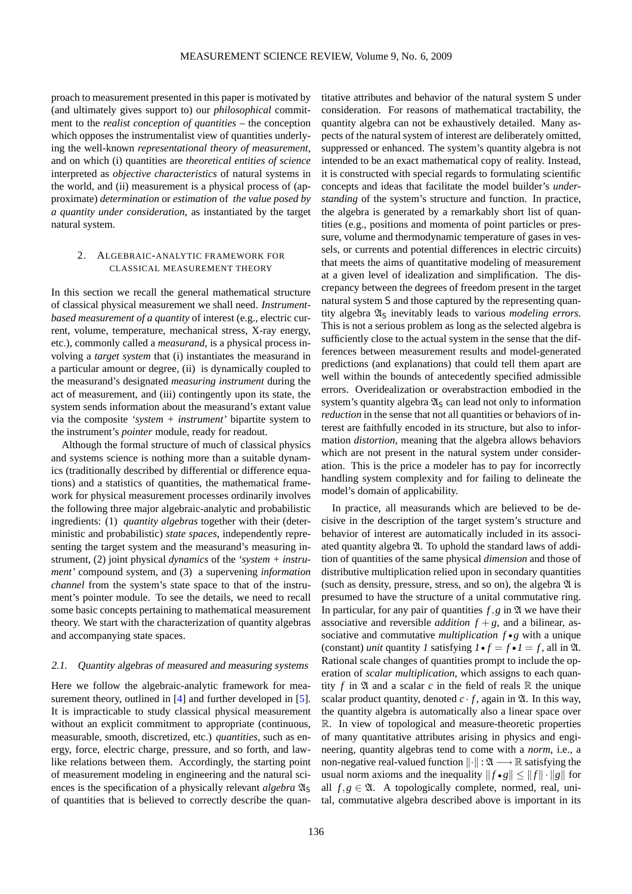proach to measurement presented in this paper is motivated by (and ultimately gives support to) our *philosophical* commitment to the *realist conception of quantities* – the conception which opposes the instrumentalist view of quantities underlying the well-known *representational theory of measurement*, and on which (i) quantities are *theoretical entities of science* interpreted as *objective characteristics* of natural systems in the world, and (ii) measurement is a physical process of (approximate) *determination* or *estimation* of *the value posed by a quantity under consideration*, as instantiated by the target natural system.

#### 2. ALGEBRAIC-ANALYTIC FRAMEWORK FOR CLASSICAL MEASUREMENT THEORY

In this section we recall the general mathematical structure of classical physical measurement we shall need. *Instrumentbased measurement of a quantity* of interest (e.g., electric current, volume, temperature, mechanical stress, X-ray energy, etc.), commonly called a *measurand*, is a physical process involving a *target system* that (i) instantiates the measurand in a particular amount or degree, (ii) is dynamically coupled to the measurand's designated *measuring instrument* during the act of measurement, and (iii) contingently upon its state, the system sends information about the measurand's extant value via the composite *'system + instrument'* bipartite system to the instrument's *pointer* module, ready for readout.

Although the formal structure of much of classical physics and systems science is nothing more than a suitable dynamics (traditionally described by differential or difference equations) and a statistics of quantities, the mathematical framework for physical measurement processes ordinarily involves the following three major algebraic-analytic and probabilistic ingredients: (1) *quantity algebras* together with their (deterministic and probabilistic) *state spaces*, independently representing the target system and the measurand's measuring instrument, (2) joint physical *dynamics* of the *'system + instrument'* compound system, and (3) a supervening *information channel* from the system's state space to that of the instrument's pointer module. To see the details, we need to recall some basic concepts pertaining to mathematical measurement theory. We start with the characterization of quantity algebras and accompanying state spaces.

#### 2.1. Quantity algebras of measured and measuring systems

Here we follow the algebraic-analytic framework for mea-surement theory, outlined in [\[4\]](#page-27-0) and further developed in [\[5\]](#page-27-2). It is impracticable to study classical physical measurement without an explicit commitment to appropriate (continuous, measurable, smooth, discretized, etc.) *quantities*, such as energy, force, electric charge, pressure, and so forth, and lawlike relations between them. Accordingly, the starting point of measurement modeling in engineering and the natural sciences is the specification of a physically relevant *algebra*  $\mathfrak{A}_\mathsf{S}$ of quantities that is believed to correctly describe the quan-

titative attributes and behavior of the natural system S under consideration. For reasons of mathematical tractability, the quantity algebra can not be exhaustively detailed. Many aspects of the natural system of interest are deliberately omitted, suppressed or enhanced. The system's quantity algebra is not intended to be an exact mathematical copy of reality. Instead, it is constructed with special regards to formulating scientific concepts and ideas that facilitate the model builder's *understanding* of the system's structure and function. In practice, the algebra is generated by a remarkably short list of quantities (e.g., positions and momenta of point particles or pressure, volume and thermodynamic temperature of gases in vessels, or currents and potential differences in electric circuits) that meets the aims of quantitative modeling of measurement at a given level of idealization and simplification. The discrepancy between the degrees of freedom present in the target natural system S and those captured by the representing quantity algebra  $\mathfrak{A}_S$  inevitably leads to various *modeling errors*. This is not a serious problem as long as the selected algebra is sufficiently close to the actual system in the sense that the differences between measurement results and model-generated predictions (and explanations) that could tell them apart are well within the bounds of antecedently specified admissible errors. Overidealization or overabstraction embodied in the system's quantity algebra  $\mathfrak{A}_S$  can lead not only to information *reduction* in the sense that not all quantities or behaviors of interest are faithfully encoded in its structure, but also to information *distortion*, meaning that the algebra allows behaviors which are not present in the natural system under consideration. This is the price a modeler has to pay for incorrectly handling system complexity and for failing to delineate the model's domain of applicability.

In practice, all measurands which are believed to be decisive in the description of the target system's structure and behavior of interest are automatically included in its associated quantity algebra  $\mathfrak A$ . To uphold the standard laws of addition of quantities of the same physical *dimension* and those of distributive multiplication relied upon in secondary quantities (such as density, pressure, stress, and so on), the algebra  $\mathfrak A$  is presumed to have the structure of a unital commutative ring. In particular, for any pair of quantities  $f, g$  in  $\mathfrak A$  we have their associative and reversible *addition*  $f + g$ , and a bilinear, associative and commutative *multiplication f* • *g* with a unique (constant) *unit* quantity *1* satisfying  $I \cdot f = f \cdot I = f$ , all in  $\mathfrak{A}$ . Rational scale changes of quantities prompt to include the operation of *scalar multiplication*, which assigns to each quantity  $f$  in  $\mathfrak A$  and a scalar  $c$  in the field of reals  $\mathbb R$  the unique scalar product quantity, denoted  $c \cdot f$ , again in  $\mathfrak{A}$ . In this way, the quantity algebra is automatically also a linear space over R. In view of topological and measure-theoretic properties of many quantitative attributes arising in physics and engineering, quantity algebras tend to come with a *norm*, i.e., a non-negative real-valued function  $\|\cdot\| : \mathfrak{A} \longrightarrow \mathbb{R}$  satisfying the usual norm axioms and the inequality  $||f \cdot g|| \le ||f|| \cdot ||g||$  for all  $f, g \in \mathfrak{A}$ . A topologically complete, normed, real, unital, commutative algebra described above is important in its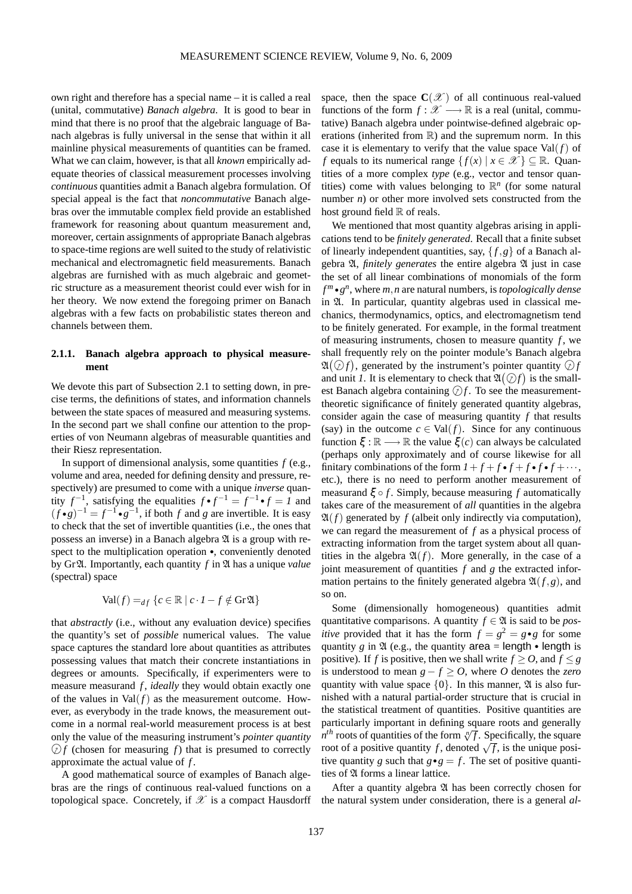own right and therefore has a special name – it is called a real (unital, commutative) *Banach algebra*. It is good to bear in mind that there is no proof that the algebraic language of Banach algebras is fully universal in the sense that within it all mainline physical measurements of quantities can be framed. What we can claim, however, is that all *known* empirically adequate theories of classical measurement processes involving *continuous* quantities admit a Banach algebra formulation. Of special appeal is the fact that *noncommutative* Banach algebras over the immutable complex field provide an established framework for reasoning about quantum measurement and, moreover, certain assignments of appropriate Banach algebras to space-time regions are well suited to the study of relativistic mechanical and electromagnetic field measurements. Banach algebras are furnished with as much algebraic and geometric structure as a measurement theorist could ever wish for in her theory. We now extend the foregoing primer on Banach algebras with a few facts on probabilistic states thereon and channels between them.

# **2.1.1. Banach algebra approach to physical measurement**

We devote this part of Subsection 2.1 to setting down, in precise terms, the definitions of states, and information channels between the state spaces of measured and measuring systems. In the second part we shall confine our attention to the properties of von Neumann algebras of measurable quantities and their Riesz representation.

In support of dimensional analysis, some quantities *f* (e.g., volume and area, needed for defining density and pressure, respectively) are presumed to come with a unique *inverse* quantity  $f^{-1}$ , satisfying the equalities  $f \cdot f^{-1} = f^{-1} \cdot f = I$  and  $(f \cdot g)^{-1} = f^{-1} \cdot g^{-1}$ , if both *f* and *g* are invertible. It is easy to check that the set of invertible quantities (i.e., the ones that possess an inverse) in a Banach algebra  $\mathfrak A$  is a group with respect to the multiplication operation •, conveniently denoted by GrA. Importantly, each quantity *f* in A has a unique *value* (spectral) space

$$
\text{Val}(f) =_{df} \{c \in \mathbb{R} \mid c \cdot I - f \notin \text{Gr}\mathfrak{A}\}\
$$

that *abstractly* (i.e., without any evaluation device) specifies the quantity's set of *possible* numerical values. The value space captures the standard lore about quantities as attributes possessing values that match their concrete instantiations in degrees or amounts. Specifically, if experimenters were to measure measurand *f*, *ideally* they would obtain exactly one of the values in  $Val(f)$  as the measurement outcome. However, as everybody in the trade knows, the measurement outcome in a normal real-world measurement process is at best only the value of the measuring instrument's *pointer quantity*  $\mathcal{D}f$  (chosen for measuring *f*) that is presumed to correctly approximate the actual value of *f* .

A good mathematical source of examples of Banach algebras are the rings of continuous real-valued functions on a topological space. Concretely, if  $\mathscr X$  is a compact Hausdorff

space, then the space  $C(\mathcal{X})$  of all continuous real-valued functions of the form  $f : \mathcal{X} \longrightarrow \mathbb{R}$  is a real (unital, commutative) Banach algebra under pointwise-defined algebraic operations (inherited from  $\mathbb R$ ) and the supremum norm. In this case it is elementary to verify that the value space  $Val(f)$  of *f* equals to its numerical range  $\{f(x) | x \in \mathcal{X}\}\subseteq \mathbb{R}$ . Quantities of a more complex *type* (e.g., vector and tensor quantities) come with values belonging to  $\mathbb{R}^n$  (for some natural number *n*) or other more involved sets constructed from the host ground field  $\mathbb R$  of reals.

We mentioned that most quantity algebras arising in applications tend to be *finitely generated*. Recall that a finite subset of linearly independent quantities, say, { *f*,*g*} of a Banach algebra A, *finitely generates* the entire algebra A just in case the set of all linear combinations of monomials of the form *f <sup>m</sup>* • *g n* , where *m*,*n* are natural numbers, is *topologically dense* in A. In particular, quantity algebras used in classical mechanics, thermodynamics, optics, and electromagnetism tend to be finitely generated. For example, in the formal treatment of measuring instruments, chosen to measure quantity *f* , we shall frequently rely on the pointer module's Banach algebra  $\mathfrak{A}(\mathcal{D}f)$ , generated by the instrument's pointer quantity  $\mathcal{D}f$ and unit *I*. It is elementary to check that  $\mathfrak{A}(\mathcal{Q}f)$  is the smallest Banach algebra containing  $\mathcal{D}f$ . To see the measurementtheoretic significance of finitely generated quantity algebras, consider again the case of measuring quantity *f* that results (say) in the outcome  $c \in Val(f)$ . Since for any continuous function  $\xi : \mathbb{R} \longrightarrow \mathbb{R}$  the value  $\xi(c)$  can always be calculated (perhaps only approximately and of course likewise for all finitary combinations of the form  $1 + f + f \cdot f + f \cdot f \cdot f + \cdots$ , etc.), there is no need to perform another measurement of measurand ξ ◦ *f* . Simply, because measuring *f* automatically takes care of the measurement of *all* quantities in the algebra  $\mathfrak{A}(f)$  generated by f (albeit only indirectly via computation), we can regard the measurement of *f* as a physical process of extracting information from the target system about all quantities in the algebra  $\mathfrak{A}(f)$ . More generally, in the case of a joint measurement of quantities *f* and *g* the extracted information pertains to the finitely generated algebra  $\mathfrak{A}(f,g)$ , and so on.

Some (dimensionally homogeneous) quantities admit quantitative comparisons. A quantity  $f \in \mathfrak{A}$  is said to be *positive* provided that it has the form  $f = g^2 = g \cdot g$  for some quantity *g* in  $\mathfrak{A}$  (e.g., the quantity area = length • length is positive). If *f* is positive, then we shall write  $f \ge 0$ , and  $f \le g$ is understood to mean  $g - f \ge 0$ , where O denotes the *zero* quantity with value space  $\{0\}$ . In this manner,  $\mathfrak A$  is also furnished with a natural partial-order structure that is crucial in the statistical treatment of quantities. Positive quantities are particularly important in defining square roots and generally  $n^{th}$  roots of quantities of the form  $\sqrt[n]{f}$ . Specifically, the square root of a positive quantity *f*, denoted  $\sqrt{f}$ , is the unique positive quantity *g* such that  $g \cdot g = f$ . The set of positive quantities of  $\mathfrak A$  forms a linear lattice.

After a quantity algebra  $\mathfrak A$  has been correctly chosen for the natural system under consideration, there is a general *al-*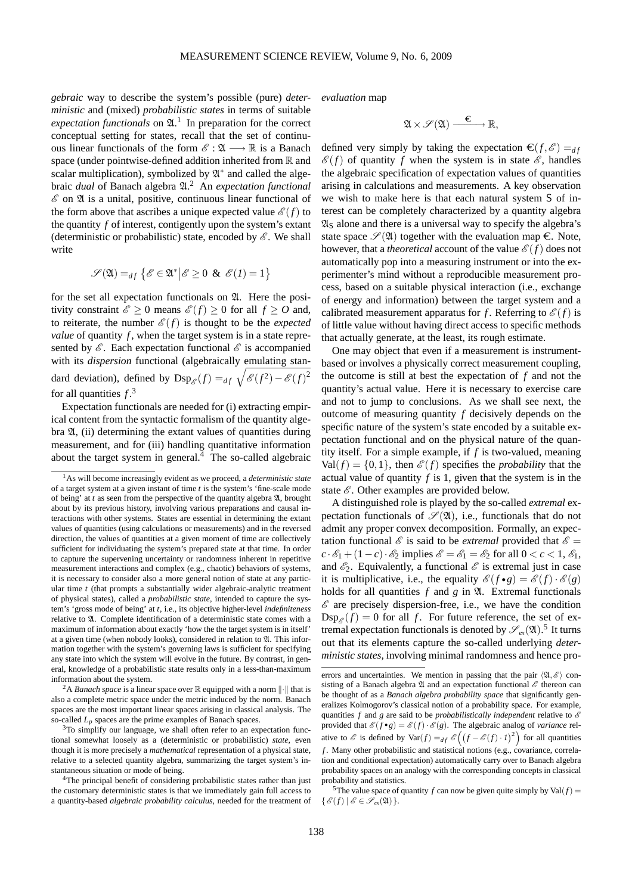*gebraic* way to describe the system's possible (pure) *deterministic* and (mixed) *probabilistic states* in terms of suitable expectation functionals on  $\mathfrak{A}$ .<sup>[1](#page-4-0)</sup> In preparation for the correct conceptual setting for states, recall that the set of continuous linear functionals of the form  $\mathscr{E} : \mathfrak{A} \longrightarrow \mathbb{R}$  is a Banach space (under pointwise-defined addition inherited from  $\mathbb R$  and scalar multiplication), symbolized by  $\mathfrak{A}^*$  and called the algebraic *dual* of Banach algebra  $\mathfrak{A}$ .<sup>[2](#page-4-1)</sup> An *expectation functional*  $\mathscr E$  on  $\mathfrak A$  is a unital, positive, continuous linear functional of the form above that ascribes a unique expected value  $\mathcal{E}(f)$  to the quantity *f* of interest, contigently upon the system's extant (deterministic or probabilistic) state, encoded by  $\mathscr E$ . We shall write

$$
\mathscr{S}(\mathfrak{A}) =_{df} \left\{ \mathscr{E} \in \mathfrak{A}^* \middle| \mathscr{E} \geq 0 \And \mathscr{E}(I) = 1 \right\}
$$

for the set all expectation functionals on  $\mathfrak{A}$ . Here the positivity constraint  $\mathscr{E} \geq 0$  means  $\mathscr{E}(f) \geq 0$  for all  $f \geq 0$  and, to reiterate, the number  $\mathcal{E}(f)$  is thought to be the *expected value* of quantity *f*, when the target system is in a state represented by  $\mathscr E$ . Each expectation functional  $\mathscr E$  is accompanied with its *dispersion* functional (algebraically emulating standard deviation), defined by  $\text{Dsp}_{\mathscr{E}}(f) =_{df} \sqrt{\mathscr{E}(f^2) - \mathscr{E}(f)^2}$ for all quantities  $f^3$  $f^3$ .

Expectation functionals are needed for (i) extracting empirical content from the syntactic formalism of the quantity algebra  $\mathfrak{A}$ , (ii) determining the extant values of quantities during measurement, and for (iii) handling quantitative information about the target system in general. $4$  The so-called algebraic

<span id="page-4-1"></span><sup>2</sup>A *Banach space* is a linear space over  $\mathbb R$  equipped with a norm  $\|\cdot\|$  that is also a complete metric space under the metric induced by the norm. Banach spaces are the most important linear spaces arising in classical analysis. The so-called *L<sup>p</sup>* spaces are the prime examples of Banach spaces.

<span id="page-4-2"></span><sup>3</sup>To simplify our language, we shall often refer to an expectation functional somewhat loosely as a (deterministic or probabilistic) *state*, even though it is more precisely a *mathematical* representation of a physical state, relative to a selected quantity algebra, summarizing the target system's instantaneous situation or mode of being.

<span id="page-4-3"></span><sup>4</sup>The principal benefit of considering probabilistic states rather than just the customary deterministic states is that we immediately gain full access to a quantity-based *algebraic probability calculus*, needed for the treatment of *evaluation* map

$$
\mathfrak{A} \times \mathscr{S}(\mathfrak{A}) \xrightarrow{\varepsilon} \mathbb{R},
$$

defined very simply by taking the expectation  $\boldsymbol{\epsilon}(f,\mathscr{E}) =_{df}$  $\mathscr{E}(f)$  of quantity f when the system is in state  $\mathscr{E}$ , handles the algebraic specification of expectation values of quantities arising in calculations and measurements. A key observation we wish to make here is that each natural system S of interest can be completely characterized by a quantity algebra  $\mathfrak{A}_S$  alone and there is a universal way to specify the algebra's state space  $\mathscr{S}(X)$  together with the evaluation map  $\epsilon$ . Note, however, that a *theoretical* account of the value  $\mathcal{E}(f)$  does not automatically pop into a measuring instrument or into the experimenter's mind without a reproducible measurement process, based on a suitable physical interaction (i.e., exchange of energy and information) between the target system and a calibrated measurement apparatus for *f*. Referring to  $\mathcal{E}(f)$  is of little value without having direct access to specific methods that actually generate, at the least, its rough estimate.

One may object that even if a measurement is instrumentbased or involves a physically correct measurement coupling, the outcome is still at best the expectation of *f* and not the quantity's actual value. Here it is necessary to exercise care and not to jump to conclusions. As we shall see next, the outcome of measuring quantity *f* decisively depends on the specific nature of the system's state encoded by a suitable expectation functional and on the physical nature of the quantity itself. For a simple example, if *f* is two-valued, meaning  $Val(f) = \{0, 1\}$ , then  $\mathcal{E}(f)$  specifies the *probability* that the actual value of quantity *f* is 1, given that the system is in the state  $\mathscr E$ . Other examples are provided below.

A distinguished role is played by the so-called *extremal* expectation functionals of  $\mathscr{S}(\mathfrak{A})$ , i.e., functionals that do not admit any proper convex decomposition. Formally, an expectation functional  $\mathscr E$  is said to be *extremal* provided that  $\mathscr E$  =  $c \cdot \mathscr{E}_1 + (1 - c) \cdot \mathscr{E}_2$  implies  $\mathscr{E} = \mathscr{E}_1 = \mathscr{E}_2$  for all  $0 < c < 1$ ,  $\mathscr{E}_1$ , and  $\mathscr{E}_2$ . Equivalently, a functional  $\mathscr{E}$  is extremal just in case it is multiplicative, i.e., the equality  $\mathscr{E}(f \bullet g) = \mathscr{E}(f) \cdot \mathscr{E}(g)$ holds for all quantities  $f$  and  $g$  in  $\mathfrak{A}$ . Extremal functionals  $\mathscr E$  are precisely dispersion-free, i.e., we have the condition  $\text{Dsp}_{\mathscr{E}}(f) = 0$  for all f. For future reference, the set of extremal expectation functionals is denoted by  $\mathscr{S}_{ex}( \mathfrak{A})$ .<sup>[5](#page-4-4)</sup> It turns out that its elements capture the so-called underlying *deterministic states*, involving minimal randomness and hence pro-

<span id="page-4-0"></span><sup>1</sup>As will become increasingly evident as we proceed, a *deterministic state* of a target system at a given instant of time *t* is the system's 'fine-scale mode of being' at  $t$  as seen from the perspective of the quantity algebra  $\mathfrak{A}$ , brought about by its previous history, involving various preparations and causal interactions with other systems. States are essential in determining the extant values of quantities (using calculations or measurements) and in the reversed direction, the values of quantities at a given moment of time are collectively sufficient for individuating the system's prepared state at that time. In order to capture the supervening uncertainty or randomness inherent in repetitive measurement interactions and complex (e.g., chaotic) behaviors of systems, it is necessary to consider also a more general notion of state at any particular time *t* (that prompts a substantially wider algebraic-analytic treatment of physical states), called a *probabilistic state*, intended to capture the system's 'gross mode of being' at *t*, i.e., its objective higher-level *indefiniteness* relative to A. Complete identification of a deterministic state comes with a maximum of information about exactly 'how the the target system is in itself' at a given time (when nobody looks), considered in relation to  $\mathfrak{A}$ . This information together with the system's governing laws is sufficient for specifying any state into which the system will evolve in the future. By contrast, in general, knowledge of a probabilistic state results only in a less-than-maximum information about the system.

errors and uncertainties. We mention in passing that the pair  $\langle \mathfrak{A}, \mathscr{E} \rangle$  consisting of a Banach algebra  $\mathfrak A$  and an expectation functional  $\mathscr E$  thereon can be thought of as a *Banach algebra probability space* that significantly generalizes Kolmogorov's classical notion of a probability space. For example, quantities  $f$  and  $g$  are said to be *probabilistically independent* relative to  $\mathscr E$ provided that  $\mathscr{E}(f \cdot g) = \mathscr{E}(f) \cdot \mathscr{E}(g)$ . The algebraic analog of *variance* relative to  $\mathscr E$  is defined by  $Var(f) =_{df} \mathscr E((f - \mathscr E(f) \cdot I)^2)$  for all quantities *f* . Many other probabilistic and statistical notions (e.g., covariance, correlation and conditional expectation) automatically carry over to Banach algebra probability spaces on an analogy with the corresponding concepts in classical probability and statistics.

<span id="page-4-4"></span><sup>&</sup>lt;sup>5</sup>The value space of quantity *f* can now be given quite simply by  $Val(f)$  =  $\{\mathscr{E}(f) \mid \mathscr{E} \in \mathscr{S}_{ex}(\mathfrak{A})\}.$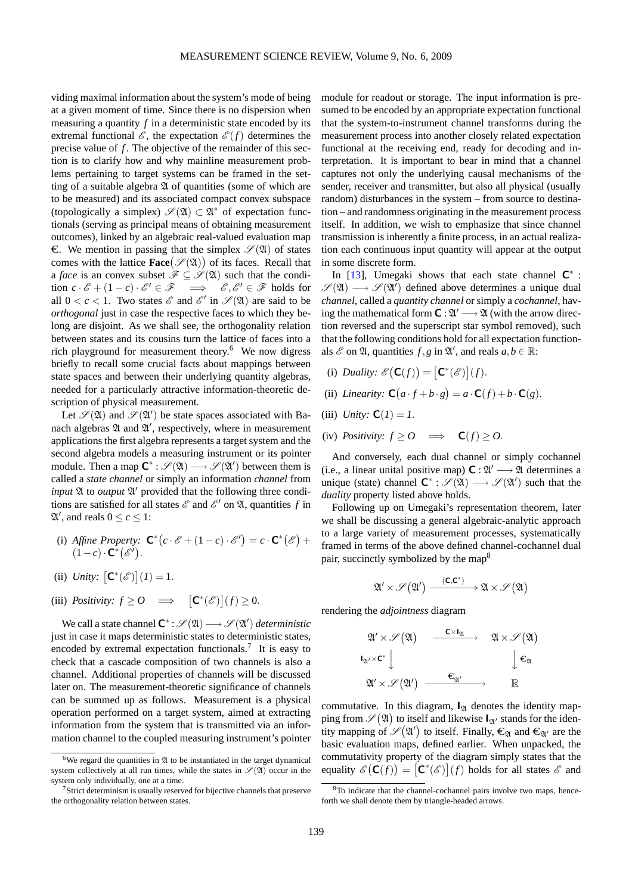viding maximal information about the system's mode of being at a given moment of time. Since there is no dispersion when measuring a quantity *f* in a deterministic state encoded by its extremal functional  $\mathscr{E}$ , the expectation  $\mathscr{E}(f)$  determines the precise value of *f* . The objective of the remainder of this section is to clarify how and why mainline measurement problems pertaining to target systems can be framed in the setting of a suitable algebra  $\mathfrak A$  of quantities (some of which are to be measured) and its associated compact convex subspace (topologically a simplex)  $\mathscr{S}(X) \subset X^*$  of expectation functionals (serving as principal means of obtaining measurement outcomes), linked by an algebraic real-valued evaluation map  $\epsilon$ . We mention in passing that the simplex  $\mathscr{S}(\mathfrak{A})$  of states comes with the lattice  $\textbf{Face}(\mathcal{S}(\mathfrak{A}))$  of its faces. Recall that a *face* is an convex subset  $\mathscr{F} \subseteq \mathscr{S}(\mathfrak{A})$  such that the condition  $c \cdot \mathscr{E} + (1 - c) \cdot \mathscr{E}' \in \mathscr{F} \implies \mathscr{E}, \mathscr{E}' \in \mathscr{F}$  holds for all  $0 < c < 1$ . Two states  $\mathscr{E}$  and  $\mathscr{E}'$  in  $\mathscr{S}(\mathfrak{A})$  are said to be *orthogonal* just in case the respective faces to which they belong are disjoint. As we shall see, the orthogonality relation between states and its cousins turn the lattice of faces into a rich playground for measurement theory.[6](#page-5-0) We now digress briefly to recall some crucial facts about mappings between state spaces and between their underlying quantity algebras, needed for a particularly attractive information-theoretic description of physical measurement.

Let  $\mathscr{S}(X)$  and  $\mathscr{S}(\mathfrak{A}')$  be state spaces associated with Banach algebras  $\mathfrak A$  and  $\mathfrak A'$ , respectively, where in measurement applications the first algebra represents a target system and the second algebra models a measuring instrument or its pointer module. Then a map  $\mathbb{C}^* : \mathscr{S}(\mathfrak{A}) \longrightarrow \mathscr{S}(\mathfrak{A}')$  between them is called a *state channel* or simply an information *channel* from input  $\mathfrak A$  to *output*  $\mathfrak A'$  provided that the following three conditions are satisfied for all states  $\mathscr E$  and  $\mathscr E'$  on  $\mathfrak A$ , quantities f in  $\mathfrak{A}'$ , and reals  $0 \leq c \leq 1$ :

- (i) Affine Property:  $\mathbf{C}^*(c \cdot \mathscr{E} + (1-c) \cdot \mathscr{E}') = c \cdot \mathbf{C}^*(\mathscr{E}) + c$  $(1-c)\cdot\mathbf{C}^*(\mathscr{E}').$
- (ii) *Unity*:  $[C^*(\mathscr{E})](1) = 1$ .

(iii) *Positivity:*  $f \geq 0 \implies [\mathbf{C}^*(\mathscr{E})](f) \geq 0.$ 

We call a state channel  $\mathsf{C}^*$  :  $\mathscr{S}(\mathfrak{A}) \longrightarrow \mathscr{S}(\mathfrak{A}')$  *deterministic* just in case it maps deterministic states to deterministic states, encoded by extremal expectation functionals.<sup>[7](#page-5-1)</sup> It is easy to check that a cascade composition of two channels is also a channel. Additional properties of channels will be discussed later on. The measurement-theoretic significance of channels can be summed up as follows. Measurement is a physical operation performed on a target system, aimed at extracting information from the system that is transmitted via an information channel to the coupled measuring instrument's pointer module for readout or storage. The input information is presumed to be encoded by an appropriate expectation functional that the system-to-instrument channel transforms during the measurement process into another closely related expectation functional at the receiving end, ready for decoding and interpretation. It is important to bear in mind that a channel captures not only the underlying causal mechanisms of the sender, receiver and transmitter, but also all physical (usually random) disturbances in the system – from source to destination – and randomness originating in the measurement process itself. In addition, we wish to emphasize that since channel transmission is inherently a finite process, in an actual realization each continuous input quantity will appear at the output in some discrete form.

In [\[13\]](#page-27-3), Umegaki shows that each state channel  $\mathbb{C}^*$  :  $\mathscr{S}(X) \longrightarrow \mathscr{S}(X')$  defined above determines a unique dual *channel*, called a *quantity channel* or simply a *cochannel*, having the mathematical form  $\mathsf{C}: \mathfrak{A}' \longrightarrow \mathfrak{A}$  (with the arrow direction reversed and the superscript star symbol removed), such that the following conditions hold for all expectation functionals  $\mathscr E$  on  $\mathfrak A$ , quantities  $f, g$  in  $\mathfrak A'$ , and reals  $a, b \in \mathbb R$ :

- (i) *Duality:*  $\mathscr{E}(\mathbf{C}(f)) = [\mathbf{C}^*(\mathscr{E})](f)$ .
- (ii) *Linearity:*  $\mathbf{C}(a \cdot f + b \cdot g) = a \cdot \mathbf{C}(f) + b \cdot \mathbf{C}(g)$ .
- (iii) *Unity:*  $C(1) = 1$ .
- (iv) *Positivity:*  $f \geq 0 \implies C(f) \geq 0$ .

And conversely, each dual channel or simply cochannel (i.e., a linear unital positive map)  $C : \mathfrak{A}' \longrightarrow \mathfrak{A}$  determines a unique (state) channel  $\mathsf{C}^*: \mathscr{S}(\mathfrak{A}) \longrightarrow \mathscr{S}(\mathfrak{A}')$  such that the *duality* property listed above holds.

Following up on Umegaki's representation theorem, later we shall be discussing a general algebraic-analytic approach to a large variety of measurement processes, systematically framed in terms of the above defined channel-cochannel dual pair, succinctly symbolized by the map<sup>[8](#page-5-2)</sup>

$$
\mathfrak{A}'\times\mathscr{S}\bigl(\mathfrak{A}'\bigr)\xrightarrow{\phantom{a}(\mathbf{C},\mathbf{C}^*)\phantom{a}}\mathfrak{A}\times\mathscr{S}\bigl(\mathfrak{A}\bigr)
$$

rendering the *adjointness* diagram

$$
\begin{array}{ccc}\n\mathfrak{A}' \times \mathscr{S}(\mathfrak{A}) & \xrightarrow{\mathbf{C} \times \mathbf{I}_{\mathfrak{A}}} & \mathfrak{A} \times \mathscr{S}(\mathfrak{A}) \\
\mathbf{I}_{\mathfrak{A}'} \times \mathbf{C}^* \downarrow & & \downarrow \mathbf{\epsilon}_{\mathfrak{A}} \\
\mathfrak{A}' \times \mathscr{S}(\mathfrak{A}') & \xrightarrow{\mathbf{\epsilon}_{\mathfrak{A}'}} & \mathbb{R}\n\end{array}
$$

commutative. In this diagram,  $I_{\mathfrak{A}}$  denotes the identity mapping from  $\mathscr{S}(A)$  to itself and likewise  $I_{\mathfrak{A}'}$  stands for the identity mapping of  $\mathscr{S}(\mathfrak{A}')$  to itself. Finally,  $\epsilon_{\mathfrak{A}}$  and  $\epsilon_{\mathfrak{A}'}$  are the basic evaluation maps, defined earlier. When unpacked, the commutativity property of the diagram simply states that the equality  $\mathscr{E}(\mathbf{C}(f)) = [\mathbf{C}^*(\mathscr{E})](f)$  holds for all states  $\mathscr{E}$  and

<span id="page-5-0"></span><sup>&</sup>lt;sup>6</sup>We regard the quantities in  $\mathfrak A$  to be instantiated in the target dynamical system collectively at all run times, while the states in  $\mathcal{S}(X)$  occur in the system only individually, one at a time.

<span id="page-5-1"></span><sup>7</sup>Strict determinism is usually reserved for bijective channels that preserve the orthogonality relation between states.

<span id="page-5-2"></span><sup>&</sup>lt;sup>8</sup>To indicate that the channel-cochannel pairs involve two maps, henceforth we shall denote them by triangle-headed arrows.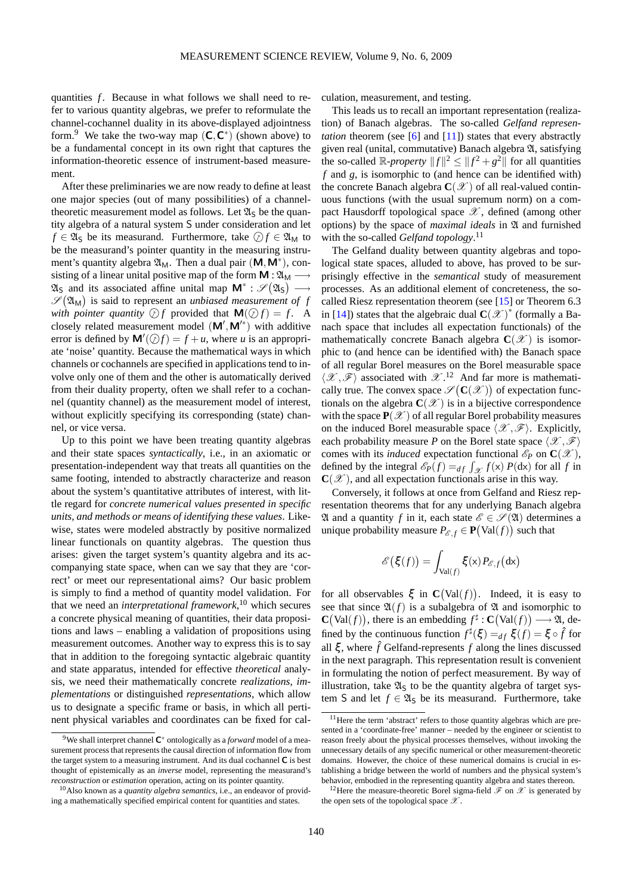quantities *f*. Because in what follows we shall need to refer to various quantity algebras, we prefer to reformulate the channel-cochannel duality in its above-displayed adjointness form.<sup>[9](#page-6-0)</sup> We take the two-way map  $(C, C^*)$  (shown above) to be a fundamental concept in its own right that captures the information-theoretic essence of instrument-based measurement.

After these preliminaries we are now ready to define at least one major species (out of many possibilities) of a channeltheoretic measurement model as follows. Let  $\mathfrak{A}_S$  be the quantity algebra of a natural system S under consideration and let  $f \in \mathfrak{A}_S$  be its measurand. Furthermore, take  $\mathcal{D} f \in \mathfrak{A}_M$  to be the measurand's pointer quantity in the measuring instrument's quantity algebra  $\mathfrak{A}_M$ . Then a dual pair  $(M, M^*)$ , consisting of a linear unital positive map of the form  $M : \mathfrak{A}_M \longrightarrow$  $\mathfrak{A}_S$  and its associated affine unital map  $\mathsf{M}^* : \mathscr{S}(\mathfrak{A}_S) \longrightarrow$  $\mathscr{S}(\mathfrak{A}_{\mathrm{M}})$  is said to represent an *unbiased measurement of f* with pointer quantity  $\bigcirc$  *f* provided that  $M(\bigcirc f) = f$ . A closely related measurement model  $(M', M'^*)$  with additive error is defined by  $\mathbf{M}'(\mathcal{D}f) = f + u$ , where *u* is an appropriate 'noise' quantity. Because the mathematical ways in which channels or cochannels are specified in applications tend to involve only one of them and the other is automatically derived from their duality property, often we shall refer to a cochannel (quantity channel) as the measurement model of interest, without explicitly specifying its corresponding (state) channel, or vice versa.

Up to this point we have been treating quantity algebras and their state spaces *syntactically*, i.e., in an axiomatic or presentation-independent way that treats all quantities on the same footing, intended to abstractly characterize and reason about the system's quantitative attributes of interest, with little regard for *concrete numerical values presented in specific units, and methods or means of identifying these values*. Likewise, states were modeled abstractly by positive normalized linear functionals on quantity algebras. The question thus arises: given the target system's quantity algebra and its accompanying state space, when can we say that they are 'correct' or meet our representational aims? Our basic problem is simply to find a method of quantity model validation. For that we need an *interpretational framework*, [10](#page-6-1) which secures a concrete physical meaning of quantities, their data propositions and laws – enabling a validation of propositions using measurement outcomes. Another way to express this is to say that in addition to the foregoing syntactic algebraic quantity and state apparatus, intended for effective *theoretical* analysis, we need their mathematically concrete *realizations*, *implementations* or distinguished *representations*, which allow us to designate a specific frame or basis, in which all pertinent physical variables and coordinates can be fixed for calculation, measurement, and testing.

This leads us to recall an important representation (realization) of Banach algebras. The so-called *Gelfand representation* theorem (see [\[6\]](#page-27-4) and [\[11\]](#page-27-5)) states that every abstractly given real (unital, commutative) Banach algebra A, satisfying the so-called  $\mathbb{R}$ -*property*  $||f||^2 \le ||f^2 + g^2||$  for all quantities *f* and *g*, is isomorphic to (and hence can be identified with) the concrete Banach algebra  $\mathbb{C}(\mathscr{X})$  of all real-valued continuous functions (with the usual supremum norm) on a compact Hausdorff topological space  $\mathscr X$ , defined (among other options) by the space of *maximal ideals* in  $\mathfrak A$  and furnished with the so-called *Gelfand topology*. [11](#page-6-2)

The Gelfand duality between quantity algebras and topological state spaces, alluded to above, has proved to be surprisingly effective in the *semantical* study of measurement processes. As an additional element of concreteness, the socalled Riesz representation theorem (see [\[15\]](#page-27-6) or Theorem 6.3 in [\[14\]](#page-27-7)) states that the algebraic dual  $\mathbf{C}(\mathscr{X})^*$  (formally a Banach space that includes all expectation functionals) of the mathematically concrete Banach algebra  $\mathbf{C}(\mathscr{X})$  is isomorphic to (and hence can be identified with) the Banach space of all regular Borel measures on the Borel measurable space  $\langle \mathcal{X}, \mathcal{F} \rangle$  associated with  $\mathcal{X}.^{12}$  $\mathcal{X}.^{12}$  $\mathcal{X}.^{12}$  And far more is mathematically true. The convex space  $\mathscr{S}(\mathbf{C}(\mathscr{X}))$  of expectation functionals on the algebra  $\mathbf{C}(\mathscr{X})$  is in a bijective correspondence with the space  $P(\mathcal{X})$  of all regular Borel probability measures on the induced Borel measurable space  $\langle \mathcal{X}, \mathcal{F} \rangle$ . Explicitly, each probability measure *P* on the Borel state space  $\langle \mathcal{X}, \mathcal{F} \rangle$ comes with its *induced* expectation functional  $\mathcal{E}_P$  on  $\mathbf{C}(\mathcal{X})$ , defined by the integral  $\mathcal{E}_P(f) =_{df} \int_{\mathcal{X}} f(x) P(dx)$  for all *f* in  $\mathbf{C}(\mathscr{X})$ , and all expectation functionals arise in this way.

Conversely, it follows at once from Gelfand and Riesz representation theorems that for any underlying Banach algebra  $\mathfrak A$  and a quantity *f* in it, each state  $\mathscr E \in \mathscr S(\mathfrak A)$  determines a unique probability measure  $P_{\mathscr{E},f} \in \mathbf{P}(\text{Val}(f))$  such that

$$
\mathscr{E}\big(\xi(f)\big) = \int_{\text{Val}(f)} \xi(x) P_{\mathscr{E},f}\big(\text{d} x\big)
$$

for all observables  $\xi$  in  $C(Val(f))$ . Indeed, it is easy to see that since  $\mathfrak{A}(f)$  is a subalgebra of  $\mathfrak A$  and isomorphic to  $\mathbf{C}(\text{Val}(f))$ , there is an embedding  $f^{\sharp}: \mathbf{C}(\text{Val}(f)) \longrightarrow \mathfrak{A}$ , defined by the continuous function  $f^{\sharp}(\xi) =_{df} \xi(f) = \xi \circ \hat{f}$  for all  $\xi$ , where  $\hat{f}$  Gelfand-represents  $f$  along the lines discussed in the next paragraph. This representation result is convenient in formulating the notion of perfect measurement. By way of illustration, take  $\mathfrak{A}_S$  to be the quantity algebra of target system S and let  $f \in \mathfrak{A}_S$  be its measurand. Furthermore, take

<span id="page-6-0"></span><sup>&</sup>lt;sup>9</sup>We shall interpret channel  $\mathsf{C}^*$  ontologically as a *forward* model of a measurement process that represents the causal direction of information flow from the target system to a measuring instrument. And its dual cochannel C is best thought of epistemically as an *inverse* model, representing the measurand's *reconstruction* or *estimation* operation, acting on its pointer quantity.

<span id="page-6-1"></span><sup>10</sup>Also known as a *quantity algebra semantics*, i.e., an endeavor of providing a mathematically specified empirical content for quantities and states.

<span id="page-6-2"></span><sup>&</sup>lt;sup>11</sup>Here the term 'abstract' refers to those quantity algebras which are presented in a 'coordinate-free' manner – needed by the engineer or scientist to reason freely about the physical processes themselves, without invoking the unnecessary details of any specific numerical or other measurement-theoretic domains. However, the choice of these numerical domains is crucial in establishing a bridge between the world of numbers and the physical system's behavior, embodied in the representing quantity algebra and states thereon.

<span id="page-6-3"></span><sup>&</sup>lt;sup>12</sup>Here the measure-theoretic Borel sigma-field  $\mathscr F$  on  $\mathscr X$  is generated by the open sets of the topological space  $\mathscr X$ .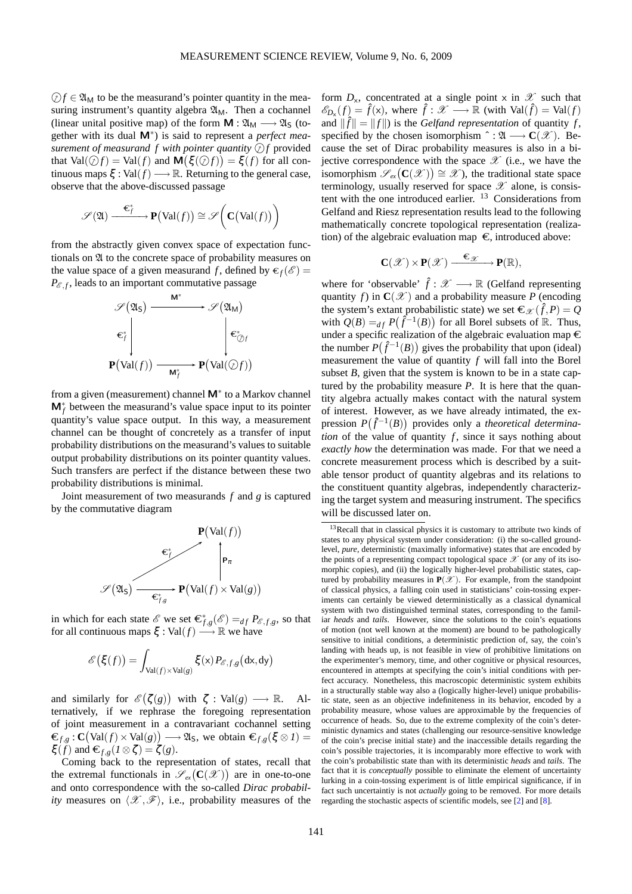$\mathcal{D}f \in \mathfrak{A}_{M}$  to be the measurand's pointer quantity in the measuring instrument's quantity algebra  $\mathfrak{A}_{M}$ . Then a cochannel (linear unital positive map) of the form  $M : \mathfrak{A}_M \longrightarrow \mathfrak{A}_S$  (together with its dual M<sup>∗</sup> ) is said to represent a *perfect measurement of measurand f with pointer quantity*  $\mathcal{D}f$  provided that  $Val(\hat{\mathcal{Q}}f) = Val(f)$  and  $\mathbf{M}(\xi(\hat{\mathcal{Q}}f)) = \xi(f)$  for all continuous maps  $\xi : \text{Val}(f) \longrightarrow \mathbb{R}$ . Returning to the general case, observe that the above-discussed passage

$$
\mathscr{S}(\mathfrak{A}) \xrightarrow{\ \mathfrak{\mathfrak{E}}_f^* \ } \mathbf{P}\big(\text{Val}(f)\big) \cong \mathscr{S}\bigg(\mathbf{C}\big(\text{Val}(f)\big)\bigg)
$$

from the abstractly given convex space of expectation functionals on A to the concrete space of probability measures on the value space of a given measurand f, defined by  $\epsilon_f(\mathscr{E}) =$  $P_{\mathscr{E},f}$ , leads to an important commutative passage



from a given (measurement) channel M<sup>∗</sup> to a Markov channel **M**<sup>\*</sup><sub>*f*</sub> between the measurand's value space input to its pointer quantity's value space output. In this way, a measurement channel can be thought of concretely as a transfer of input probability distributions on the measurand's values to suitable output probability distributions on its pointer quantity values. Such transfers are perfect if the distance between these two probability distributions is minimal.

Joint measurement of two measurands *f* and *g* is captured by the commutative diagram



in which for each state  $\mathscr E$  we set  $\mathbf{\epsilon}_{f,g}^*(\mathscr E) =_{df} P_{\mathscr E,f,g}$ , so that for all continuous maps  $\xi : Val(f) \longrightarrow \mathbb{R}$  we have

$$
\mathscr{E}\big(\xi(f)\big) = \int_{\text{Val}(f) \times \text{Val}(g)} \xi(x) P_{\mathscr{E},f,g} \big(\text{d}x,\text{d}y\big)
$$

and similarly for  $\mathcal{E}(\zeta(g))$  with  $\zeta : \text{Val}(g) \longrightarrow \mathbb{R}$ . Alternatively, if we rephrase the foregoing representation of joint measurement in a contravariant cochannel setting  $\mathfrak{E}_{f,g}$  :  $\mathbf{C}(\text{Val}(f) \times \text{Val}(g)) \longrightarrow \mathfrak{A}_{\mathsf{S}}$ , we obtain  $\mathfrak{E}_{f,g}(\xi \otimes I) =$  $\xi(f)$  and  $\boldsymbol{\epsilon}_{f,g}(I\otimes \zeta) = \zeta(g)$ .

Coming back to the representation of states, recall that the extremal functionals in  $\mathscr{S}_{ex}(\mathbf{C}(\mathscr{X}))$  are in one-to-one and onto correspondence with the so-called *Dirac probability* measures on  $\langle \mathcal{X}, \mathcal{F} \rangle$ , i.e., probability measures of the

form  $D_x$ , concentrated at a single point x in  $\mathscr X$  such that  $\mathscr{E}_{D_{\mathsf{X}}}(f) = \hat{f}(\mathsf{x})$ , where  $\hat{f} : \mathscr{X} \longrightarrow \mathbb{R}$  (with Val $(\hat{f}) = \text{Val}(f)$ and  $\|\hat{f}\| = \|f\|$  is the *Gelfand representation* of quantity *f*, specified by the chosen isomorphism  $\hat{\cdot} : \mathfrak{A} \longrightarrow \mathbf{C}(\mathcal{X})$ . Because the set of Dirac probability measures is also in a bijective correspondence with the space  $\mathscr X$  (i.e., we have the isomorphism  $\mathscr{S}_{ex}(\mathbf{C}(\mathscr{X})) \cong \mathscr{X}$ , the traditional state space terminology, usually reserved for space  $\mathscr X$  alone, is consis-tent with the one introduced earlier.<sup>[13](#page-7-0)</sup> Considerations from Gelfand and Riesz representation results lead to the following mathematically concrete topological representation (realization) of the algebraic evaluation map  $\epsilon$ , introduced above:

$$
C(\mathscr{X})\times P(\mathscr{X})\xrightarrow{\varepsilon_{\mathscr{X}}}\qquad P(\mathbb{R}),
$$

where for 'observable'  $\hat{f}$  :  $\mathscr{X} \longrightarrow \mathbb{R}$  (Gelfand representing quantity *f*) in  $C(\mathcal{X})$  and a probability measure *P* (encoding the system's extant probabilistic state) we set  $\epsilon_{\mathcal{X}}(\hat{f}, P) = Q$ with  $Q(B) =_{df} P(\hat{f}^{-1}(B))$  for all Borel subsets of R. Thus, under a specific realization of the algebraic evaluation map  $\in$ the number  $P(\hat{f}^{-1}(B))$  gives the probability that upon (ideal) measurement the value of quantity *f* will fall into the Borel subset  $B$ , given that the system is known to be in a state captured by the probability measure *P*. It is here that the quantity algebra actually makes contact with the natural system of interest. However, as we have already intimated, the expression  $P(\hat{f}^{-1}(B))$  provides only a *theoretical determination* of the value of quantity  $f$ , since it says nothing about *exactly how* the determination was made. For that we need a concrete measurement process which is described by a suitable tensor product of quantity algebras and its relations to the constituent quantity algebras, independently characterizing the target system and measuring instrument. The specifics will be discussed later on.

<span id="page-7-0"></span><sup>&</sup>lt;sup>13</sup>Recall that in classical physics it is customary to attribute two kinds of states to any physical system under consideration: (i) the so-called groundlevel, *pure*, deterministic (maximally informative) states that are encoded by the points of a representing compact topological space  $\mathscr X$  (or any of its isomorphic copies), and (ii) the logically higher-level probabilistic states, captured by probability measures in  $P(\mathcal{X})$ . For example, from the standpoint of classical physics, a falling coin used in statisticians' coin-tossing experiments can certainly be viewed deterministically as a classical dynamical system with two distinguished terminal states, corresponding to the familiar *heads* and *tails*. However, since the solutions to the coin's equations of motion (not well known at the moment) are bound to be pathologically sensitive to initial conditions, a deterministic prediction of, say, the coin's landing with heads up, is not feasible in view of prohibitive limitations on the experimenter's memory, time, and other cognitive or physical resources, encountered in attempts at specifying the coin's initial conditions with perfect accuracy. Nonetheless, this macroscopic deterministic system exhibits in a structurally stable way also a (logically higher-level) unique probabilistic state, seen as an objective indefiniteness in its behavior, encoded by a probability measure, whose values are approximable by the frequencies of occurrence of heads. So, due to the extreme complexity of the coin's deterministic dynamics and states (challenging our resource-sensitive knowledge of the coin's precise initial state) and the inaccessible details regarding the coin's possible trajectories, it is incomparably more effective to work with the coin's probabilistic state than with its deterministic *heads* and *tails*. The fact that it is *conceptually* possible to eliminate the element of uncertainty lurking in a coin-tossing experiment is of little empirical significance, if in fact such uncertaintiy is not *actually* going to be removed. For more details regarding the stochastic aspects of scientific models, see [\[2\]](#page-27-1) and [\[8\]](#page-27-8).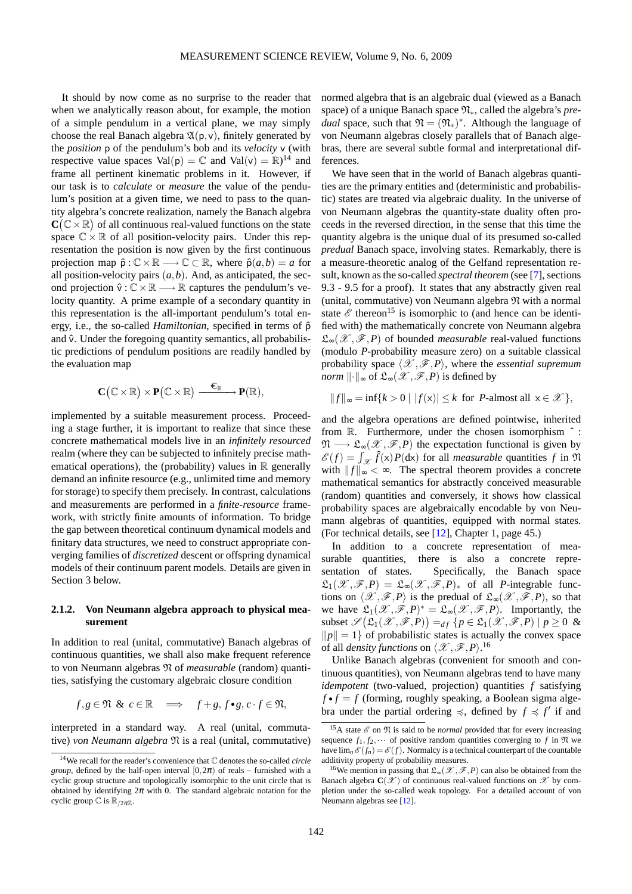It should by now come as no surprise to the reader that when we analytically reason about, for example, the motion of a simple pendulum in a vertical plane, we may simply choose the real Banach algebra  $\mathfrak{A}(p,v)$ , finitely generated by the *position* p of the pendulum's bob and its *velocity* v (with respective value spaces  $Val(p) = \mathbb{C}$  and  $Val(v) = \mathbb{R}^{\frac{1}{4}}$  and frame all pertinent kinematic problems in it. However, if our task is to *calculate* or *measure* the value of the pendulum's position at a given time, we need to pass to the quantity algebra's concrete realization, namely the Banach algebra  $\mathbf{C}(\mathbb{C} \times \mathbb{R})$  of all continuous real-valued functions on the state space  $\mathbb{C} \times \mathbb{R}$  of all position-velocity pairs. Under this representation the position is now given by the first continuous projection map  $\hat{\rho}: \mathbb{C} \times \mathbb{R} \longrightarrow \mathbb{C} \subset \mathbb{R}$ , where  $\hat{\rho}(a,b) = a$  for all position-velocity pairs  $(a, b)$ . And, as anticipated, the second projection  $\hat{v} : \mathbb{C} \times \mathbb{R} \longrightarrow \mathbb{R}$  captures the pendulum's velocity quantity. A prime example of a secondary quantity in this representation is the all-important pendulum's total energy, i.e., the so-called *Hamiltonian*, specified in terms of  $\hat{p}$ and  $\hat{v}$ . Under the foregoing quantity semantics, all probabilistic predictions of pendulum positions are readily handled by the evaluation map

$$
C\big(\mathbb{C}\times\mathbb{R}\big)\times P\big(\mathbb{C}\times\mathbb{R}\big)\xrightarrow{\quad \ \ \in_{\mathbb{R}}\quad \ \ }P(\mathbb{R}),
$$

implemented by a suitable measurement process. Proceeding a stage further, it is important to realize that since these concrete mathematical models live in an *infinitely resourced* realm (where they can be subjected to infinitely precise mathematical operations), the (probability) values in  $\mathbb R$  generally demand an infinite resource (e.g., unlimited time and memory for storage) to specify them precisely. In contrast, calculations and measurements are performed in a *finite-resource* framework, with strictly finite amounts of information. To bridge the gap between theoretical continuum dynamical models and finitary data structures, we need to construct appropriate converging families of *discretized* descent or offspring dynamical models of their continuum parent models. Details are given in Section 3 below.

### **2.1.2. Von Neumann algebra approach to physical measurement**

In addition to real (unital, commutative) Banach algebras of continuous quantities, we shall also make frequent reference to von Neumann algebras N of *measurable* (random) quantities, satisfying the customary algebraic closure condition

$$
f,g\in\mathfrak{N}\ \&\ c\in\mathbb{R}\quad\Longrightarrow\quad f+g,f\bullet g,c\cdot f\in\mathfrak{N},
$$

interpreted in a standard way. A real (unital, commutative) *von Neumann algebra* N is a real (unital, commutative) normed algebra that is an algebraic dual (viewed as a Banach space) of a unique Banach space <sup>N</sup>∗, called the algebra's *predual* space, such that  $\mathfrak{N} = (\mathfrak{N}_*)^*$ . Although the language of von Neumann algebras closely parallels that of Banach algebras, there are several subtle formal and interpretational differences.

We have seen that in the world of Banach algebras quantities are the primary entities and (deterministic and probabilistic) states are treated via algebraic duality. In the universe of von Neumann algebras the quantity-state duality often proceeds in the reversed direction, in the sense that this time the quantity algebra is the unique dual of its presumed so-called *predual* Banach space, involving states. Remarkably, there is a measure-theoretic analog of the Gelfand representation result, known as the so-called *spectral theorem* (see [\[7\]](#page-27-9), sections 9.3 - 9.5 for a proof). It states that any abstractly given real (unital, commutative) von Neumann algebra N with a normal state  $\mathscr E$  thereon<sup>[15](#page-8-1)</sup> is isomorphic to (and hence can be identified with) the mathematically concrete von Neumann algebra L∞(X ,F,*P*) of bounded *measurable* real-valued functions (modulo *P*-probability measure zero) on a suitable classical probability space  $\langle \mathcal{X}, \mathcal{F}, P \rangle$ , where the *essential supremum norm*  $\|\cdot\|_{\infty}$  of  $\mathfrak{L}_{\infty}(\mathscr{X}, \mathscr{F}, P)$  is defined by

$$
||f||_{\infty} = \inf \{ k > 0 \mid |f(\mathbf{x})| \le k \text{ for } P\text{-almost all } \mathbf{x} \in \mathcal{X} \},
$$

and the algebra operations are defined pointwise, inherited from  $\mathbb R$ . Furthermore, under the chosen isomorphism  $\hat{ }$ :  $\mathfrak{N} \longrightarrow \mathfrak{L}_{\infty}(\mathscr{X}, \mathscr{F}, P)$  the expectation functional is given by  $\mathscr{E}(f) = \int_{\mathscr{X}} \hat{f}(\mathsf{x}) P(\mathsf{d}\mathsf{x})$  for all *measurable* quantities f in  $\mathfrak{N}$ with  $||f||_{\infty} < \infty$ . The spectral theorem provides a concrete mathematical semantics for abstractly conceived measurable (random) quantities and conversely, it shows how classical probability spaces are algebraically encodable by von Neumann algebras of quantities, equipped with normal states. (For technical details, see [\[12\]](#page-27-10), Chapter 1, page 45.)

In addition to a concrete representation of measurable quantities, there is also a concrete representation of states. Specifically, the Banach space  $\mathfrak{L}_1(\mathscr{X}, \mathscr{F}, P) = \mathfrak{L}_{\infty}(\mathscr{X}, \mathscr{F}, P)_{*}$  of all *P*-integrable functions on  $\langle \mathcal{X}, \mathcal{F}, P \rangle$  is the predual of  $\mathfrak{L}_{\infty}(\mathcal{X}, \mathcal{F}, P)$ , so that we have  $\mathfrak{L}_1(\mathscr{X},\mathscr{F},P)^* = \mathfrak{L}_\infty(\mathscr{X},\mathscr{F},P)$ . Importantly, the subset  $\mathscr{S}(\mathfrak{L}_1(\mathscr{X}, \mathscr{F}, P)) =_{df} \{p \in \mathfrak{L}_1(\mathscr{X}, \mathscr{F}, P) \mid p \ge 0 \&$  $||p|| = 1$  of probabilistic states is actually the convex space of all *density functions* on  $\langle \mathcal{X}, \mathcal{F}, P \rangle$ .<sup>[16](#page-8-2)</sup>

Unlike Banach algebras (convenient for smooth and continuous quantities), von Neumann algebras tend to have many *idempotent* (two-valued, projection) quantities *f* satisfying  $f \cdot f = f$  (forming, roughly speaking, a Boolean sigma algebra under the partial ordering  $\preccurlyeq$ , defined by  $f \preccurlyeq f'$  if and

<span id="page-8-0"></span><sup>14</sup>We recall for the reader's convenience that C denotes the so-called *circle group*, defined by the half-open interval  $[0,2\pi)$  of reals – furnished with a cyclic group structure and topologically isomorphic to the unit circle that is obtained by identifying  $2\pi$  with 0. The standard algebraic notation for the cyclic group  $\mathbb C$  is  $\mathbb R_{2n\mathbb Z}$ .

<span id="page-8-1"></span><sup>&</sup>lt;sup>15</sup>A state  $\mathscr E$  on  $\mathfrak N$  is said to be *normal* provided that for every increasing sequence  $f_1, f_2, \cdots$  of positive random quantities converging to  $f$  in  $\mathfrak{N}$  we have  $\lim_{n} \mathcal{E}(f_n) = \mathcal{E}(f)$ . Normalcy is a technical counterpart of the countable additivity property of probability measures.

<span id="page-8-2"></span><sup>&</sup>lt;sup>16</sup>We mention in passing that  $\mathfrak{L}_{\infty}(\mathscr{X}, \mathscr{F}, P)$  can also be obtained from the Banach algebra  $\mathbf{C}(\mathscr{X})$  of continuous real-valued functions on  $\mathscr{X}$  by completion under the so-called weak topology. For a detailed account of von Neumann algebras see [\[12\]](#page-27-10).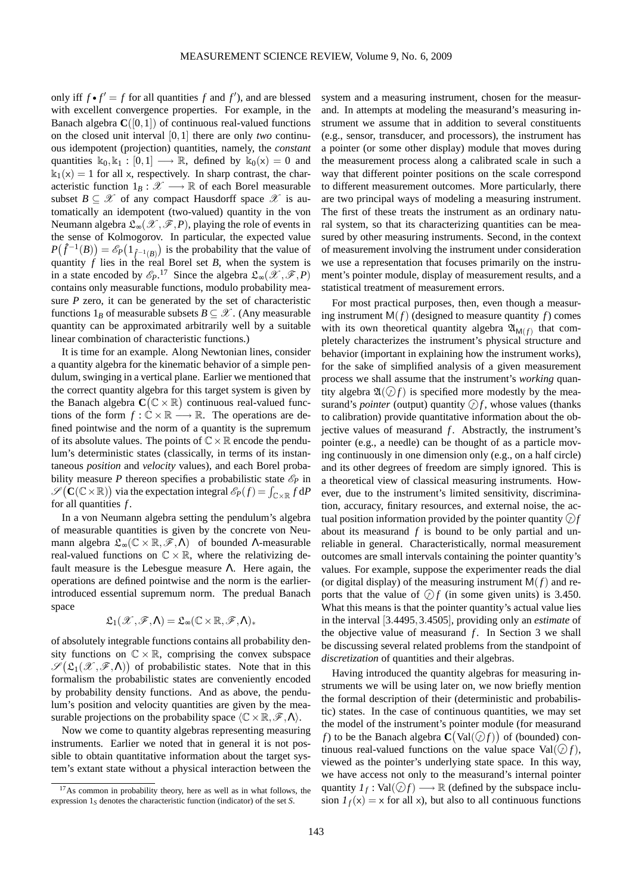only iff  $f \cdot f' = f$  for all quantities  $f$  and  $f'$ ), and are blessed with excellent convergence properties. For example, in the Banach algebra  $C([0,1])$  of continuous real-valued functions on the closed unit interval [0,1] there are only *two* continuous idempotent (projection) quantities, namely, the *constant* quantities  $k_0, k_1 : [0,1] \longrightarrow \mathbb{R}$ , defined by  $k_0(x) = 0$  and  $k_1(x) = 1$  for all x, respectively. In sharp contrast, the characteristic function  $1_B : \mathcal{X} \longrightarrow \mathbb{R}$  of each Borel measurable subset  $B \subseteq \mathcal{X}$  of any compact Hausdorff space  $\mathcal{X}$  is automatically an idempotent (two-valued) quantity in the von Neumann algebra  $\mathfrak{L}_{\infty}(\mathscr{X}, \mathscr{F}, P)$ , playing the role of events in the sense of Kolmogorov. In particular, the expected value  $P(\hat{f}^{-1}(B)) = \mathcal{E}_P(1_{\hat{f}^{-1}(B)})$  is the probability that the value of quantity *f* lies in the real Borel set *B*, when the system is in a state encoded by  $\mathscr{E}_P$ .<sup>[17](#page-9-0)</sup> Since the algebra  $\mathfrak{L}_{\infty}(\mathscr{X}, \mathscr{F}, P)$ contains only measurable functions, modulo probability measure *P* zero, it can be generated by the set of characteristic functions  $1_B$  of measurable subsets  $B \subseteq \mathcal{X}$ . (Any measurable quantity can be approximated arbitrarily well by a suitable linear combination of characteristic functions.)

It is time for an example. Along Newtonian lines, consider a quantity algebra for the kinematic behavior of a simple pendulum, swinging in a vertical plane. Earlier we mentioned that the correct quantity algebra for this target system is given by the Banach algebra  $C(C \times R)$  continuous real-valued functions of the form  $f: \mathbb{C} \times \mathbb{R} \longrightarrow \mathbb{R}$ . The operations are defined pointwise and the norm of a quantity is the supremum of its absolute values. The points of  $\mathbb{C} \times \mathbb{R}$  encode the pendulum's deterministic states (classically, in terms of its instantaneous *position* and *velocity* values), and each Borel probability measure *P* thereon specifies a probabilistic state  $\mathcal{E}_P$  in  $\mathscr{S}(\mathbf{C}(\mathbb{C}\times\mathbb{R}))$  via the expectation integral  $\mathscr{E}_P(f) = \int_{\mathbb{C}\times\mathbb{R}} f \, \mathrm{d}P$ for all quantities *f* .

In a von Neumann algebra setting the pendulum's algebra of measurable quantities is given by the concrete von Neumann algebra  $\mathfrak{L}_{\infty}(\mathbb{C} \times \mathbb{R}, \mathscr{F}, \Lambda)$  of bounded  $\Lambda$ -measurable real-valued functions on  $\mathbb{C} \times \mathbb{R}$ , where the relativizing default measure is the Lebesgue measure  $\Lambda$ . Here again, the operations are defined pointwise and the norm is the earlierintroduced essential supremum norm. The predual Banach space

$$
\mathfrak{L}_1(\mathscr{X},\mathscr{F},\Lambda)=\mathfrak{L}_\infty(\mathbb{C}\times\mathbb{R},\mathscr{F},\Lambda)_*
$$

of absolutely integrable functions contains all probability density functions on  $\mathbb{C} \times \mathbb{R}$ , comprising the convex subspace  $\mathscr{S}(\mathfrak{L}_1(\mathscr{X}, \mathscr{F}, \Lambda))$  of probabilistic states. Note that in this formalism the probabilistic states are conveniently encoded by probability density functions. And as above, the pendulum's position and velocity quantities are given by the measurable projections on the probability space  $\langle \mathbb{C} \times \mathbb{R}, \mathscr{F}, \Lambda \rangle$ .

Now we come to quantity algebras representing measuring instruments. Earlier we noted that in general it is not possible to obtain quantitative information about the target system's extant state without a physical interaction between the

system and a measuring instrument, chosen for the measurand. In attempts at modeling the measurand's measuring instrument we assume that in addition to several constituents (e.g., sensor, transducer, and processors), the instrument has a pointer (or some other display) module that moves during the measurement process along a calibrated scale in such a way that different pointer positions on the scale correspond to different measurement outcomes. More particularly, there are two principal ways of modeling a measuring instrument. The first of these treats the instrument as an ordinary natural system, so that its characterizing quantities can be measured by other measuring instruments. Second, in the context of measurement involving the instrument under consideration we use a representation that focuses primarily on the instrument's pointer module, display of measurement results, and a statistical treatment of measurement errors.

For most practical purposes, then, even though a measuring instrument  $M(f)$  (designed to measure quantity  $f$ ) comes with its own theoretical quantity algebra  $\mathfrak{A}_{\mathsf{M}(f)}$  that completely characterizes the instrument's physical structure and behavior (important in explaining how the instrument works), for the sake of simplified analysis of a given measurement process we shall assume that the instrument's *working* quantity algebra  $\mathfrak{A}(\mathcal{D}f)$  is specified more modestly by the measurand's *pointer* (output) quantity  $\mathcal{D}f$ , whose values (thanks to calibration) provide quantitative information about the objective values of measurand *f*. Abstractly, the instrument's pointer (e.g., a needle) can be thought of as a particle moving continuously in one dimension only (e.g., on a half circle) and its other degrees of freedom are simply ignored. This is a theoretical view of classical measuring instruments. However, due to the instrument's limited sensitivity, discrimination, accuracy, finitary resources, and external noise, the actual position information provided by the pointer quantity  $\widehat{f}$ about its measurand *f* is bound to be only partial and unreliable in general. Characteristically, normal measurement outcomes are small intervals containing the pointer quantity's values. For example, suppose the experimenter reads the dial (or digital display) of the measuring instrument  $M(f)$  and reports that the value of  $\Diamond f$  (in some given units) is 3.450. What this means is that the pointer quantity's actual value lies in the interval [3.4495,3.4505], providing only an *estimate* of the objective value of measurand  $f$ . In Section 3 we shall be discussing several related problems from the standpoint of *discretization* of quantities and their algebras.

Having introduced the quantity algebras for measuring instruments we will be using later on, we now briefly mention the formal description of their (deterministic and probabilistic) states. In the case of continuous quantities, we may set the model of the instrument's pointer module (for measurand *f*) to be the Banach algebra  $\mathbf{C}(\text{Val}(\mathcal{D}f))$  of (bounded) continuous real-valued functions on the value space Val $(\mathcal{D} f)$ , viewed as the pointer's underlying state space. In this way, we have access not only to the measurand's internal pointer quantity  $I_f$ : Val $(\bigcirc f) \longrightarrow \mathbb{R}$  (defined by the subspace inclusion  $I_f(x) = x$  for all x), but also to all continuous functions

<span id="page-9-0"></span><sup>&</sup>lt;sup>17</sup>As common in probability theory, here as well as in what follows, the expression 1*<sup>S</sup>* denotes the characteristic function (indicator) of the set *S*.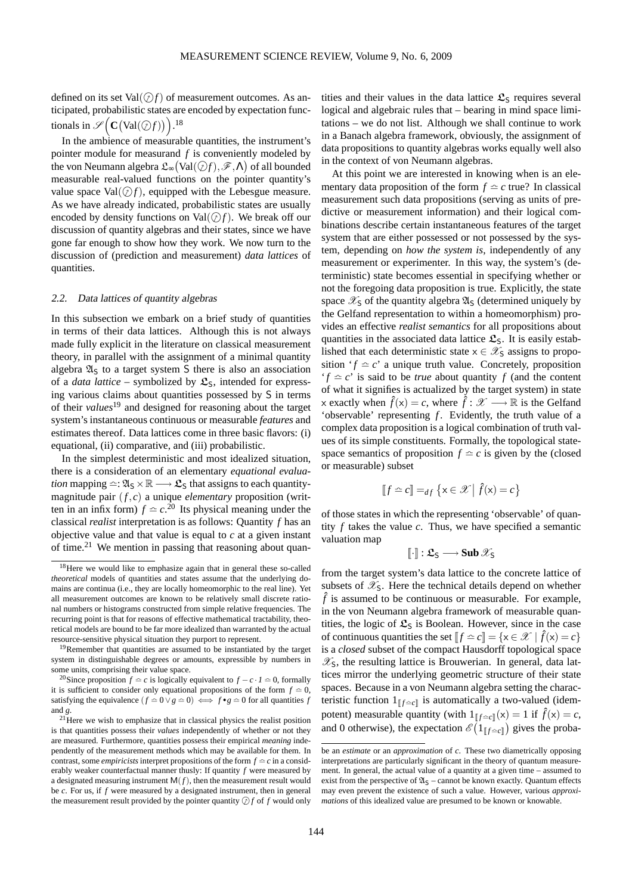defined on its set  $Val(\mathcal{D}f)$  of measurement outcomes. As anticipated, probabilistic states are encoded by expectation functionals in  $\mathscr{S}(\mathbf{C}(\text{Val}(\mathcal{Q}_f)))$ <sup>[18](#page-10-0)</sup>

In the ambience of measurable quantities, the instrument's pointer module for measurand *f* is conveniently modeled by the von Neumann algebra  $\mathfrak{L}_\infty \big( \mathrm{Val}(\mathcal{Q} f), \mathscr{F}, \Lambda \big)$  of all bounded measurable real-valued functions on the pointer quantity's value space Val $(\mathcal{D}f)$ , equipped with the Lebesgue measure. As we have already indicated, probabilistic states are usually encoded by density functions on  $Val(\widehat{f})f$ . We break off our discussion of quantity algebras and their states, since we have gone far enough to show how they work. We now turn to the discussion of (prediction and measurement) *data lattices* of quantities.

#### 2.2. Data lattices of quantity algebras

In this subsection we embark on a brief study of quantities in terms of their data lattices. Although this is not always made fully explicit in the literature on classical measurement theory, in parallel with the assignment of a minimal quantity algebra  $\mathfrak{A}_S$  to a target system S there is also an association of a *data lattice* – symbolized by  $\mathfrak{L}_S$ , intended for expressing various claims about quantities possessed by S in terms of their *values*[19](#page-10-1) and designed for reasoning about the target system's instantaneous continuous or measurable *features* and estimates thereof. Data lattices come in three basic flavors: (i) equational, (ii) comparative, and (iii) probabilistic.

In the simplest deterministic and most idealized situation, there is a consideration of an elementary *equational evaluation* mapping  $\cong : \mathfrak{A}_{S} \times \mathbb{R} \longrightarrow \mathfrak{L}_{S}$  that assigns to each quantitymagnitude pair (*f*,*c*) a unique *elementary* proposition (written in an infix form)  $f \approx c^{20}$  $f \approx c^{20}$  $f \approx c^{20}$  Its physical meaning under the classical *realist* interpretation is as follows: Quantity *f* has an objective value and that value is equal to *c* at a given instant of time.[21](#page-10-3) We mention in passing that reasoning about quan-

tities and their values in the data lattice  $\mathfrak{L}_S$  requires several logical and algebraic rules that – bearing in mind space limitations – we do not list. Although we shall continue to work in a Banach algebra framework, obviously, the assignment of data propositions to quantity algebras works equally well also in the context of von Neumann algebras.

At this point we are interested in knowing when is an elementary data proposition of the form  $f \approx c$  true? In classical measurement such data propositions (serving as units of predictive or measurement information) and their logical combinations describe certain instantaneous features of the target system that are either possessed or not possessed by the system, depending on *how the system is*, independently of any measurement or experimenter. In this way, the system's (deterministic) state becomes essential in specifying whether or not the foregoing data proposition is true. Explicitly, the state space  $\mathscr{X}_S$  of the quantity algebra  $\mathfrak{A}_S$  (determined uniquely by the Gelfand representation to within a homeomorphism) provides an effective *realist semantics* for all propositions about quantities in the associated data lattice  $\mathfrak{L}_S$ . It is easily established that each deterministic state  $x \in \mathcal{X}_S$  assigns to proposition ' $f \approx c$ ' a unique truth value. Concretely, proposition  $f \text{ }\hat{f} = c'$  is said to be *true* about quantity *f* (and the content of what it signifies is actualized by the target system) in state x exactly when  $\hat{f}(x) = c$ , where  $\hat{f}: \mathcal{X} \longrightarrow \mathbb{R}$  is the Gelfand 'observable' representing  $f$ . Evidently, the truth value of a complex data proposition is a logical combination of truth values of its simple constituents. Formally, the topological statespace semantics of proposition  $f \approx c$  is given by the (closed or measurable) subset

$$
[\![f \hat{=} c]\!] =_{df} \{ \mathbf{x} \in \mathcal{X} \mid \hat{f}(\mathbf{x}) = c \}
$$

of those states in which the representing 'observable' of quantity  $f$  takes the value  $c$ . Thus, we have specified a semantic valuation map

$$
[\![\cdot]\!]:\mathfrak{L}_\mathsf{S}\longrightarrow\mathbf{Sub}\,\mathscr{X}_\mathsf{S}
$$

from the target system's data lattice to the concrete lattice of subsets of  $\mathscr{X}_s$ . Here the technical details depend on whether  $\hat{f}$  is assumed to be continuous or measurable. For example, in the von Neumann algebra framework of measurable quantities, the logic of  $\mathfrak{L}_S$  is Boolean. However, since in the case of continuous quantities the set  $[f \simeq c] = \{x \in \mathcal{X} \mid \hat{f}(x) = c\}$ is a *closed* subset of the compact Hausdorff topological space  $\mathscr{X}_\mathsf{S}$ , the resulting lattice is Brouwerian. In general, data lattices mirror the underlying geometric structure of their state spaces. Because in a von Neumann algebra setting the characteristic function  $1_{\llbracket f = c \rrbracket}$  is automatically a two-valued (idempotent) measurable quantity (with  $1_{\llbracket f \simeq c \rrbracket}(x) = 1$  if  $\hat{f}(x) = c$ , and 0 otherwise), the expectation  $\mathscr{E}(1_{\llbracket f \rvert \leq c \llbracket f \rrbracket})$  gives the proba-

<span id="page-10-0"></span><sup>&</sup>lt;sup>18</sup>Here we would like to emphasize again that in general these so-called *theoretical* models of quantities and states assume that the underlying domains are continua (i.e., they are locally homeomorphic to the real line). Yet all measurement outcomes are known to be relatively small discrete rational numbers or histograms constructed from simple relative frequencies. The recurring point is that for reasons of effective mathematical tractability, theoretical models are bound to be far more idealized than warranted by the actual resource-sensitive physical situation they purport to represent.

<span id="page-10-1"></span><sup>&</sup>lt;sup>19</sup>Remember that quantities are assumed to be instantiated by the target system in distinguishable degrees or amounts, expressible by numbers in some units, comprising their value space.

<span id="page-10-2"></span><sup>&</sup>lt;sup>20</sup>Since proposition *f*  $\approx$  *c* is logically equivalent to *f* − *c* · *1*  $\approx$  0, formally it is sufficient to consider only equational propositions of the form  $f \approx 0$ , satisfying the equivalence  $(f \approx 0 \vee g \approx 0) \iff f \bullet g \approx 0$  for all quantities *f* and *g*.

<span id="page-10-3"></span> $2<sup>21</sup>$  Here we wish to emphasize that in classical physics the realist position is that quantities possess their *values* independently of whether or not they are measured. Furthermore, quantities possess their empirical *meaning* independently of the measurement methods which may be available for them. In contrast, some *empiricists* interpret propositions of the form  $f \approx c$  in a considerably weaker counterfactual manner thusly: If quantity *f* were measured by a designated measuring instrument  $M(f)$ , then the measurement result would be *c*. For us, if *f* were measured by a designated instrument, then in general the measurement result provided by the pointer quantity  $\mathcal{D}f$  of  $f$  would only

be an *estimate* or an *approximation* of *c*. These two diametrically opposing interpretations are particularly significant in the theory of quantum measurement. In general, the actual value of a quantity at a given time – assumed to exist from the perspective of  $\mathfrak{A}_S$  – cannot be known exactly. Quantum effects may even prevent the existence of such a value. However, various *approximations* of this idealized value are presumed to be known or knowable.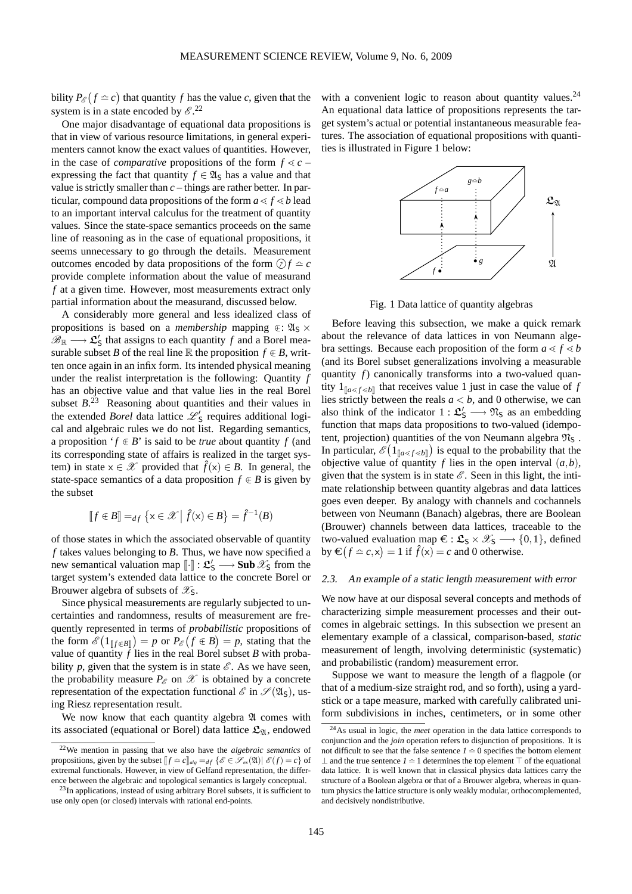bility  $P_{\mathscr{E}}(f \simeq c)$  that quantity *f* has the value *c*, given that the system is in a state encoded by  $\mathcal{E}^{22}$  $\mathcal{E}^{22}$  $\mathcal{E}^{22}$ 

One major disadvantage of equational data propositions is that in view of various resource limitations, in general experimenters cannot know the exact values of quantities. However, in the case of *comparative* propositions of the form  $f \ll c$ expressing the fact that quantity  $f \in \mathfrak{A}_S$  has a value and that value is strictly smaller than *c* – things are rather better. In particular, compound data propositions of the form  $a \le f \le b$  lead to an important interval calculus for the treatment of quantity values. Since the state-space semantics proceeds on the same line of reasoning as in the case of equational propositions, it seems unnecessary to go through the details. Measurement outcomes encoded by data propositions of the form  $\textcircled{f} \cong c$ provide complete information about the value of measurand *f* at a given time. However, most measurements extract only partial information about the measurand, discussed below.

A considerably more general and less idealized class of propositions is based on a *membership* mapping  $\in \mathfrak{A}_{S} \times$  $\mathscr{B}_{\mathbb{R}} \longrightarrow \mathfrak{L}'_{\mathsf{S}}$  that assigns to each quantity *f* and a Borel measurable subset *B* of the real line  $\mathbb R$  the proposition  $f \in B$ , written once again in an infix form. Its intended physical meaning under the realist interpretation is the following: Quantity *f* has an objective value and that value lies in the real Borel subset  $B<sup>23</sup>$  $B<sup>23</sup>$  $B<sup>23</sup>$  Reasoning about quantities and their values in the extended *Borel* data lattice  $\mathcal{L}'_S$  requires additional logical and algebraic rules we do not list. Regarding semantics, a proposition ' $f \in B$ ' is said to be *true* about quantity f (and its corresponding state of affairs is realized in the target system) in state  $x \in \mathcal{X}$  provided that  $\hat{f}(x) \in B$ . In general, the state-space semantics of a data proposition  $f \in B$  is given by the subset

$$
[\![f\in B]\!] =_{df} \left\{ \mathbf{x} \in \mathcal{X} \, \middle| \, \hat{f}(\mathbf{x}) \in B \right\} = \hat{f}^{-1}(B)
$$

of those states in which the associated observable of quantity *f* takes values belonging to *B*. Thus, we have now specified a new semantical valuation map  $[\![\cdot]\!] : \mathfrak{L}'_S \longrightarrow \textbf{Sub } \mathscr{X}_S$  from the target system's extended data lattice to the concrete Borel or Brouwer algebra of subsets of  $\mathscr{X}_S$ .

Since physical measurements are regularly subjected to uncertainties and randomness, results of measurement are frequently represented in terms of *probabilistic* propositions of the form  $\mathscr{E}(1_{\llbracket f \in B \rrbracket}) = p$  or  $P_{\mathscr{E}}(f \in B) = p$ , stating that the value of quantity  $f$  lies in the real Borel subset  $B$  with probability *p*, given that the system is in state  $\mathcal{E}$ . As we have seen, the probability measure  $P_{\mathscr{E}}$  on  $\mathscr{X}$  is obtained by a concrete representation of the expectation functional  $\mathscr{E}$  in  $\mathscr{S}(\mathfrak{A}_{\mathsf{S}})$ , using Riesz representation result.

We now know that each quantity algebra  $\mathfrak A$  comes with its associated (equational or Borel) data lattice  $\mathfrak{L}_{\mathfrak{A}}$ , endowed with a convenient logic to reason about quantity values.<sup>[24](#page-11-2)</sup> An equational data lattice of propositions represents the target system's actual or potential instantaneous measurable features. The association of equational propositions with quantities is illustrated in Figure 1 below:



Fig. 1 Data lattice of quantity algebras

Before leaving this subsection, we make a quick remark about the relevance of data lattices in von Neumann algebra settings. Because each proposition of the form  $a \leq f \leq b$ (and its Borel subset generalizations involving a measurable quantity *f*) canonically transforms into a two-valued quantity  $1_{\llbracket a \ll f \ll b \rrbracket}$  that receives value 1 just in case the value of *f* lies strictly between the reals  $a < b$ , and 0 otherwise, we can also think of the indicator  $1: \mathfrak{L}'_S \longrightarrow \mathfrak{N}_S$  as an embedding function that maps data propositions to two-valued (idempotent, projection) quantities of the von Neumann algebra  $\mathfrak{N}_S$ . In particular,  $\mathscr{E}(1_{\llbracket a < f < b \rrbracket})$  is equal to the probability that the objective value of quantity  $f$  lies in the open interval  $(a,b)$ , given that the system is in state  $\mathscr E$ . Seen in this light, the intimate relationship between quantity algebras and data lattices goes even deeper. By analogy with channels and cochannels between von Neumann (Banach) algebras, there are Boolean (Brouwer) channels between data lattices, traceable to the two-valued evaluation map  $\epsilon : \mathfrak{L}_S \times \mathfrak{X}_S \longrightarrow \{0,1\}$ , defined by  $\mathbf{E}(f \approx c, x) = 1$  if  $\hat{f}(x) = c$  and 0 otherwise.

#### 2.3. An example of <sup>a</sup> static length measurement with error

We now have at our disposal several concepts and methods of characterizing simple measurement processes and their outcomes in algebraic settings. In this subsection we present an elementary example of a classical, comparison-based, *static* measurement of length, involving deterministic (systematic) and probabilistic (random) measurement error.

Suppose we want to measure the length of a flagpole (or that of a medium-size straight rod, and so forth), using a yardstick or a tape measure, marked with carefully calibrated uniform subdivisions in inches, centimeters, or in some other

<span id="page-11-0"></span><sup>22</sup>We mention in passing that we also have the *algebraic semantics* of propositions, given by the subset  $[f \simeq c]_{alg} =_{df} {\{\mathscr{E} \in \mathscr{S}_{ex}(\mathfrak{A}) | \mathscr{E}(f) = c\}}$  of extremal functionals. However, in view of Gelfand representation, the difference between the algebraic and topological semantics is largely conceptual.

<span id="page-11-1"></span><sup>&</sup>lt;sup>23</sup>In applications, instead of using arbitrary Borel subsets, it is sufficient to use only open (or closed) intervals with rational end-points.

<span id="page-11-2"></span><sup>24</sup>As usual in logic, the *meet* operation in the data lattice corresponds to conjunction and the *join* operation refers to disjunction of propositions. It is not difficult to see that the false sentence  $I \approx 0$  specifies the bottom element ⊥ and the true sentence *1* ≏ 1 determines the top element ⊤ of the equational data lattice. It is well known that in classical physics data lattices carry the structure of a Boolean algebra or that of a Brouwer algebra, whereas in quantum physics the lattice structure is only weakly modular, orthocomplemented, and decisively nondistributive.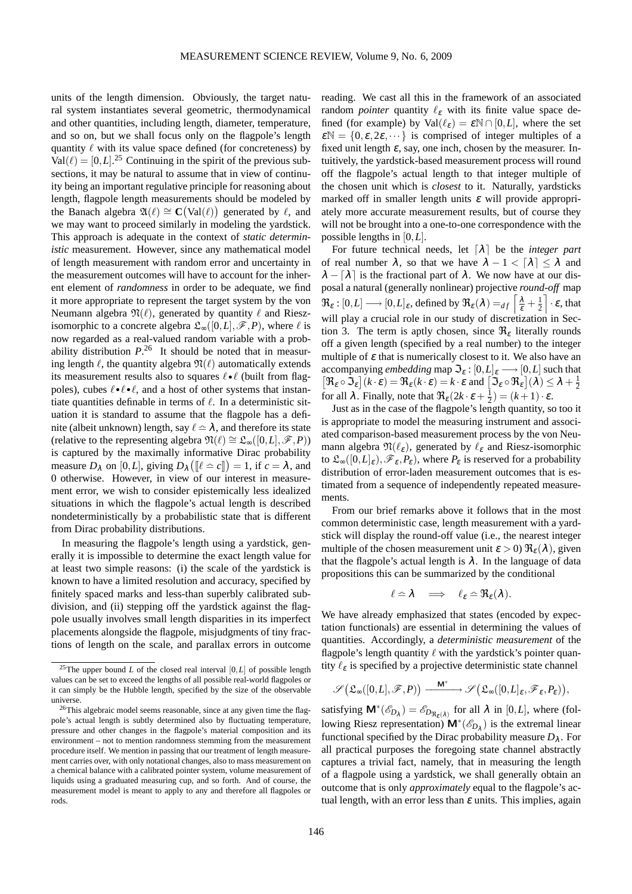units of the length dimension. Obviously, the target natural system instantiates several geometric, thermodynamical and other quantities, including length, diameter, temperature, and so on, but we shall focus only on the flagpole's length quantity  $\ell$  with its value space defined (for concreteness) by  $Val(\ell) = [0, L]$ <sup>[25](#page-12-0)</sup> Continuing in the spirit of the previous subsections, it may be natural to assume that in view of continuity being an important regulative principle for reasoning about length, flagpole length measurements should be modeled by the Banach algebra  $\mathfrak{A}(\ell) \cong \mathbf{C}(\text{Val}(\ell))$  generated by  $\ell$ , and we may want to proceed similarly in modeling the yardstick. This approach is adequate in the context of *static deterministic* measurement. However, since any mathematical model of length measurement with random error and uncertainty in the measurement outcomes will have to account for the inherent element of *randomness* in order to be adequate, we find it more appropriate to represent the target system by the von Neumann algebra  $\mathfrak{N}(\ell)$ , generated by quantity  $\ell$  and Rieszisomorphic to a concrete algebra  $\mathfrak{L}_{\infty}([0,L], \mathscr{F}, P)$ , where  $\ell$  is now regarded as a real-valued random variable with a probability distribution *P*. [26](#page-12-1) It should be noted that in measuring length  $\ell$ , the quantity algebra  $\mathfrak{N}(\ell)$  automatically extends its measurement results also to squares  $\ell \cdot \ell$  (built from flagpoles), cubes  $\ell \cdot \ell \cdot \ell$ , and a host of other systems that instantiate quantities definable in terms of  $\ell$ . In a deterministic situation it is standard to assume that the flagpole has a definite (albeit unknown) length, say  $\ell \approx \lambda$ , and therefore its state (relative to the representing algebra  $\mathfrak{N}(\ell) \cong \mathfrak{L}_{\infty}([0,L], \mathscr{F}, P)$ ) is captured by the maximally informative Dirac probability measure  $D_{\lambda}$  on [0,*L*], giving  $D_{\lambda}([\ell \simeq c]]) = 1$ , if  $c = \lambda$ , and 0 otherwise. However, in view of our interest in measurement error, we wish to consider epistemically less idealized situations in which the flagpole's actual length is described nondeterministically by a probabilistic state that is different from Dirac probability distributions.

In measuring the flagpole's length using a yardstick, generally it is impossible to determine the exact length value for at least two simple reasons: (i) the scale of the yardstick is known to have a limited resolution and accuracy, specified by finitely spaced marks and less-than superbly calibrated subdivision, and (ii) stepping off the yardstick against the flagpole usually involves small length disparities in its imperfect placements alongside the flagpole, misjudgments of tiny fractions of length on the scale, and parallax errors in outcome reading. We cast all this in the framework of an associated random *pointer* quantity  $\ell_{\varepsilon}$  with its finite value space defined (for example) by  $Val(\ell_{\varepsilon}) = \varepsilon N \cap [0, L]$ , where the set  $\mathcal{E}N = \{0, \varepsilon, 2\varepsilon, \dots\}$  is comprised of integer multiples of a fixed unit length  $\varepsilon$ , say, one inch, chosen by the measurer. Intuitively, the yardstick-based measurement process will round off the flagpole's actual length to that integer multiple of the chosen unit which is *closest* to it. Naturally, yardsticks marked off in smaller length units  $\varepsilon$  will provide appropriately more accurate measurement results, but of course they will not be brought into a one-to-one correspondence with the possible lengths in [0,*L*].

For future technical needs, let  $\lceil \lambda \rceil$  be the *integer part* of real number  $\lambda$ , so that we have  $\lambda - 1 < \lceil \lambda \rceil \leq \lambda$  and  $\lambda - \lceil \lambda \rceil$  is the fractional part of  $\lambda$ . We now have at our disposal a natural (generally nonlinear) projective *round-off* map  $\mathfrak{R}_{\varepsilon} : [0, L] \longrightarrow [0, L]_{\varepsilon}$ , defined by  $\mathfrak{R}_{\varepsilon}(\lambda) =_{df} \left[ \frac{\lambda}{\varepsilon} + \frac{1}{2} \right]$  $\left[\cdot \right]$   $\cdot \epsilon$ , that will play a crucial role in our study of discretization in Section 3. The term is aptly chosen, since  $\Re$ <sub>*ε*</sub> literally rounds off a given length (specified by a real number) to the integer multiple of  $\varepsilon$  that is numerically closest to it. We also have an accompanying *embedding* map  $\mathcal{F}_{\varepsilon}$  :  $[0,L]_{\varepsilon} \longrightarrow [0,L]$  such that  $[\mathfrak{R}_{\varepsilon} \circ \mathfrak{S}_{\varepsilon}](k \cdot \varepsilon) = \mathfrak{R}_{\varepsilon}(k \cdot \varepsilon) = k \cdot \varepsilon$  and  $[\mathfrak{S}_{\varepsilon} \circ \mathfrak{R}_{\varepsilon}](\lambda) \leq \lambda + \frac{1}{2}$ for all  $\lambda$ . Finally, note that  $\Re_{\varepsilon}(2k \cdot \varepsilon + \frac{1}{2}) = (k+1) \cdot \varepsilon$ .

Just as in the case of the flagpole's length quantity, so too it is appropriate to model the measuring instrument and associated comparison-based measurement process by the von Neumann algebra  $\mathfrak{N}(\ell_{\varepsilon})$ , generated by  $\ell_{\varepsilon}$  and Riesz-isomorphic to  $\mathfrak{L}_{\infty}([0,L]_{\varepsilon}), \mathscr{F}_{\varepsilon}, P_{\varepsilon}$ , where  $P_{\varepsilon}$  is reserved for a probability distribution of error-laden measurement outcomes that is estimated from a sequence of independently repeated measurements.

From our brief remarks above it follows that in the most common deterministic case, length measurement with a yardstick will display the round-off value (i.e., the nearest integer multiple of the chosen measurement unit  $\varepsilon > 0$ )  $\Re_{\varepsilon}(\lambda)$ , given that the flagpole's actual length is  $\lambda$ . In the language of data propositions this can be summarized by the conditional

$$
\ell \simeq \lambda \quad \Longrightarrow \quad \ell_{\varepsilon} \simeq \Re_{\varepsilon}(\lambda).
$$

We have already emphasized that states (encoded by expectation functionals) are essential in determining the values of quantities. Accordingly, a *deterministic measurement* of the flagpole's length quantity  $\ell$  with the vardstick's pointer quantity  $\ell_{\varepsilon}$  is specified by a projective deterministic state channel

$$
\mathscr{S}\big(\mathfrak{L}_{\infty}\big([0,L], \mathscr{F}, P\big)\big) \xrightarrow{\quad \mathbf{M}^* \quad \longrightarrow \quad} \mathscr{S}\big(\mathfrak{L}_{\infty}\big([0,L]_{\epsilon}, \mathscr{F}_{\epsilon}, P_{\epsilon}\big)\big),
$$

satisfying  $\mathsf{M}^*(\mathscr{E}_{D_\lambda}) = \mathscr{E}_{D_{\Re(\lambda)}}$  for all  $\lambda$  in [0,*L*], where (following Riesz representation)  $\mathsf{M}^{*}(\mathscr{E}_{D_{\lambda}})$  is the extremal linear functional specified by the Dirac probability measure  $D_{\lambda}$ . For all practical purposes the foregoing state channel abstractly captures a trivial fact, namely, that in measuring the length of a flagpole using a yardstick, we shall generally obtain an outcome that is only *approximately* equal to the flagpole's actual length, with an error less than  $\varepsilon$  units. This implies, again

<span id="page-12-0"></span><sup>&</sup>lt;sup>25</sup>The upper bound *L* of the closed real interval  $[0, L]$  of possible length values can be set to exceed the lengths of all possible real-world flagpoles or it can simply be the Hubble length, specified by the size of the observable universe.

<span id="page-12-1"></span><sup>&</sup>lt;sup>26</sup>This algebraic model seems reasonable, since at any given time the flagpole's actual length is subtly determined also by fluctuating temperature, pressure and other changes in the flagpole's material composition and its environment – not to mention randomness stemming from the measurement procedure itself. We mention in passing that our treatment of length measurement carries over, with only notational changes, also to mass measurement on a chemical balance with a calibrated pointer system, volume measurement of liquids using a graduated measuring cup, and so forth. And of course, the measurement model is meant to apply to any and therefore all flagpoles or rods.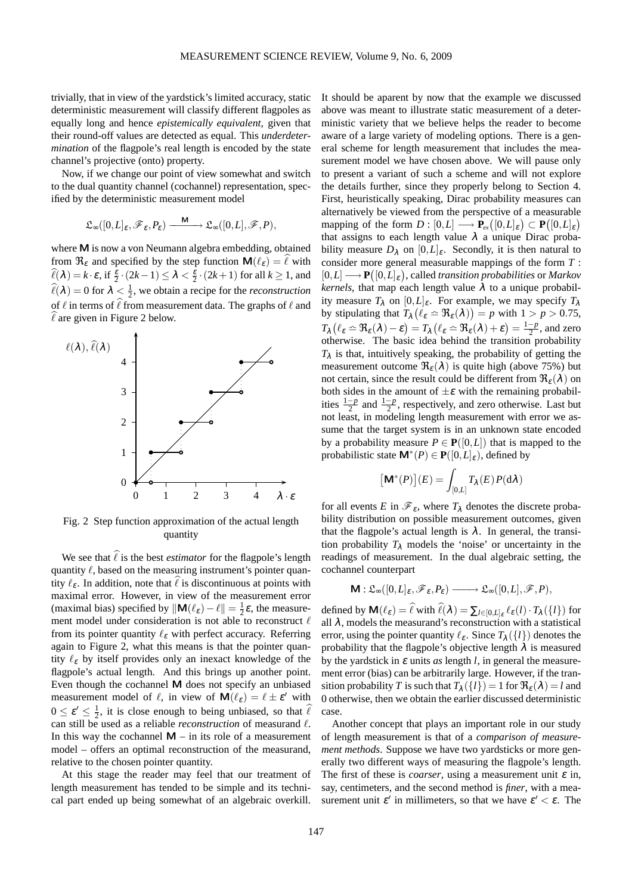trivially, that in view of the yardstick's limited accuracy, static deterministic measurement will classify different flagpoles as equally long and hence *epistemically equivalent*, given that their round-off values are detected as equal. This *underdetermination* of the flagpole's real length is encoded by the state channel's projective (onto) property.

Now, if we change our point of view somewhat and switch to the dual quantity channel (cochannel) representation, specified by the deterministic measurement model

$$
\mathfrak{L}_\infty([0,L]_\epsilon, \mathscr{F}_\epsilon, P_\epsilon) \xrightarrow{\quad \mathsf{M} \quad} \mathfrak{L}_\infty([0,L], \mathscr{F}, P),
$$

where M is now a von Neumann algebra embedding, obtained from  $\Re_{\varepsilon}$  and specified by the step function  $\mathsf{M}(\ell_{\varepsilon}) = \ell$  with  $\ell(\lambda) = k \cdot \varepsilon$ , if  $\frac{\varepsilon}{2} \cdot (2k-1) \leq \lambda < \frac{\varepsilon}{2} \cdot (2k+1)$  for all  $k \geq 1$ , and  $\widehat{\ell}(\lambda) = 0$  for  $\lambda < \frac{1}{2}$ , we obtain a recipe for the *reconstruction* of  $\ell$  in terms of  $\ell$  from measurement data. The graphs of  $\ell$  and  $\ell$  are given in Figure 2 below.



Fig. 2 Step function approximation of the actual length quantity

We see that  $\hat{\ell}$  is the best *estimator* for the flagpole's length quantity  $\ell$ , based on the measuring instrument's pointer quantity  $\ell_{\varepsilon}$ . In addition, note that  $\ell$  is discontinuous at points with maximal error. However, in view of the measurement error (maximal bias) specified by  $\|\mathbf{M}(\ell_{\varepsilon}) - \ell\| = \frac{1}{2}\varepsilon$ , the measurement model under consideration is not able to reconstruct  $\ell$ from its pointer quantity  $\ell_{\epsilon}$  with perfect accuracy. Referring again to Figure 2, what this means is that the pointer quantity  $\ell_{\varepsilon}$  by itself provides only an inexact knowledge of the flagpole's actual length. And this brings up another point. Even though the cochannel M does not specify an unbiased measurement model of  $\ell$ , in view of  $\mathbf{M}(\ell_{\varepsilon}) = \ell \pm \varepsilon'$  with  $0 \le \varepsilon' \le \frac{1}{2}$ , it is close enough to being unbiased, so that  $\widehat{\ell}$ can still be used as a reliable *reconstruction* of measurand ℓ. In this way the cochannel  $M - in$  its role of a measurement model – offers an optimal reconstruction of the measurand, relative to the chosen pointer quantity.

At this stage the reader may feel that our treatment of length measurement has tended to be simple and its technical part ended up being somewhat of an algebraic overkill. It should be aparent by now that the example we discussed above was meant to illustrate static measurement of a deterministic variety that we believe helps the reader to become aware of a large variety of modeling options. There is a general scheme for length measurement that includes the measurement model we have chosen above. We will pause only to present a variant of such a scheme and will not explore the details further, since they properly belong to Section 4. First, heuristically speaking, Dirac probability measures can alternatively be viewed from the perspective of a measurable mapping of the form  $D : [0, L] \longrightarrow \mathbf{P}_{ex}([0, L]_{\varepsilon}) \subset \mathbf{P}([0, L]_{\varepsilon})$ that assigns to each length value  $\lambda$  a unique Dirac probability measure  $D_{\lambda}$  on  $[0, L]_{\varepsilon}$ . Secondly, it is then natural to consider more general measurable mappings of the form *T* :  $[0,L] \longrightarrow \mathbf{P}([0,L]_{\varepsilon})$ , called *transition probabilities* or *Markov kernels*, that map each length value  $\lambda$  to a unique probability measure  $T_{\lambda}$  on  $[0, L]_{\varepsilon}$ . For example, we may specify  $T_{\lambda}$ by stipulating that  $T_{\lambda}$  ( $\ell_{\varepsilon} \simeq \Re_{\varepsilon}(\lambda)$ ) = *p* with  $1 > p > 0.75$ ,  $T_{\lambda} (\ell_{\varepsilon} \simeq \Re_{\varepsilon} (\lambda) - \varepsilon) = T_{\lambda} (\ell_{\varepsilon} \simeq \Re_{\varepsilon} (\lambda) + \varepsilon) = \frac{1-p}{2}$ , and zero otherwise. The basic idea behind the transition probability  $T_{\lambda}$  is that, intuitively speaking, the probability of getting the measurement outcome  $\Re_{\epsilon}(\lambda)$  is quite high (above 75%) but not certain, since the result could be different from  $\Re_{\epsilon}(\lambda)$  on both sides in the amount of  $\pm \varepsilon$  with the remaining probabilities  $\frac{1-p}{2}$  and  $\frac{1-p}{2}$ , respectively, and zero otherwise. Last but not least, in modeling length measurement with error we assume that the target system is in an unknown state encoded by a probability measure  $P \in \mathbf{P}([0,L])$  that is mapped to the probabilistic state  $\mathbf{M}^*(P) \in \mathbf{P}([0,L]_\varepsilon)$ , defined by

$$
[\mathbf{M}^*(P)](E) = \int_{[0,L]} T_{\lambda}(E) P(\mathrm{d}\lambda)
$$

for all events *E* in  $\mathcal{F}_{\varepsilon}$ , where  $T_{\lambda}$  denotes the discrete probability distribution on possible measurement outcomes, given that the flagpole's actual length is  $\lambda$ . In general, the transition probability  $T_{\lambda}$  models the 'noise' or uncertainty in the readings of measurement. In the dual algebraic setting, the cochannel counterpart

$$
\mathsf{M}: \mathfrak{L}_{\infty}([0,L]_{\varepsilon}, \mathscr{F}_{\varepsilon}, P_{\varepsilon}) \longrightarrow \mathfrak{L}_{\infty}([0,L], \mathscr{F}, P),
$$

defined by  $\mathbf{M}(\ell_{\varepsilon}) = \hat{\ell}$  with  $\hat{\ell}(\lambda) = \sum_{l \in [0,L]_{\varepsilon}} \ell_{\varepsilon}(l) \cdot T_{\lambda}(\lbrace l \rbrace)$  for all  $\lambda$ , models the measurand's reconstruction with a statistical error, using the pointer quantity  $\ell_{\varepsilon}$ . Since  $T_{\lambda}(\{l\})$  denotes the probability that the flagpole's objective length  $\lambda$  is measured by the yardstick in  $\varepsilon$  units  $as$  length  $l$ , in general the measurement error (bias) can be arbitrarily large. However, if the transition probability *T* is such that  $T_{\lambda}(\lbrace l \rbrace) = 1$  for  $\Re_{\varepsilon}(\lambda) = l$  and 0 otherwise, then we obtain the earlier discussed deterministic case.

Another concept that plays an important role in our study of length measurement is that of a *comparison of measurement methods*. Suppose we have two yardsticks or more generally two different ways of measuring the flagpole's length. The first of these is *coarser*, using a measurement unit  $\varepsilon$  in, say, centimeters, and the second method is *finer*, with a measurement unit  $\varepsilon'$  in millimeters, so that we have  $\varepsilon' < \varepsilon$ . The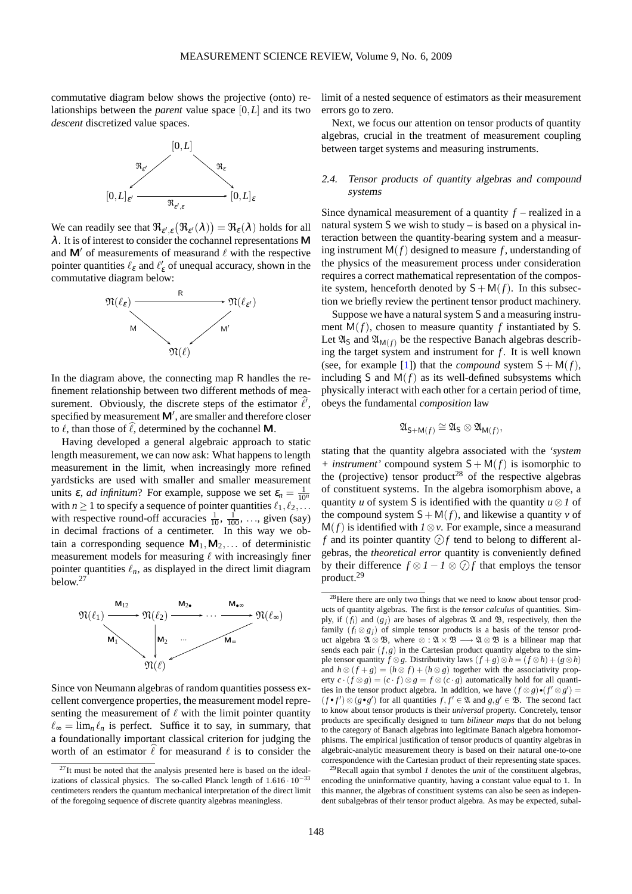commutative diagram below shows the projective (onto) relationships between the *parent* value space [0,*L*] and its two *descent* discretized value spaces.



We can readily see that  $\Re_{\varepsilon',\varepsilon}(\Re_{\varepsilon'}(\lambda)) = \Re_{\varepsilon}(\lambda)$  holds for all <sup>λ</sup>. It is of interest to consider the cochannel representations M and  $\mathsf{M}'$  of measurements of measurand  $\ell$  with the respective pointer quantities  $\ell_{\varepsilon}$  and  $\ell'_{\varepsilon}$  of unequal accuracy, shown in the commutative diagram below:



In the diagram above, the connecting map R handles the refinement relationship between two different methods of measurement. Obviously, the discrete steps of the estimator  $\ell'$ , specified by measurement  $\mathsf{M}'$ , are smaller and therefore closer to  $\ell$ , than those of  $\ell$ , determined by the cochannel M.

Having developed a general algebraic approach to static length measurement, we can now ask: What happens to length measurement in the limit, when increasingly more refined yardsticks are used with smaller and smaller measurement units  $\varepsilon$ , *ad infinitum*? For example, suppose we set  $\varepsilon_n = \frac{1}{10^n}$ with *n*  $\geq$  1 to specify a sequence of pointer quantities  $\ell_1, \ell_2, \ldots$ with respective round-off accuracies  $\frac{1}{10}$ ,  $\frac{1}{100}$ , ..., given (say) in decimal fractions of a centimeter. In this way we obtain a corresponding sequence  $M_1, M_2, \ldots$  of deterministic measurement models for measuring  $\ell$  with increasingly finer pointer quantities  $\ell_n$ , as displayed in the direct limit diagram below.[27](#page-14-0)



Since von Neumann algebras of random quantities possess excellent convergence properties, the measurement model representing the measurement of  $\ell$  with the limit pointer quantity  $\ell_{\infty} = \lim_{n} \ell_n$  is perfect. Suffice it to say, in summary, that a foundationally important classical criterion for judging the worth of an estimator  $\hat{\ell}$  for measurand  $\ell$  is to consider the limit of a nested sequence of estimators as their measurement errors go to zero.

Next, we focus our attention on tensor products of quantity algebras, crucial in the treatment of measurement coupling between target systems and measuring instruments.

# 2.4. Tensor products of quantity algebras and compound systems

Since dynamical measurement of a quantity *f* – realized in a natural system S we wish to study – is based on a physical interaction between the quantity-bearing system and a measuring instrument  $M(f)$  designed to measure f, understanding of the physics of the measurement process under consideration requires a correct mathematical representation of the composite system, henceforth denoted by  $S + M(f)$ . In this subsection we briefly review the pertinent tensor product machinery.

Suppose we have a natural system S and a measuring instrument  $M(f)$ , chosen to measure quantity f instantiated by S. Let  $\mathfrak{A}_S$  and  $\mathfrak{A}_{M(f)}$  be the respective Banach algebras describing the target system and instrument for *f* . It is well known (see, for example [\[1\]](#page-27-11)) that the *compound* system  $S + M(f)$ , including S and  $M(f)$  as its well-defined subsystems which physically interact with each other for a certain period of time, obeys the fundamental *composition* law

$$
\mathfrak{A}_{\mathsf{S}+\mathsf{M}(f)}\cong \mathfrak{A}_\mathsf{S}\otimes \mathfrak{A}_{\mathsf{M}(f)},
$$

stating that the quantity algebra associated with the *'system + instrument'* compound system  $S + M(f)$  is isomorphic to the (projective) tensor product<sup>[28](#page-14-1)</sup> of the respective algebras of constituent systems. In the algebra isomorphism above, a quantity *u* of system S is identified with the quantity  $u \otimes 1$  of the compound system  $S + M(f)$ , and likewise a quantity *v* of M(*f*) is identified with *1*⊗*v*. For example, since a measurand *f* and its pointer quantity  $\mathcal{D}f$  tend to belong to different algebras, the *theoretical error* quantity is conveniently defined by their difference  $f \otimes 1 - 1 \otimes \bigcirc f$  that employs the tensor product.[29](#page-14-2)

<span id="page-14-2"></span><sup>29</sup>Recall again that symbol *1* denotes the *unit* of the constituent algebras, encoding the uninformative quantity, having a constant value equal to 1. In this manner, the algebras of constituent systems can also be seen as independent subalgebras of their tensor product algebra. As may be expected, subal-

<span id="page-14-0"></span> $27$ It must be noted that the analysis presented here is based on the idealizations of classical physics. The so-called Planck length of  $1.616 \cdot 10^{-33}$ centimeters renders the quantum mechanical interpretation of the direct limit of the foregoing sequence of discrete quantity algebras meaningless.

<span id="page-14-1"></span><sup>28</sup>Here there are only two things that we need to know about tensor products of quantity algebras. The first is the *tensor calculus* of quantities. Simply, if  $(f_i)$  and  $(g_j)$  are bases of algebras  $\mathfrak A$  and  $\mathfrak B$ , respectively, then the family  $(f_i \otimes g_j)$  of simple tensor products is a basis of the tensor product algebra  $\mathfrak{A} \otimes \mathfrak{B}$ , where  $\otimes : \mathfrak{A} \times \mathfrak{B} \longrightarrow \mathfrak{A} \otimes \mathfrak{B}$  is a bilinear map that sends each pair  $(f, g)$  in the Cartesian product quantity algebra to the simple tensor quantity *f* ⊗ *g*. Distributivity laws  $(f+g) \otimes h = (f \otimes h) + (g \otimes h)$ and  $h \otimes (f + g) = (h \otimes f) + (h \otimes g)$  together with the associativity property  $c \cdot (f \otimes g) = (c \cdot f) \otimes g = f \otimes (c \cdot g)$  automatically hold for all quantities in the tensor product algebra. In addition, we have  $(f \otimes g) \cdot (f' \otimes g') =$  $(f \cdot f') \otimes (g \cdot g')$  for all quantities *f*, *f*<sup>'</sup> ∈  $\mathfrak{A}$  and *g*, *g*<sup>'</sup> ∈  $\mathfrak{B}$ . The second fact to know about tensor products is their *universal* property. Concretely, tensor products are specifically designed to turn *bilinear maps* that do not belong to the category of Banach algebras into legitimate Banach algebra homomorphisms. The empirical justification of tensor products of quantity algebras in algebraic-analytic measurement theory is based on their natural one-to-one correspondence with the Cartesian product of their representing state spaces.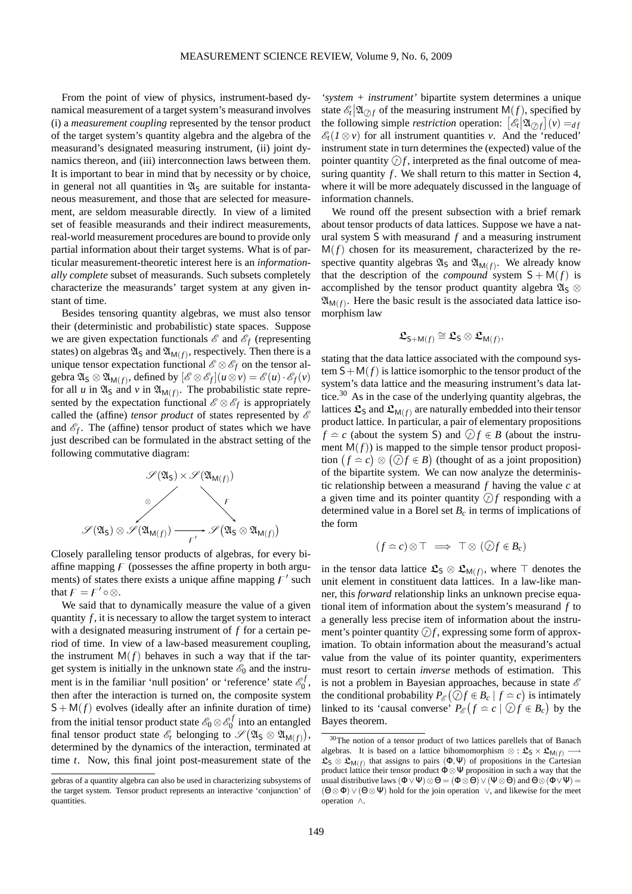From the point of view of physics, instrument-based dynamical measurement of a target system's measurand involves (i) a *measurement coupling* represented by the tensor product of the target system's quantity algebra and the algebra of the measurand's designated measuring instrument, (ii) joint dynamics thereon, and (iii) interconnection laws between them. It is important to bear in mind that by necessity or by choice, in general not all quantities in  $\mathfrak{A}_S$  are suitable for instantaneous measurement, and those that are selected for measurement, are seldom measurable directly. In view of a limited set of feasible measurands and their indirect measurements, real-world measurement procedures are bound to provide only partial information about their target systems. What is of particular measurement-theoretic interest here is an *informationally complete* subset of measurands. Such subsets completely characterize the measurands' target system at any given instant of time.

Besides tensoring quantity algebras, we must also tensor their (deterministic and probabilistic) state spaces. Suppose we are given expectation functionals  $\mathscr E$  and  $\mathscr E_f$  (representing states) on algebras  $\mathfrak{A}_\mathsf{S}$  and  $\mathfrak{A}_{\mathsf{M}(f)}$ , respectively. Then there is a unique tensor expectation functional  $\mathscr{E} \otimes \mathscr{E}_f$  on the tensor algebra  $\mathfrak{A}_S \otimes \mathfrak{A}_{\mathsf{M}(f)}$ , defined by  $[\mathscr{E} \otimes \mathscr{E}_f](u \otimes v) = \mathscr{E}(u) \cdot \mathscr{E}_f(v)$ for all *u* in  $\mathfrak{A}_S$  and *v* in  $\mathfrak{A}_{M(f)}$ . The probabilistic state represented by the expectation functional  $\mathscr{E} \otimes \mathscr{E}_f$  is appropriately called the (affine) *tensor product* of states represented by  $\mathscr E$ and  $\mathscr{E}_f$ . The (affine) tensor product of states which we have just described can be formulated in the abstract setting of the following commutative diagram:



Closely paralleling tensor products of algebras, for every biaffine mapping  $\overline{F}$  (possesses the affine property in both arguments) of states there exists a unique affine mapping  $F'$  such that  $F = F' \circ \otimes$ .

We said that to dynamically measure the value of a given quantity *f* , it is necessary to allow the target system to interact with a designated measuring instrument of *f* for a certain period of time. In view of a law-based measurement coupling, the instrument  $M(f)$  behaves in such a way that if the target system is initially in the unknown state  $\mathscr{E}_0$  and the instrument is in the familiar 'null position' or 'reference' state  $\mathscr{E}_0^f$ ,<br>0, then after the interaction is turned on, the composite system  $S + M(f)$  evolves (ideally after an infinite duration of time) from the initial tensor product state  $\mathscr{E}_0 \otimes \mathscr{E}_0^f$  $\frac{1}{0}$  into an entangled final tensor product state  $\mathscr{E}_t$  belonging to  $\mathscr{S}(\mathfrak{A}_S \otimes \mathfrak{A}_{M(f)}),$ determined by the dynamics of the interaction, terminated at time *t*. Now, this final joint post-measurement state of the

*'system + instrument'* bipartite system determines a unique state  $\mathscr{E}_t | \mathfrak{A}_{\mathcal{D}f}$  of the measuring instrument  $\mathsf{M}(f)$ , specified by the following simple *restriction* operation:  $\left[\mathcal{E}_t[\mathfrak{A}_{\mathcal{O}f}](v) =_{df}$  $\mathscr{E}_t(I \otimes v)$  for all instrument quantities *v*. And the 'reduced' instrument state in turn determines the (expected) value of the pointer quantity  $\mathcal{D}f$ , interpreted as the final outcome of measuring quantity  $f$ . We shall return to this matter in Section 4, where it will be more adequately discussed in the language of information channels.

We round off the present subsection with a brief remark about tensor products of data lattices. Suppose we have a natural system S with measurand *f* and a measuring instrument  $M(f)$  chosen for its measurement, characterized by the respective quantity algebras  $\mathfrak{A}_S$  and  $\mathfrak{A}_{M(f)}$ . We already know that the description of the *compound* system  $S + M(f)$  is accomplished by the tensor product quantity algebra  $\mathfrak{A}_S \otimes$  $\mathfrak{A}_{\mathsf{M}(f)}$ . Here the basic result is the associated data lattice isomorphism law

$$
\mathfrak{L}_{\mathsf{S}+\mathsf{M}(f)}\cong \mathfrak{L}_{\mathsf{S}}\otimes \mathfrak{L}_{\mathsf{M}(f)},
$$

stating that the data lattice associated with the compound system  $S + M(f)$  is lattice isomorphic to the tensor product of the system's data lattice and the measuring instrument's data lat-tice.<sup>[30](#page-15-0)</sup> As in the case of the underlying quantity algebras, the lattices  $\mathfrak{L}_S$  and  $\mathfrak{L}_{M(f)}$  are naturally embedded into their tensor product lattice. In particular, a pair of elementary propositions  $f \cong c$  (about the system S) and  $\textcircled{f} f \in B$  (about the instrument  $M(f)$ ) is mapped to the simple tensor product proposition  $(f \simeq c) \otimes (\widehat{\mathcal{Q}}f \in B)$  (thought of as a joint proposition) of the bipartite system. We can now analyze the deterministic relationship between a measurand *f* having the value *c* at a given time and its pointer quantity  $\mathcal{D}f$  responding with a determined value in a Borel set *B<sup>c</sup>* in terms of implications of the form

$$
(f \simeq c) \otimes \top \implies \top \otimes (\bigcirc f \in B_c)
$$

in the tensor data lattice  $\mathfrak{L}_S \otimes \mathfrak{L}_{M(f)}$ , where  $\top$  denotes the unit element in constituent data lattices. In a law-like manner, this *forward* relationship links an unknown precise equational item of information about the system's measurand *f* to a generally less precise item of information about the instrument's pointer quantity  $\mathcal{D}f$ , expressing some form of approximation. To obtain information about the measurand's actual value from the value of its pointer quantity, experimenters must resort to certain *inverse* methods of estimation. This is not a problem in Bayesian approaches, because in state  $\mathscr E$ the conditional probability  $P_{\mathscr{E}}(\widehat{\mathcal{Q}}) f \in B_c | f \simeq c$  is intimately linked to its 'causal converse'  $P_{\mathscr{E}}(f \simeq c \mid \mathcal{D}f \in B_c)$  by the Bayes theorem.

gebras of a quantity algebra can also be used in characterizing subsystems of the target system. Tensor product represents an interactive 'conjunction' of quantities.

<span id="page-15-0"></span><sup>30</sup>The notion of a tensor product of two lattices parellels that of Banach algebras. It is based on a lattice bihomomorphism  $\otimes$  :  $\mathfrak{L}_{S} \times \mathfrak{L}_{M(f)}$ .  $\mathfrak{L}_{\mathsf{S}} \otimes \mathfrak{L}_{\mathsf{M}(f)}$  that assigns to pairs  $(\Phi, \Psi)$  of propositions in the Cartesian product lattice their tensor product  $\Phi \otimes \Psi$  proposition in such a way that the usual distributive laws  $(\Phi \vee \Psi) \otimes \Theta = (\Phi \otimes \Theta) \vee (\Psi \otimes \Theta)$  and  $\Theta \otimes (\Phi \vee \Psi) =$  $(\Theta \otimes \Phi) \vee (\Theta \otimes \Psi)$  hold for the join operation  $\vee$ , and likewise for the meet operation ∧.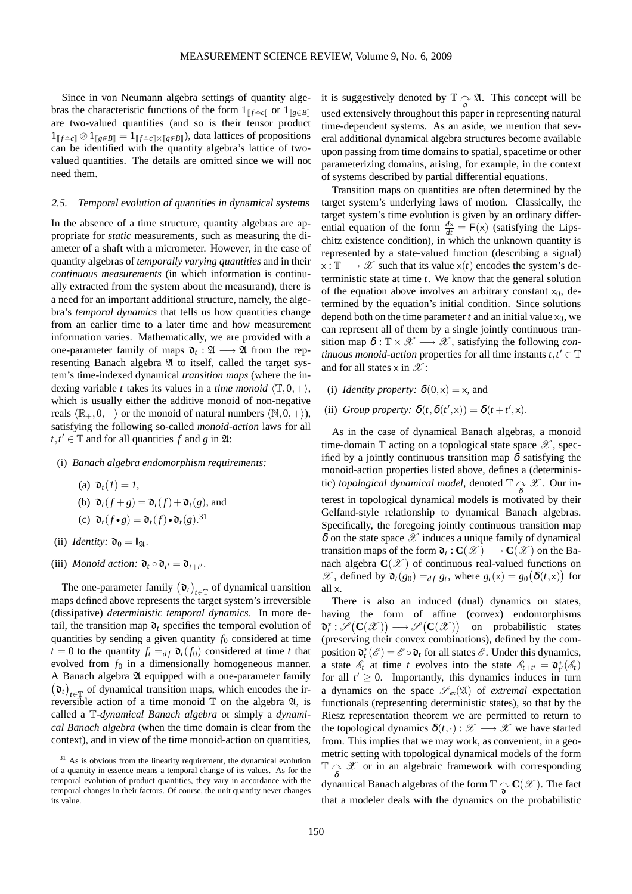Since in von Neumann algebra settings of quantity algebras the characteristic functions of the form  $1_{\llbracket f \rvert \geq c \llbracket}$  or  $1_{\llbracket g \notin B \rrbracket}$ are two-valued quantities (and so is their tensor product  $1_{\llbracket f \simeq c \rrbracket} \otimes 1_{\llbracket g \in B \rrbracket} = 1_{\llbracket f \simeq c \rrbracket \times \llbracket g \in B \rrbracket}$ , data lattices of propositions can be identified with the quantity algebra's lattice of twovalued quantities. The details are omitted since we will not need them.

#### 2.5. Temporal evolution of quantities in dynamical systems

In the absence of a time structure, quantity algebras are appropriate for *static* measurements, such as measuring the diameter of a shaft with a micrometer. However, in the case of quantity algebras of *temporally varying quantities* and in their *continuous measurements* (in which information is continually extracted from the system about the measurand), there is a need for an important additional structure, namely, the algebra's *temporal dynamics* that tells us how quantities change from an earlier time to a later time and how measurement information varies. Mathematically, we are provided with a one-parameter family of maps  $\mathfrak{d}_t : \mathfrak{A} \longrightarrow \mathfrak{A}$  from the representing Banach algebra  $\mathfrak A$  to itself, called the target system's time-indexed dynamical *transition maps* (where the indexing variable *t* takes its values in a *time monoid*  $\langle \mathbb{T}, 0, + \rangle$ , which is usually either the additive monoid of non-negative reals  $\langle \mathbb{R}_+,0,+\rangle$  or the monoid of natural numbers  $\langle \mathbb{N},0,+\rangle$ ), satisfying the following so-called *monoid-action* laws for all  $t, t' \in \mathbb{T}$  and for all quantities *f* and *g* in  $\mathfrak{A}$ :

(i) *Banach algebra endomorphism requirements:*

(a) 
$$
\mathfrak{d}_t(I) = I
$$
,  
\n(b)  $\mathfrak{d}_t(f+g) = \mathfrak{d}_t(f) + \mathfrak{d}_t(g)$ , and  
\n(c)  $\mathfrak{d}_t(f \cdot g) = \mathfrak{d}_t(f) \cdot \mathfrak{d}_t(g)$ .<sup>31</sup>

- (ii) *Identity*:  $\mathfrak{d}_0 = I_{\mathfrak{A}}$ .
- (iii) *Monoid action:*  $\mathfrak{d}_t \circ \mathfrak{d}_{t'} = \mathfrak{d}_{t+t'}$ .

The one-parameter family  $(\mathfrak{d}_t)$  $t \in T$  of dynamical transition maps defined above represents the target system's irreversible (dissipative) *deterministic temporal dynamics*. In more detail, the transition map  $\mathfrak{d}_t$  specifies the temporal evolution of quantities by sending a given quantity  $f_0$  considered at time  $t = 0$  to the quantity  $f_t = df \mathbf{d}_t(f_0)$  considered at time *t* that evolved from  $f_0$  in a dimensionally homogeneous manner. A Banach algebra  $\mathfrak A$  equipped with a one-parameter family  $(\mathfrak{d}_t)$ *t*∈T of dynamical transition maps, which encodes the irreversible action of a time monoid  $\mathbb T$  on the algebra  $\mathfrak A$ , is called a T-*dynamical Banach algebra* or simply a *dynamical Banach algebra* (when the time domain is clear from the context), and in view of the time monoid-action on quantities,

it is suggestively denoted by  $\mathbb{T} \underset{\mathbf{d}}{\sim} \mathfrak{A}$ . This concept will be used extensively throughout this paper in representing natural time-dependent systems. As an aside, we mention that several additional dynamical algebra structures become available upon passing from time domains to spatial, spacetime or other parameterizing domains, arising, for example, in the context of systems described by partial differential equations.

Transition maps on quantities are often determined by the target system's underlying laws of motion. Classically, the target system's time evolution is given by an ordinary differential equation of the form  $\frac{dx}{dt} = F(x)$  (satisfying the Lipschitz existence condition), in which the unknown quantity is represented by a state-valued function (describing a signal)  $x : \mathbb{T} \longrightarrow \mathcal{X}$  such that its value  $x(t)$  encodes the system's deterministic state at time *t*. We know that the general solution of the equation above involves an arbitrary constant  $x_0$ , determined by the equation's initial condition. Since solutions depend both on the time parameter  $t$  and an initial value  $x_0$ , we can represent all of them by a single jointly continuous transition map  $\delta : \mathbb{T} \times \mathcal{X} \longrightarrow \mathcal{X}$ , satisfying the following *continuous monoid-action* properties for all time instants  $t, t' \in \mathbb{T}$ and for all states  $\times$  in  $\mathscr{X}$ :

- (i) *Identity property:*  $\delta(0, x) = x$ , and
- (ii) *Group property:*  $\delta(t, \delta(t', x)) = \delta(t + t', x)$ .

As in the case of dynamical Banach algebras, a monoid time-domain  $\mathbb T$  acting on a topological state space  $\mathscr X$ , specified by a jointly continuous transition map  $\delta$  satisfying the monoid-action properties listed above, defines a (deterministic) *topological dynamical model*, denoted  $\mathbb{T} \underset{\delta}{\sim} \mathscr{X}$ . Our interest in topological dynamical models is motivated by their Gelfand-style relationship to dynamical Banach algebras. Specifically, the foregoing jointly continuous transition map  $\delta$  on the state space  $\mathscr X$  induces a unique family of dynamical transition maps of the form  $\mathfrak{d}_t$  :  $\mathbf{C}(\mathscr{X}) \longrightarrow \mathbf{C}(\mathscr{X})$  on the Banach algebra  $\mathbf{C}(\mathscr{X})$  of continuous real-valued functions on  $\mathscr{X}$ , defined by  $\mathfrak{d}_t(g_0) =_{df} g_t$ , where  $g_t(x) = g_0(\delta(t,x))$  for all x.

There is also an induced (dual) dynamics on states, having the form of affine (convex) endomorphisms  $\mathfrak{d}_t^* : \mathscr{S}(\mathbf{C}(\mathscr{X})) \longrightarrow \mathscr{S}(\mathbf{C}(\mathscr{X}))$  on probabilistic states (preserving their convex combinations), defined by the composition  $\mathbf{D}_t^*(\mathcal{E}) = \mathcal{E} \circ \mathbf{D}_t$  for all states  $\mathcal{E}$ . Under this dynamics, a state  $\mathcal{E}_t$  at time *t* evolves into the state  $\mathcal{E}_{t+t'} = \mathfrak{d}_{t'}^*(\mathcal{E}_t)$ for all  $t' \geq 0$ . Importantly, this dynamics induces in turn a dynamics on the space  $\mathscr{S}_{ex}(\mathfrak{A})$  of *extremal* expectation functionals (representing deterministic states), so that by the Riesz representation theorem we are permitted to return to the topological dynamics  $\delta(t, \cdot): \mathcal{X} \longrightarrow \mathcal{X}$  we have started from. This implies that we may work, as convenient, in a geometric setting with topological dynamical models of the form  $\mathbb{T} \underset{\delta}{\sim} \mathscr{X}$  or in an algebraic framework with corresponding dynamical Banach algebras of the form  $\mathbb{T}_{\widehat{\mathcal{O}}} \mathbf{C}(\mathscr{X})$ . The fact that a modeler deals with the dynamics on the probabilistic

<span id="page-16-0"></span><sup>&</sup>lt;sup>31</sup> As is obvious from the linearity requirement, the dynamical evolution of a quantity in essence means a temporal change of its values. As for the temporal evolution of product quantities, they vary in accordance with the temporal changes in their factors. Of course, the unit quantity never changes its value.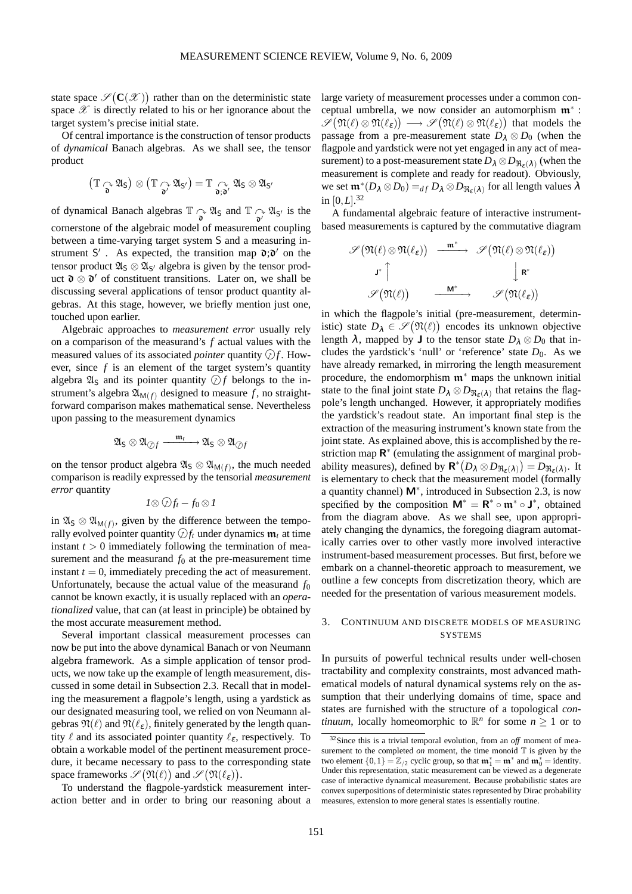′

state space  $\mathscr{S}(\mathbf{C}(\mathscr{X}))$  rather than on the deterministic state space  $\mathscr X$  is directly related to his or her ignorance about the target system's precise initial state.

Of central importance is the construction of tensor products of *dynamical* Banach algebras. As we shall see, the tensor product

$$
\bigl(\mathbb{T} \underset{\textbf{o}}{\curvearrowright} \mathfrak{A}_S\bigr)\otimes \bigl(\mathbb{T} \underset{\textbf{o}'}{\curvearrowright} \mathfrak{A}_{S'}\bigr)=\mathbb{T} \underset{\textbf{o} ; \textbf{o}'}{\curvearrowright} \mathfrak{A}_S\otimes \mathfrak{A}_S
$$

of dynamical Banach algebras  $\mathbb{T} \underset{\delta}{\sim} \mathfrak{A}_S$  and  $\mathbb{T} \underset{\delta'}{\sim} \mathfrak{A}_{S'}$  is the cornerstone of the algebraic model of measurement coupling between a time-varying target system S and a measuring instrument S'. As expected, the transition map  $\mathfrak{d}$ ; $\mathfrak{d}'$  on the tensor product  $\mathfrak{A}_S \otimes \mathfrak{A}_{S'}$  algebra is given by the tensor product  $\mathfrak{d} \otimes \mathfrak{d}'$  of constituent transitions. Later on, we shall be discussing several applications of tensor product quantity algebras. At this stage, however, we briefly mention just one, touched upon earlier.

Algebraic approaches to *measurement error* usually rely on a comparison of the measurand's *f* actual values with the measured values of its associated *pointer* quantity  $\mathcal{D}f$ . However, since *f* is an element of the target system's quantity algebra  $\mathfrak{A}_S$  and its pointer quantity  $\mathcal{D}_f$  belongs to the instrument's algebra  $\mathfrak{A}_{\mathsf{M}(f)}$  designed to measure f, no straightforward comparison makes mathematical sense. Nevertheless upon passing to the measurement dynamics

$$
\mathfrak{A}_S\otimes\mathfrak{A}_{\textup{\textcircled{D}} f}\xrightarrow{\quad\mathfrak{m}_t\quad\quad\mathfrak{A}_S\otimes\mathfrak{A}_{\textup{\textcircled{D}} f}
$$

on the tensor product algebra  $\mathfrak{A}_S \otimes \mathfrak{A}_{M(f)}$ , the much needed comparison is readily expressed by the tensorial *measurement error* quantity

$$
I\otimes \mathcal{Q}f_t-f_0\otimes I
$$

in  $\mathfrak{A}_S \otimes \mathfrak{A}_{M(f)}$ , given by the difference between the temporally evolved pointer quantity  $\mathcal{D}f_t$  under dynamics  $\mathfrak{m}_t$  at time instant  $t > 0$  immediately following the termination of measurement and the measurand  $f_0$  at the pre-measurement time instant  $t = 0$ , immediately preceding the act of measurement. Unfortunately, because the actual value of the measurand  $f_0$ cannot be known exactly, it is usually replaced with an *operationalized* value, that can (at least in principle) be obtained by the most accurate measurement method.

Several important classical measurement processes can now be put into the above dynamical Banach or von Neumann algebra framework. As a simple application of tensor products, we now take up the example of length measurement, discussed in some detail in Subsection 2.3. Recall that in modeling the measurement a flagpole's length, using a yardstick as our designated measuring tool, we relied on von Neumann algebras  $\mathfrak{N}(\ell)$  and  $\mathfrak{N}(\ell_{\epsilon})$ , finitely generated by the length quantity  $\ell$  and its associated pointer quantity  $\ell_{\varepsilon}$ , respectively. To obtain a workable model of the pertinent measurement procedure, it became necessary to pass to the corresponding state space frameworks  $\mathscr{S}(\mathfrak{N}(\ell))$  and  $\mathscr{S}(\mathfrak{N}(\ell_{\varepsilon}))$ .

To understand the flagpole-yardstick measurement interaction better and in order to bring our reasoning about a large variety of measurement processes under a common conceptual umbrella, we now consider an automorphism  $\mathfrak{m}^*$ :  $\mathscr{S}(\mathfrak{N}(\ell)\otimes \mathfrak{N}(\ell_\varepsilon))\longrightarrow \mathscr{S}(\mathfrak{N}(\ell)\otimes \mathfrak{N}(\ell_\varepsilon))$  that models the passage from a pre-measurement state  $D_{\lambda} \otimes D_0$  (when the flagpole and yardstick were not yet engaged in any act of measurement) to a post-measurement state  $D_\lambda \otimes D_{\mathfrak{N}_\varepsilon(\lambda)}$  (when the measurement is complete and ready for readout). Obviously, we set  $\mathfrak{m}^*(D_\lambda \otimes D_0) =_{df} D_\lambda \otimes D_{\mathfrak{R}_{\varepsilon}(\lambda)}$  for all length values  $\lambda$ in  $[0, L]$ .<sup>[32](#page-17-0)</sup>

A fundamental algebraic feature of interactive instrumentbased measurements is captured by the commutative diagram

$$
\begin{array}{ccc} \mathscr{S} \big( \mathfrak{N}(\ell) \otimes \mathfrak{N}(\ell_{\epsilon}) \big) & \xrightarrow{\mathfrak{m}^*} & \mathscr{S} \big( \mathfrak{N}(\ell) \otimes \mathfrak{N}(\ell_{\epsilon}) \big) \\ \\ \mathsf{J}^* \Big\uparrow & & \Big\downarrow \mathsf{R}^* \\ \\ \mathscr{S} \big( \mathfrak{N}(\ell) \big) & \xrightarrow{\mathsf{M}^*} & \mathscr{S} \big( \mathfrak{N}(\ell_{\epsilon}) \big) \end{array}
$$

in which the flagpole's initial (pre-measurement, deterministic) state  $D_{\lambda} \in \mathscr{S}(\mathfrak{N}(\ell))$  encodes its unknown objective length  $\lambda$ , mapped by **J** to the tensor state  $D_{\lambda} \otimes D_0$  that includes the yardstick's 'null' or 'reference' state  $D_0$ . As we have already remarked, in mirroring the length measurement procedure, the endomorphism  $\mathfrak{m}^*$  maps the unknown initial state to the final joint state  $D_{\lambda} \otimes D_{\Re_{\varepsilon}(\lambda)}$  that retains the flagpole's length unchanged. However, it appropriately modifies the yardstick's readout state. An important final step is the extraction of the measuring instrument's known state from the joint state. As explained above, this is accomplished by the restriction map  $\mathsf{R}^*$  (emulating the assignment of marginal probability measures), defined by  $\mathbf{R}^*(D_\lambda \otimes D_{\Re_{\varepsilon}(\lambda)}) = D_{\Re_{\varepsilon}(\lambda)}$ . It is elementary to check that the measurement model (formally a quantity channel)  $M^*$ , introduced in Subsection 2.3, is now specified by the composition  $M^* = R^* \circ \mathfrak{m}^* \circ J^*$ , obtained from the diagram above. As we shall see, upon appropriately changing the dynamics, the foregoing diagram automatically carries over to other vastly more involved interactive instrument-based measurement processes. But first, before we embark on a channel-theoretic approach to measurement, we outline a few concepts from discretization theory, which are needed for the presentation of various measurement models.

## 3. CONTINUUM AND DISCRETE MODELS OF MEASURING **SYSTEMS**

In pursuits of powerful technical results under well-chosen tractability and complexity constraints, most advanced mathematical models of natural dynamical systems rely on the assumption that their underlying domains of time, space and states are furnished with the structure of a topological *continuum*, locally homeomorphic to  $\mathbb{R}^n$  for some  $n \geq 1$  or to

<span id="page-17-0"></span><sup>32</sup>Since this is a trivial temporal evolution, from an *off* moment of measurement to the completed *on* moment, the time monoid  $\mathbb T$  is given by the two element  $\{0,1\} = \mathbb{Z}_{/2}$  cyclic group, so that  $\mathfrak{m}_1^* = \mathfrak{m}^*$  and  $\mathfrak{m}_0^* =$  identity. Under this representation, static measurement can be viewed as a degenerate case of interactive dynamical measurement. Because probabilistic states are convex superpositions of deterministic states represented by Dirac probability measures, extension to more general states is essentially routine.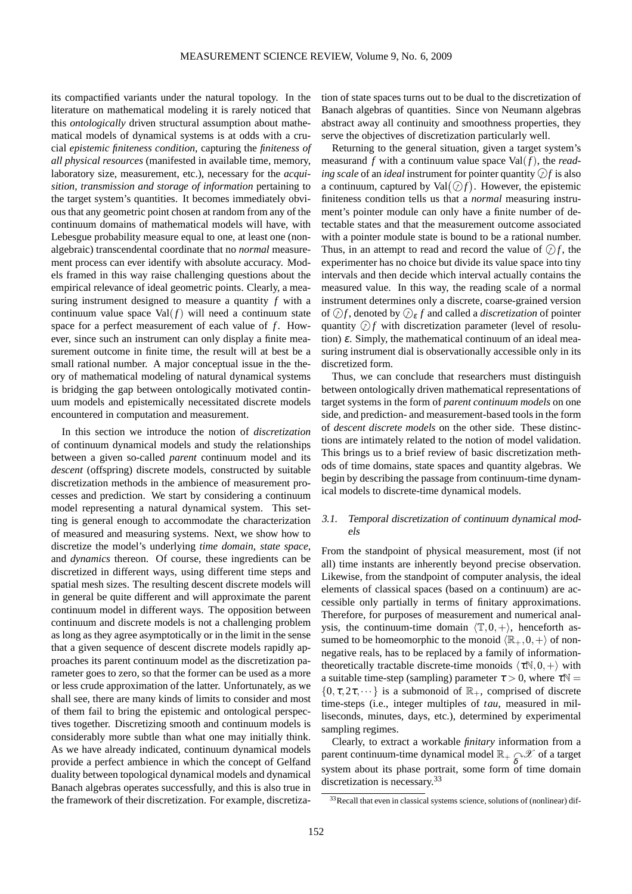its compactified variants under the natural topology. In the literature on mathematical modeling it is rarely noticed that this *ontologically* driven structural assumption about mathematical models of dynamical systems is at odds with a crucial *epistemic finiteness condition*, capturing the *finiteness of all physical resources* (manifested in available time, memory, laboratory size, measurement, etc.), necessary for the *acquisition, transmission and storage of information* pertaining to the target system's quantities. It becomes immediately obvious that any geometric point chosen at random from any of the continuum domains of mathematical models will have, with Lebesgue probability measure equal to one, at least one (nonalgebraic) transcendental coordinate that no *normal* measurement process can ever identify with absolute accuracy. Models framed in this way raise challenging questions about the empirical relevance of ideal geometric points. Clearly, a measuring instrument designed to measure a quantity *f* with a continuum value space  $Val(f)$  will need a continuum state space for a perfect measurement of each value of *f*. However, since such an instrument can only display a finite measurement outcome in finite time, the result will at best be a small rational number. A major conceptual issue in the theory of mathematical modeling of natural dynamical systems is bridging the gap between ontologically motivated continuum models and epistemically necessitated discrete models encountered in computation and measurement.

In this section we introduce the notion of *discretization* of continuum dynamical models and study the relationships between a given so-called *parent* continuum model and its *descent* (offspring) discrete models, constructed by suitable discretization methods in the ambience of measurement processes and prediction. We start by considering a continuum model representing a natural dynamical system. This setting is general enough to accommodate the characterization of measured and measuring systems. Next, we show how to discretize the model's underlying *time domain*, *state space*, and *dynamics* thereon. Of course, these ingredients can be discretized in different ways, using different time steps and spatial mesh sizes. The resulting descent discrete models will in general be quite different and will approximate the parent continuum model in different ways. The opposition between continuum and discrete models is not a challenging problem as long as they agree asymptotically or in the limit in the sense that a given sequence of descent discrete models rapidly approaches its parent continuum model as the discretization parameter goes to zero, so that the former can be used as a more or less crude approximation of the latter. Unfortunately, as we shall see, there are many kinds of limits to consider and most of them fail to bring the epistemic and ontological perspectives together. Discretizing smooth and continuum models is considerably more subtle than what one may initially think. As we have already indicated, continuum dynamical models provide a perfect ambience in which the concept of Gelfand duality between topological dynamical models and dynamical Banach algebras operates successfully, and this is also true in the framework of their discretization. For example, discretiza-

tion of state spaces turns out to be dual to the discretization of Banach algebras of quantities. Since von Neumann algebras abstract away all continuity and smoothness properties, they serve the objectives of discretization particularly well.

Returning to the general situation, given a target system's measurand *f* with a continuum value space Val(*f*), the *reading scale* of an *ideal* instrument for pointer quantity  $\mathcal{D}f$  is also a continuum, captured by  $Val(\mathcal{D}f)$ . However, the epistemic finiteness condition tells us that a *normal* measuring instrument's pointer module can only have a finite number of detectable states and that the measurement outcome associated with a pointer module state is bound to be a rational number. Thus, in an attempt to read and record the value of  $\mathcal{D}f$ , the experimenter has no choice but divide its value space into tiny intervals and then decide which interval actually contains the measured value. In this way, the reading scale of a normal instrument determines only a discrete, coarse-grained version of  $\bigcirc f$ , denoted by  $\bigcirc$ <sub>*ε*</sub>  $f$  and called a *discretization* of pointer quantity  $\mathcal{D}f$  with discretization parameter (level of resolution)  $\varepsilon$ . Simply, the mathematical continuum of an ideal measuring instrument dial is observationally accessible only in its discretized form.

Thus, we can conclude that researchers must distinguish between ontologically driven mathematical representations of target systems in the form of *parent continuum models* on one side, and prediction- and measurement-based tools in the form of *descent discrete models* on the other side. These distinctions are intimately related to the notion of model validation. This brings us to a brief review of basic discretization methods of time domains, state spaces and quantity algebras. We begin by describing the passage from continuum-time dynamical models to discrete-time dynamical models.

# 3.1. Temporal discretization of continuum dynamical models

From the standpoint of physical measurement, most (if not all) time instants are inherently beyond precise observation. Likewise, from the standpoint of computer analysis, the ideal elements of classical spaces (based on a continuum) are accessible only partially in terms of finitary approximations. Therefore, for purposes of measurement and numerical analysis, the continuum-time domain  $\langle \mathbb{T}, 0, + \rangle$ , henceforth assumed to be homeomorphic to the monoid  $\langle \mathbb{R}_+,0,+\rangle$  of nonnegative reals, has to be replaced by a family of informationtheoretically tractable discrete-time monoids  $\langle \tau N, 0, + \rangle$  with a suitable time-step (sampling) parameter  $\tau > 0$ , where  $\tau \mathbb{N} =$  $\{0, \tau, 2\tau, \dots\}$  is a submonoid of  $\mathbb{R}_+$ , comprised of discrete time-steps (i.e., integer multiples of *tau*, measured in milliseconds, minutes, days, etc.), determined by experimental sampling regimes.

Clearly, to extract a workable *finitary* information from a parent continuum-time dynamical model  $\mathbb{R}_+$   $\underset{\delta}{\sim}$  of a target system about its phase portrait, some form of time domain discretization is necessary.<sup>[33](#page-18-0)</sup>

<span id="page-18-0"></span><sup>&</sup>lt;sup>33</sup>Recall that even in classical systems science, solutions of (nonlinear) dif-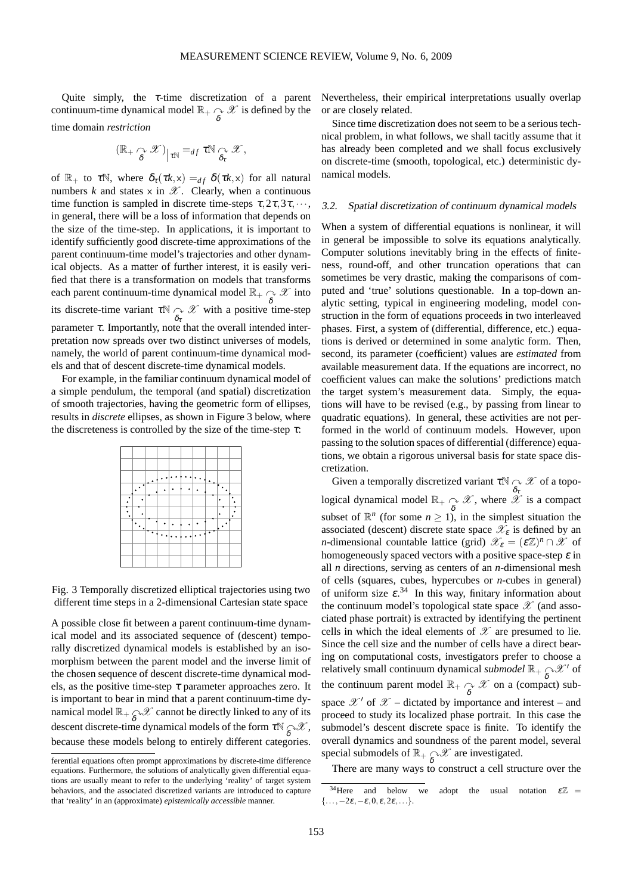Quite simply, the  $\tau$ -time discretization of a parent continuum-time dynamical model  $\mathbb{R}_+ \underset{\delta}{\sim} \mathscr{X}$  is defined by the time domain *restriction*

$$
(\mathbb{R}_+ \underset{\delta}{\curvearrowright} \mathscr{X})_{\big| \tau \mathbb{N}} =_{df} \tau \mathbb{N} \underset{\delta_\tau}{\curvearrowright} \mathscr{X},
$$

of  $\mathbb{R}_+$  to  $\tau \mathbb{N}$ , where  $\delta_{\tau}(\tau k, x) =_{df} \delta(\tau k, x)$  for all natural numbers  $k$  and states  $x$  in  $\mathscr{X}$ . Clearly, when a continuous time function is sampled in discrete time-steps  $\tau, 2\tau, 3\tau, \dots$ , in general, there will be a loss of information that depends on the size of the time-step. In applications, it is important to identify sufficiently good discrete-time approximations of the parent continuum-time model's trajectories and other dynamical objects. As a matter of further interest, it is easily verified that there is a transformation on models that transforms each parent continuum-time dynamical model  $\mathbb{R}_+$   $\underset{\delta}{\sim}$   $\mathscr{X}$  into its discrete-time variant  $\tau \mathbb{N} \underset{\delta_{\tau}}{\curvearrowright} \mathscr{X}$  with a positive time-step parameter  $\tau$ . Importantly, note that the overall intended interpretation now spreads over two distinct universes of models, namely, the world of parent continuum-time dynamical models and that of descent discrete-time dynamical models.

For example, in the familiar continuum dynamical model of a simple pendulum, the temporal (and spatial) discretization of smooth trajectories, having the geometric form of ellipses, results in *discrete* ellipses, as shown in Figure 3 below, where the discreteness is controlled by the size of the time-step  $\tau$ :

Fig. 3 Temporally discretized elliptical trajectories using two different time steps in a 2-dimensional Cartesian state space

A possible close fit between a parent continuum-time dynamical model and its associated sequence of (descent) temporally discretized dynamical models is established by an isomorphism between the parent model and the inverse limit of the chosen sequence of descent discrete-time dynamical models, as the positive time-step  $\tau$  parameter approaches zero. It is important to bear in mind that a parent continuum-time dynamical model  $\mathbb{R}_+$   $\underset{\delta}{\sim}$   $\mathscr X$  cannot be directly linked to any of its descent discrete-time dynamical models of the form  $\tau \mathbb{N}_{\widehat{\delta}} \mathcal{X}$ , because these models belong to entirely different categories.

Nevertheless, their empirical interpretations usually overlap or are closely related.

Since time discretization does not seem to be a serious technical problem, in what follows, we shall tacitly assume that it has already been completed and we shall focus exclusively on discrete-time (smooth, topological, etc.) deterministic dynamical models.

#### 3.2. Spatial discretization of continuum dynamical models

When a system of differential equations is nonlinear, it will in general be impossible to solve its equations analytically. Computer solutions inevitably bring in the effects of finiteness, round-off, and other truncation operations that can sometimes be very drastic, making the comparisons of computed and 'true' solutions questionable. In a top-down analytic setting, typical in engineering modeling, model construction in the form of equations proceeds in two interleaved phases. First, a system of (differential, difference, etc.) equations is derived or determined in some analytic form. Then, second, its parameter (coefficient) values are *estimated* from available measurement data. If the equations are incorrect, no coefficient values can make the solutions' predictions match the target system's measurement data. Simply, the equations will have to be revised (e.g., by passing from linear to quadratic equations). In general, these activities are not performed in the world of continuum models. However, upon passing to the solution spaces of differential (difference) equations, we obtain a rigorous universal basis for state space discretization.

Given a temporally discretized variant  $\tau \mathbb{N} \curvearrowright \mathcal{X}$  of a topological dynamical model  $\mathbb{R}_+ \underset{\delta}{\curvearrowright} \mathscr{X}$ , where  $\overset{\delta_{\tau}}{\mathscr{X}}$  is a compact subset of  $\mathbb{R}^n$  (for some  $n \ge 1$ ), in the simplest situation the associated (descent) discrete state space  $\mathscr{X}_{\varepsilon}$  is defined by an *n*-dimensional countable lattice (grid)  $\mathcal{X}_{\varepsilon} = (\varepsilon \mathbb{Z})^n \cap \mathcal{X}$  of homogeneously spaced vectors with a positive space-step  $\varepsilon$  in all *n* directions, serving as centers of an *n*-dimensional mesh of cells (squares, cubes, hypercubes or *n*-cubes in general) of uniform size  $\varepsilon^{34}$  $\varepsilon^{34}$  $\varepsilon^{34}$  In this way, finitary information about the continuum model's topological state space  $\mathscr X$  (and associated phase portrait) is extracted by identifying the pertinent cells in which the ideal elements of  $\mathscr X$  are presumed to lie. Since the cell size and the number of cells have a direct bearing on computational costs, investigators prefer to choose a relatively small continuum dynamical *submodel*  $\mathbb{R}_+$   $\underset{\delta}{\sim}$  X' of the continuum parent model  $\mathbb{R}_+ \underset{\delta}{\curvearrowright} \mathcal{X}$  on a (compact) subspace  $\mathscr{X}'$  of  $\mathscr{X}$  – dictated by importance and interest – and proceed to study its localized phase portrait. In this case the submodel's descent discrete space is finite. To identify the overall dynamics and soundness of the parent model, several special submodels of  $\mathbb{R}_+$   $\underset{\delta}{\curvearrowright} \mathcal{X}$  are investigated.

There are many ways to construct a cell structure over the

ferential equations often prompt approximations by discrete-time difference equations. Furthermore, the solutions of analytically given differential equations are usually meant to refer to the underlying 'reality' of target system behaviors, and the associated discretized variants are introduced to capture that 'reality' in an (approximate) *epistemically accessible* manner.

<span id="page-19-0"></span><sup>&</sup>lt;sup>34</sup>Here and below we adopt the usual notation  $\epsilon \mathbb{Z}$  =  $\{\ldots,-2\varepsilon,-\varepsilon,0,\varepsilon,2\varepsilon,\ldots\}.$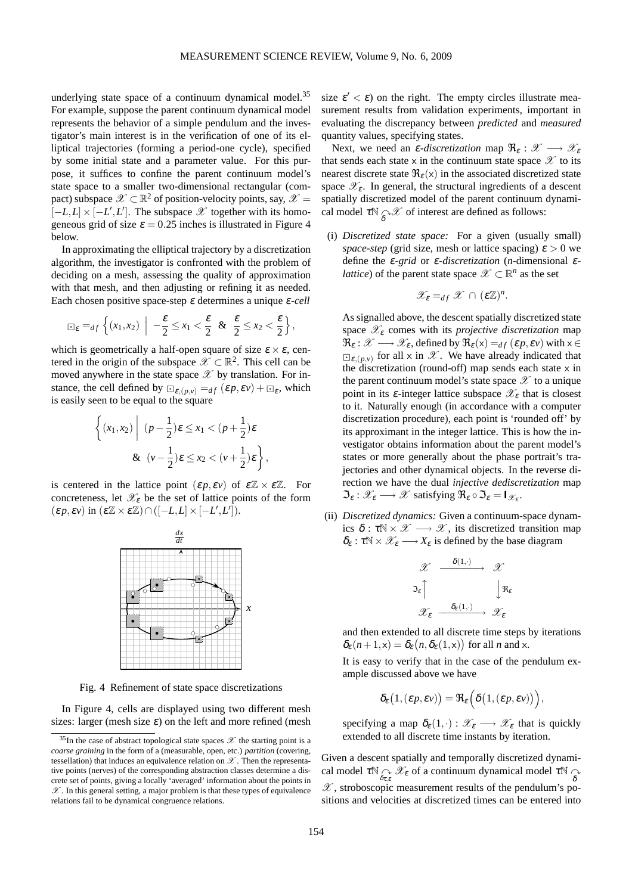underlying state space of a continuum dynamical model.<sup>[35](#page-20-0)</sup> For example, suppose the parent continuum dynamical model represents the behavior of a simple pendulum and the investigator's main interest is in the verification of one of its elliptical trajectories (forming a period-one cycle), specified by some initial state and a parameter value. For this purpose, it suffices to confine the parent continuum model's state space to a smaller two-dimensional rectangular (compact) subspace  $\mathscr{X} \subset \mathbb{R}^2$  of position-velocity points, say,  $\mathscr{X} =$  $\left[-L, L\right] \times \left[-L', L'\right]$ . The subspace  $\mathscr X$  together with its homogeneous grid of size  $\varepsilon = 0.25$  inches is illustrated in Figure 4 below.

In approximating the elliptical trajectory by a discretization algorithm, the investigator is confronted with the problem of deciding on a mesh, assessing the quality of approximation with that mesh, and then adjusting or refining it as needed. Each chosen positive space-step <sup>ε</sup> determines a unique <sup>ε</sup>-*cell*

$$
\Box_{\varepsilon} =_{df} \left\{ (x_1, x_2) \middle| \ -\frac{\varepsilon}{2} \leq x_1 < \frac{\varepsilon}{2} \ \& \ \frac{\varepsilon}{2} \leq x_2 < \frac{\varepsilon}{2} \right\},
$$

which is geometrically a half-open square of size  $\varepsilon \times \varepsilon$ , centered in the origin of the subspace  $\mathscr{X} \subset \mathbb{R}^2$ . This cell can be moved anywhere in the state space  $\mathscr X$  by translation. For instance, the cell defined by  $\Box_{\varepsilon,(p,\nu)} =_{df} (\varepsilon p, \varepsilon \nu) + \Box_{\varepsilon}$ , which is easily seen to be equal to the square

$$
\left\{ (x_1, x_2) \middle| (p - \frac{1}{2})\varepsilon \le x_1 < (p + \frac{1}{2})\varepsilon
$$
  
&  $(v - \frac{1}{2})\varepsilon \le x_2 < (v + \frac{1}{2})\varepsilon \right\},\right\}$ 

is centered in the lattice point  $(\varepsilon p, \varepsilon v)$  of  $\varepsilon \mathbb{Z} \times \varepsilon \mathbb{Z}$ . For concreteness, let  $\mathscr{X}_{\varepsilon}$  be the set of lattice points of the form  $(\varepsilon p, \varepsilon v)$  in  $(\varepsilon \mathbb{Z} \times \varepsilon \mathbb{Z}) \cap ([-L, L] \times [-L', L'])$ .



Fig. 4 Refinement of state space discretizations

In Figure 4, cells are displayed using two different mesh sizes: larger (mesh size  $\varepsilon$ ) on the left and more refined (mesh

size  $\varepsilon' < \varepsilon$ ) on the right. The empty circles illustrate measurement results from validation experiments, important in evaluating the discrepancy between *predicted* and *measured* quantity values, specifying states.

Next, we need an *ε-discretization* map  $\Re_{\varepsilon}: \mathscr{X} \longrightarrow \mathscr{X}_{\varepsilon}$ that sends each state x in the continuum state space  $\mathscr X$  to its nearest discrete state  $\Re_{\varepsilon}(x)$  in the associated discretized state space  $\mathscr{X}_{\varepsilon}$ . In general, the structural ingredients of a descent spatially discretized model of the parent continuum dynamical model  $\tau \mathbb{N}_{\widehat{\delta}} \mathscr{X}$  of interest are defined as follows:

(i) *Discretized state space:* For a given (usually small) *space-step* (grid size, mesh or lattice spacing)  $\varepsilon > 0$  we define the <sup>ε</sup>-*grid* or <sup>ε</sup>-*discretization* (*n*-dimensional <sup>ε</sup>*lattice*) of the parent state space  $\mathscr{X} \subset \mathbb{R}^n$  as the set

$$
\mathscr{X}_{\varepsilon} =_{df} \mathscr{X} \cap (\varepsilon \mathbb{Z})^n.
$$

As signalled above, the descent spatially discretized state space  $\mathscr{X}_{\varepsilon}$  comes with its *projective discretization* map  $\mathfrak{R}_{\varepsilon}: \mathscr{X} \longrightarrow \mathscr{X}_{\varepsilon}$ , defined by  $\mathfrak{R}_{\varepsilon}(x) =_{df} (\varepsilon p, \varepsilon v)$  with  $x \in$  $E_{\mathcal{E},(p,\nu)}$  for all x in  $\mathcal{X}$ . We have already indicated that the discretization (round-off) map sends each state  $x$  in the parent continuum model's state space  $\mathscr X$  to a unique point in its  $\varepsilon$ -integer lattice subspace  $\mathscr{X}_{\varepsilon}$  that is closest to it. Naturally enough (in accordance with a computer discretization procedure), each point is 'rounded off' by its approximant in the integer lattice. This is how the investigator obtains information about the parent model's states or more generally about the phase portrait's trajectories and other dynamical objects. In the reverse direction we have the dual *injective dediscretization* map  $\mathfrak{I}_{\varepsilon} : \mathscr{X}_{\varepsilon} \longrightarrow \mathscr{X}$  satisfying  $\mathfrak{R}_{\varepsilon} \circ \mathfrak{I}_{\varepsilon} = \mathsf{I}_{\mathscr{X}_{\varepsilon}}$ .

(ii) *Discretized dynamics:* Given a continuum-space dynamics  $\delta : \tau \mathbb{N} \times \mathcal{X} \longrightarrow \mathcal{X}$ , its discretized transition map  $\delta_{\epsilon} : \tau \mathbb{N} \times \mathscr{X}_{\epsilon} \longrightarrow X_{\epsilon}$  is defined by the base diagram

$$
\mathscr{X} \xrightarrow{\delta(1, \cdot)} \mathscr{X}
$$
  

$$
\mathfrak{I}_{\varepsilon} \uparrow \qquad \qquad \downarrow \mathfrak{R}_{\varepsilon}
$$
  

$$
\mathscr{X}_{\varepsilon} \xrightarrow{\delta_{\varepsilon}(1, \cdot)} \mathscr{X}_{\varepsilon}
$$

and then extended to all discrete time steps by iterations  $\delta_{\varepsilon}(n+1,\mathsf{x}) = \delta_{\varepsilon}(n,\delta_{\varepsilon}(1,\mathsf{x}))$  for all *n* and x.

It is easy to verify that in the case of the pendulum example discussed above we have

$$
\delta_{\varepsilon}\big(1,(\varepsilon p,\varepsilon v)\big)=\Re_{\varepsilon}\Big(\delta\big(1,(\varepsilon p,\varepsilon v)\big)\Big),
$$

specifying a map  $\delta_{\varepsilon}(1,\cdot): \mathscr{X}_{\varepsilon} \longrightarrow \mathscr{X}_{\varepsilon}$  that is quickly extended to all discrete time instants by iteration.

Given a descent spatially and temporally discretized dynamical model  $\tau \mathbb{N}_{\widehat{\delta_{\tau,\varepsilon}}}\ \widetilde{\mathscr{X}}_\varepsilon$  of a continuum dynamical model  $\tau \mathbb{N}_{\widehat{\delta}}$  $\mathscr X$ , stroboscopic measurement results of the pendulum's positions and velocities at discretized times can be entered into

<span id="page-20-0"></span><sup>&</sup>lt;sup>35</sup>In the case of abstract topological state spaces  $\mathscr X$  the starting point is a *coarse graining* in the form of a (measurable, open, etc.) *partition* (covering, tessellation) that induces an equivalence relation on  $\mathscr X$ . Then the representative points (nerves) of the corresponding abstraction classes determine a discrete set of points, giving a locally 'averaged' information about the points in  $\mathscr X.$  In this general setting, a major problem is that these types of equivalence relations fail to be dynamical congruence relations.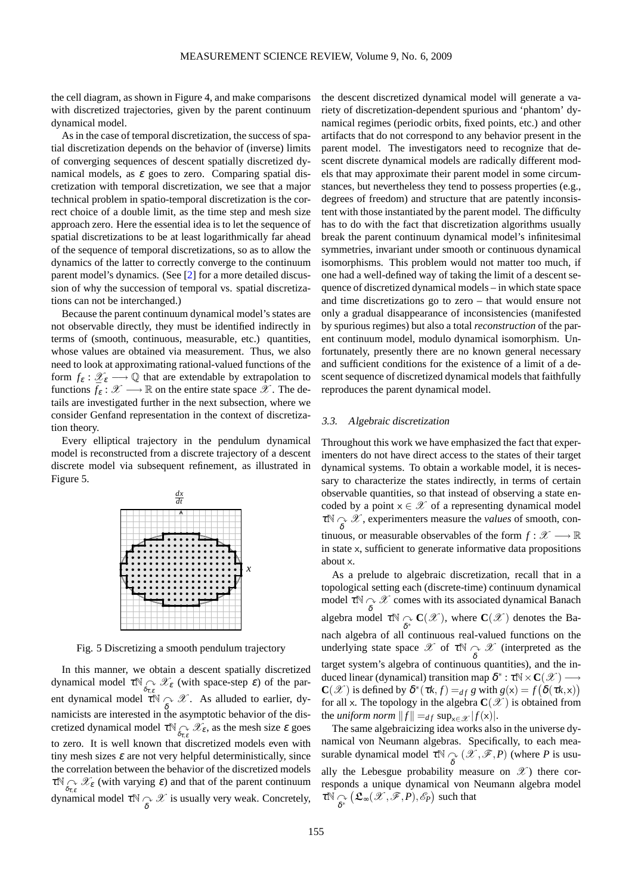the cell diagram, as shown in Figure 4, and make comparisons with discretized trajectories, given by the parent continuum dynamical model.

As in the case of temporal discretization, the success of spatial discretization depends on the behavior of (inverse) limits of converging sequences of descent spatially discretized dynamical models, as  $\varepsilon$  goes to zero. Comparing spatial discretization with temporal discretization, we see that a major technical problem in spatio-temporal discretization is the correct choice of a double limit, as the time step and mesh size approach zero. Here the essential idea is to let the sequence of spatial discretizations to be at least logarithmically far ahead of the sequence of temporal discretizations, so as to allow the dynamics of the latter to correctly converge to the continuum parent model's dynamics. (See [\[2\]](#page-27-1) for a more detailed discussion of why the succession of temporal vs. spatial discretizations can not be interchanged.)

Because the parent continuum dynamical model's states are not observable directly, they must be identified indirectly in terms of (smooth, continuous, measurable, etc.) quantities, whose values are obtained via measurement. Thus, we also need to look at approximating rational-valued functions of the form  $f_{\varepsilon}: \mathscr{X}_{\varepsilon} \longrightarrow \mathbb{Q}$  that are extendable by extrapolation to functions  $\bar{f}_\varepsilon : \mathcal{X} \longrightarrow \mathbb{R}$  on the entire state space  $\mathcal{X}$ . The details are investigated further in the next subsection, where we consider Genfand representation in the context of discretization theory.

Every elliptical trajectory in the pendulum dynamical model is reconstructed from a discrete trajectory of a descent discrete model via subsequent refinement, as illustrated in Figure 5.



Fig. 5 Discretizing a smooth pendulum trajectory

In this manner, we obtain a descent spatially discretized dynamical model  $\tau \mathbb{N}_{\widehat{\delta}_{\tau,\varepsilon}}$   $\mathscr{X}_{\varepsilon}$  (with space-step  $\varepsilon$ ) of the parent dynamical model  $\overline{X} \cap \overline{X}$ . As alluded to earlier, dynamicists are interested in the asymptotic behavior of the discretized dynamical model  $\tau \mathbb{N} \bigotimes_{\delta_{\tau,\varepsilon}} \mathscr{X}_{\varepsilon}$ , as the mesh size  $\varepsilon$  goes to zero. It is well known that discretized models even with tiny mesh sizes  $\varepsilon$  are not very helpful deterministically, since the correlation between the behavior of the discretized models  $\tau \mathbb{N}_{\widehat{\delta}_{\tau,\varepsilon}} \mathcal{X}_{\varepsilon}$  (with varying  $\varepsilon$ ) and that of the parent continuum dynamical model  $\tau \mathbb{N} \underset{\delta}{\curvearrowright} \mathcal{X}$  is usually very weak. Concretely,

the descent discretized dynamical model will generate a variety of discretization-dependent spurious and 'phantom' dynamical regimes (periodic orbits, fixed points, etc.) and other artifacts that do not correspond to any behavior present in the parent model. The investigators need to recognize that descent discrete dynamical models are radically different models that may approximate their parent model in some circumstances, but nevertheless they tend to possess properties (e.g., degrees of freedom) and structure that are patently inconsistent with those instantiated by the parent model. The difficulty has to do with the fact that discretization algorithms usually break the parent continuum dynamical model's infinitesimal symmetries, invariant under smooth or continuous dynamical isomorphisms. This problem would not matter too much, if one had a well-defined way of taking the limit of a descent sequence of discretized dynamical models – in which state space and time discretizations go to zero – that would ensure not only a gradual disappearance of inconsistencies (manifested by spurious regimes) but also a total *reconstruction* of the parent continuum model, modulo dynamical isomorphism. Unfortunately, presently there are no known general necessary and sufficient conditions for the existence of a limit of a descent sequence of discretized dynamical models that faithfully reproduces the parent dynamical model.

#### 3.3. Algebraic discretization

Throughout this work we have emphasized the fact that experimenters do not have direct access to the states of their target dynamical systems. To obtain a workable model, it is necessary to characterize the states indirectly, in terms of certain observable quantities, so that instead of observing a state encoded by a point  $x \in \mathcal{X}$  of a representing dynamical model  $\tau \otimes \mathscr{X}$ , experimenters measure the *values* of smooth, continuous, or measurable observables of the form  $f : \mathcal{X} \longrightarrow \mathbb{R}$ in state x, sufficient to generate informative data propositions about x. As a prelude to algebraic discretization, recall that in a

topological setting each (discrete-time) continuum dynamical model  $\tau \mathbb{N} \underset{\delta}{\sim} \mathscr{X}$  comes with its associated dynamical Banach algebra model  $\tau \mathbb{N} \underset{\delta^*}{\curvearrowright} \mathbf{C}(\mathscr{X})$ , where  $\mathbf{C}(\mathscr{X})$  denotes the Banach algebra of all continuous real-valued functions on the underlying state space  $\mathscr{X}$  of  $\tau \mathbb{N} \underset{\delta}{\curvearrowright} \mathscr{X}$  (interpreted as the target system's algebra of continuous quantities), and the induced linear (dynamical) transition map  $\delta^* : \tau \mathbb{N} \times \mathbf{C}(\mathcal{X}) \longrightarrow$ **C**( $\mathcal{X}$ ) is defined by  $\delta^*(\tau k, f) =_{df} g$  with  $g(x) = f(\delta(\tau k, x))$ for all x. The topology in the algebra  $\mathbf{C}(\mathscr{X})$  is obtained from the *uniform norm*  $||f|| =_{df} \sup_{x \in \mathcal{X}} |f(x)|$ .

The same algebraicizing idea works also in the universe dynamical von Neumann algebras. Specifically, to each measurable dynamical model  $\tau \mathbb{N} \underset{\delta}{\curvearrowright} (\mathscr{X}, \mathscr{F}, P)$  (where *P* is usually the Lebesgue probability measure on  $\mathscr{X}$ ) there corresponds a unique dynamical von Neumann algebra model  $\tau\mathbb{N} \mathop{\curvearrowright}\limits_{\delta^*}$  $(\mathfrak{L}_{\infty}(\mathscr{X},\mathscr{F},P),\mathscr{E}_P)$  such that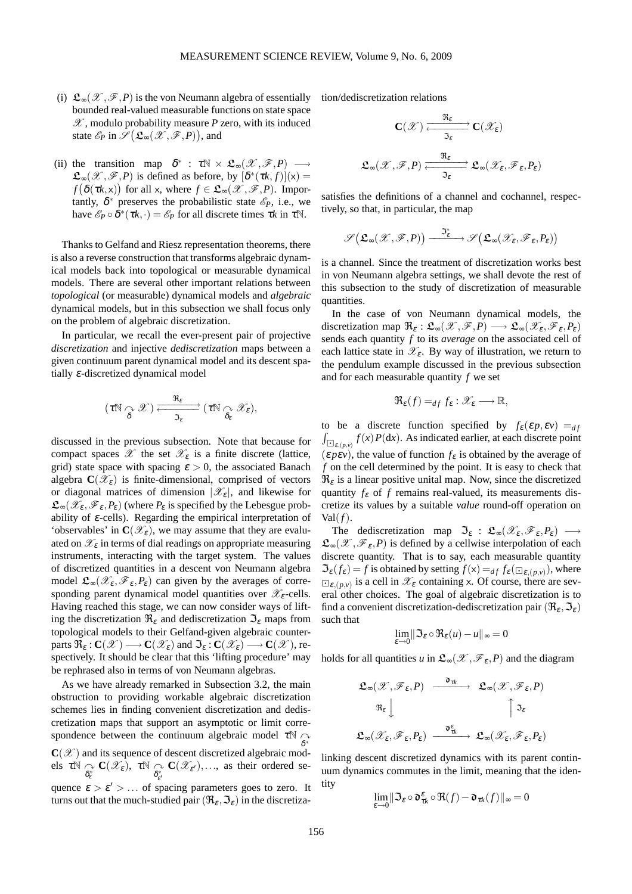- (i)  $\mathfrak{L}_{\infty}(\mathcal{X}, \mathcal{F}, P)$  is the von Neumann algebra of essentially bounded real-valued measurable functions on state space  $\mathscr{X}$ , modulo probability measure *P* zero, with its induced state  $\mathscr{E}_P$  in  $\mathscr{S}(\mathfrak{L}_{\infty}(\mathscr{X},\mathscr{F},P))$ , and
- (ii) the transition map  $\delta^*$  :  $\tau \mathbb{N} \times \mathfrak{L}_{\infty}(\mathscr{X}, \mathscr{F}, P) \longrightarrow$  $\mathfrak{L}_{\infty}(\mathscr{X}, \mathscr{F}, P)$  is defined as before, by  $[\delta^*(\tau k, f)](x) =$  $f(\delta(\tau k, x))$  for all x, where  $f \in \mathfrak{L}_{\infty}(\mathscr{X}, \mathscr{F}, P)$ . Importantly,  $\delta^*$  preserves the probabilistic state  $\mathscr{E}_P$ , i.e., we have  $\mathscr{E}_P \circ \overline{\delta^*}(\tau k, \cdot) = \mathscr{E}_P$  for all discrete times  $\tau k$  in  $\tau \mathbb{N}$ .

Thanks to Gelfand and Riesz representation theorems, there is also a reverse construction that transforms algebraic dynamical models back into topological or measurable dynamical models. There are several other important relations between *topological* (or measurable) dynamical models and *algebraic* dynamical models, but in this subsection we shall focus only on the problem of algebraic discretization.

In particular, we recall the ever-present pair of projective *discretization* and injective *dediscretization* maps between a given continuum parent dynamical model and its descent spatially <sup>ε</sup>-discretized dynamical model

$$
(\tau{\mathbb N}\underset{\delta}{\curvearrowright}{\mathscr X})\xrightarrow[\hspace{.3cm}{\mathfrak{I}_{\epsilon}}]{\mathfrak{R}_{\epsilon}} (\tau{\mathbb N}\underset{\delta_{\epsilon}}{\curvearrowright}{\mathscr X}_{\epsilon}),
$$

discussed in the previous subsection. Note that because for compact spaces  $\mathscr X$  the set  $\mathscr X_{\varepsilon}$  is a finite discrete (lattice, grid) state space with spacing  $\varepsilon > 0$ , the associated Banach algebra  $\mathbf{C}(\mathscr{X}_{\varepsilon})$  is finite-dimensional, comprised of vectors or diagonal matrices of dimension  $|\mathscr{X}_{\varepsilon}|$ , and likewise for  $\mathfrak{L}_{\infty}(\mathscr{X}_{\varepsilon},\mathscr{F}_{\varepsilon},P_{\varepsilon})$  (where  $P_{\varepsilon}$  is specified by the Lebesgue probability of  $\varepsilon$ -cells). Regarding the empirical interpretation of 'observables' in  $\mathbf{C}(\mathscr{X}_{\varepsilon})$ , we may assume that they are evaluated on  $\mathcal{X}_{\varepsilon}$  in terms of dial readings on appropriate measuring instruments, interacting with the target system. The values of discretized quantities in a descent von Neumann algebra model  $\mathfrak{L}_{\infty}(\mathscr{X}_{\varepsilon},\mathscr{F}_{\varepsilon},P_{\varepsilon})$  can given by the averages of corresponding parent dynamical model quantities over  $\mathscr{X}_{\varepsilon}$ -cells. Having reached this stage, we can now consider ways of lifting the discretization  $\Re_{\varepsilon}$  and dediscretization  $\Im_{\varepsilon}$  maps from topological models to their Gelfand-given algebraic counterparts  $\mathfrak{R}_{\varepsilon} : \mathbf{C}(\mathscr{X}) \longrightarrow \mathbf{C}(\mathscr{X}_{\varepsilon})$  and  $\mathfrak{S}_{\varepsilon} : \mathbf{C}(\mathscr{X}_{\varepsilon}) \longrightarrow \mathbf{C}(\mathscr{X})$ , respectively. It should be clear that this 'lifting procedure' may be rephrased also in terms of von Neumann algebras.

As we have already remarked in Subsection 3.2, the main obstruction to providing workable algebraic discretization schemes lies in finding convenient discretization and dediscretization maps that support an asymptotic or limit correspondence between the continuum algebraic model  $\tau \mathbb{N} \cap \mathbb{N}$  $\mathbf{C}(\mathcal{X})$  and its sequence of descent discretized algebraic models  $\tau \mathbb{N} \underset{\delta_{\epsilon}^*}{\curvearrowright} \mathbf{C}(\mathscr{X}_{\epsilon}), \tau \mathbb{N} \underset{\delta_{\epsilon'}^*}{\curvearrowright}$  $\mathbf{C}(\mathscr{X}_{\varepsilon}),...$ , as their ordered sequence  $\varepsilon > \varepsilon' > \dots$  of spacing parameters goes to zero. It turns out that the much-studied pair  $(\Re_{\varepsilon}, \Im_{\varepsilon})$  in the discretization/dediscretization relations

$$
\mathbf{C}(\mathscr{X}) \xrightarrow{\Re_{\varepsilon}} \mathbf{C}(\mathscr{X}_{\varepsilon})
$$

$$
\mathfrak{L}_{\infty}(\mathscr{X}, \mathscr{F}, P) \xrightarrow{\Re_{\varepsilon}} \mathfrak{L}_{\infty}(\mathscr{X}_{\varepsilon}, \mathscr{F}_{\varepsilon}, P_{\varepsilon})
$$

satisfies the definitions of a channel and cochannel, respectively, so that, in particular, the map

$$
\mathscr{S}\big(\mathfrak{L}_{\infty}(\mathscr{X},\mathscr{F},P)\big)\xrightarrow{\mathfrak{I}_{\epsilon}^*}\mathscr{S}\big(\mathfrak{L}_{\infty}(\mathscr{X}_{\epsilon},\mathscr{F}_{\epsilon},P_{\epsilon})\big)
$$

is a channel. Since the treatment of discretization works best in von Neumann algebra settings, we shall devote the rest of this subsection to the study of discretization of measurable quantities.

In the case of von Neumann dynamical models, the discretization map  $\mathfrak{R}_{\varepsilon}: \mathfrak{L}_{\infty}(\mathscr{X}, \mathscr{F}, P) \longrightarrow \mathfrak{L}_{\infty}(\mathscr{X}_{\varepsilon}, \mathscr{F}_{\varepsilon}, P_{\varepsilon})$ sends each quantity *f* to its *average* on the associated cell of each lattice state in  $\mathscr{X}_{\varepsilon}$ . By way of illustration, we return to the pendulum example discussed in the previous subsection and for each measurable quantity *f* we set

$$
\mathfrak{R}_{\varepsilon}(f) =_{df} f_{\varepsilon} : \mathscr{X}_{\varepsilon} \longrightarrow \mathbb{R},
$$

 $\int_{\Box_{\mathcal{E},(p,\nu)}} f(x) P(\mathrm{d}x)$ . As indicated earlier, at each discrete point to be a discrete function specified by  $f_{\varepsilon}(\varepsilon p, \varepsilon v) =_{df}$  $(\varepsilon p \varepsilon v)$ , the value of function  $f_{\varepsilon}$  is obtained by the average of *f* on the cell determined by the point. It is easy to check that  $\Re_{\varepsilon}$  is a linear positive unital map. Now, since the discretized quantity  $f_{\varepsilon}$  of  $f$  remains real-valued, its measurements discretize its values by a suitable *value* round-off operation on Val $(f)$ .

The dediscretization map  $\mathfrak{S}_{\varepsilon}$  :  $\mathfrak{L}_{\infty}(\mathscr{X}_{\varepsilon},\mathscr{F}_{\varepsilon},P_{\varepsilon}) \longrightarrow$  $\mathfrak{L}_{\infty}(\mathscr{X},\mathscr{F}_{\varepsilon},P)$  is defined by a cellwise interpolation of each discrete quantity. That is to say, each measurable quantity  $\Im$ <sub>ε</sub>( $f$ <sub>ε</sub>) =  $f$  is obtained by setting  $f(x) =_{df} f$ <sub>ε</sub>( $\Box$ <sub>ε,(*p*,*v*)</sub>), where  $\square_{\varepsilon,(p,\nu)}$  is a cell in  $\mathscr{X}_{\varepsilon}$  containing x. Of course, there are several other choices. The goal of algebraic discretization is to find a convenient discretization-dediscretization pair  $(\Re_{\varepsilon}, \Im_{\varepsilon})$ such that

$$
\lim_{\varepsilon\to 0}\lVert \mathfrak{I}_\varepsilon\circ\mathfrak{R}_\varepsilon(u)-u\rVert_\infty=0
$$

holds for all quantities *u* in  $\mathcal{L}_{\infty}(\mathcal{X}, \mathcal{F}_{\varepsilon}, P)$  and the diagram

$$
\begin{array}{ccc}\mathfrak{L}_{\infty}(\mathscr{X},\mathscr{F}_{\epsilon},P) & \xrightarrow{\mathfrak{d}_{\tau k}} & \mathfrak{L}_{\infty}(\mathscr{X},\mathscr{F}_{\epsilon},P) \\
\otimes_{\mathfrak{K}_{\epsilon}} & & \uparrow \mathfrak{I}_{\epsilon} \\
\mathfrak{L}_{\infty}(\mathscr{X}_{\epsilon},\mathscr{F}_{\epsilon},P_{\epsilon}) & \xrightarrow{\mathfrak{d}_{\tau k}^{\epsilon}} & \mathfrak{L}_{\infty}(\mathscr{X}_{\epsilon},\mathscr{F}_{\epsilon},P_{\epsilon})\n\end{array}
$$

linking descent discretized dynamics with its parent continuum dynamics commutes in the limit, meaning that the identity

$$
\lim_{\varepsilon \to 0} \|\mathfrak{I}_{\varepsilon} \circ \mathfrak{d}^{\varepsilon}_{\tau k} \circ \mathfrak{R}(f) - \mathfrak{d}_{\tau k}(f)\|_{\infty} = 0
$$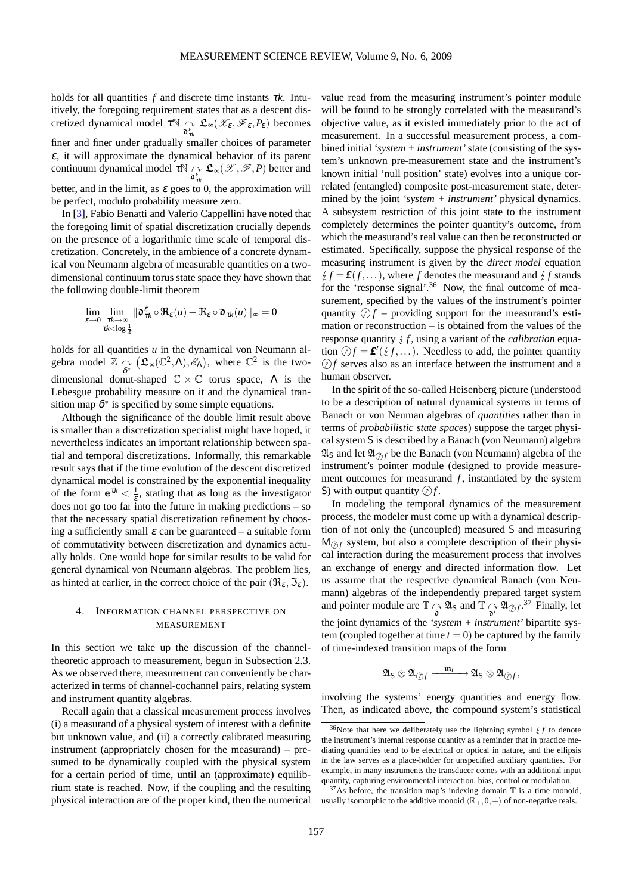holds for all quantities  $f$  and discrete time instants  $\tau k$ . Intuitively, the foregoing requirement states that as a descent discretized dynamical model  $\tau \mathbb{N} \underset{\mathfrak{d}_{tk}^{\varepsilon}}{\sim}$  $\mathfrak{L}_{\infty}(\mathscr{X}_{\varepsilon},\mathscr{F}_{\varepsilon},P_{\varepsilon})$  becomes finer and finer under gradually smaller choices of parameter  $\varepsilon$ , it will approximate the dynamical behavior of its parent continuum dynamical model  $\tau \mathbb{N} \bigcap_{\substack{\delta \\ \delta \tau_k}}$  $\mathfrak{L}_\infty(\mathscr{X}, \mathscr{F}, P)$  better and better, and in the limit, as  $\varepsilon$  goes to 0, the approximation will be perfect, modulo probability measure zero.

In [\[3\]](#page-27-12), Fabio Benatti and Valerio Cappellini have noted that the foregoing limit of spatial discretization crucially depends on the presence of a logarithmic time scale of temporal discretization. Concretely, in the ambience of a concrete dynamical von Neumann algebra of measurable quantities on a twodimensional continuum torus state space they have shown that the following double-limit theorem

$$
\lim_{\varepsilon \to 0} \lim_{\substack{\tau k \to \infty \\ \tau k < \log \frac{1}{\varepsilon}}} \|\mathfrak{d}^{\varepsilon}_{\tau k} \circ \Re_{\varepsilon}(u) - \Re_{\varepsilon} \circ \mathfrak{d}_{\tau k}(u)\|_{\infty} = 0
$$

holds for all quantities *u* in the dynamical von Neumann algebra model  $\mathbb{Z}$   $\underset{\delta^*}{\curvearrowright}$  $(\mathfrak{L}_{\infty}(\mathbb{C}^2,\Lambda),\mathscr{E}_{\Lambda})$ , where  $\mathbb{C}^2$  is the twodimensional donut-shaped  $\mathbb{C} \times \mathbb{C}$  torus space,  $\Lambda$  is the Lebesgue probability measure on it and the dynamical transition map  $\delta^*$  is specified by some simple equations.

Although the significance of the double limit result above is smaller than a discretization specialist might have hoped, it nevertheless indicates an important relationship between spatial and temporal discretizations. Informally, this remarkable result says that if the time evolution of the descent discretized dynamical model is constrained by the exponential inequality of the form  $e^{\tau k} < \frac{1}{\varepsilon}$ , stating that as long as the investigator does not go too far into the future in making predictions – so that the necessary spatial discretization refinement by choosing a sufficiently small  $\varepsilon$  can be guaranteed – a suitable form of commutativity between discretization and dynamics actually holds. One would hope for similar results to be valid for general dynamical von Neumann algebras. The problem lies, as hinted at earlier, in the correct choice of the pair  $(\Re_{\varepsilon}, \Im_{\varepsilon})$ .

# 4. INFORMATION CHANNEL PERSPECTIVE ON MEASUREMENT

In this section we take up the discussion of the channeltheoretic approach to measurement, begun in Subsection 2.3. As we observed there, measurement can conveniently be characterized in terms of channel-cochannel pairs, relating system and instrument quantity algebras.

Recall again that a classical measurement process involves (i) a measurand of a physical system of interest with a definite but unknown value, and (ii) a correctly calibrated measuring instrument (appropriately chosen for the measurand) – presumed to be dynamically coupled with the physical system for a certain period of time, until an (approximate) equilibrium state is reached. Now, if the coupling and the resulting physical interaction are of the proper kind, then the numerical

value read from the measuring instrument's pointer module will be found to be strongly correlated with the measurand's objective value, as it existed immediately prior to the act of measurement. In a successful measurement process, a combined initial *'system + instrument'* state (consisting of the system's unknown pre-measurement state and the instrument's known initial 'null position' state) evolves into a unique correlated (entangled) composite post-measurement state, determined by the joint *'system + instrument'* physical dynamics. A subsystem restriction of this joint state to the instrument completely determines the pointer quantity's outcome, from which the measurand's real value can then be reconstructed or estimated. Specifically, suppose the physical response of the measuring instrument is given by the *direct model* equation  $f$   $f = f(f, \ldots)$ , where *f* denotes the measurand and  $f$  *f* stands for the 'response signal'.<sup>[36](#page-23-0)</sup> Now, the final outcome of measurement, specified by the values of the instrument's pointer quantity  $\mathcal{D}f$  – providing support for the measurand's estimation or reconstruction – is obtained from the values of the response quantity  $f$ , using a variant of the *calibration* equation  $\mathcal{D}f = \mathbf{f}'(\mathcal{F}, \dots)$ . Needless to add, the pointer quantity  $Of$  serves also as an interface between the instrument and a human observer.

In the spirit of the so-called Heisenberg picture (understood to be a description of natural dynamical systems in terms of Banach or von Neuman algebras of *quantities* rather than in terms of *probabilistic state spaces*) suppose the target physical system S is described by a Banach (von Neumann) algebra  $\mathfrak{A}_S$  and let  $\mathfrak{A}_{\partial f}$  be the Banach (von Neumann) algebra of the instrument's pointer module (designed to provide measurement outcomes for measurand *f*, instantiated by the system S) with output quantity  $\mathcal{D}f$ .

In modeling the temporal dynamics of the measurement process, the modeler must come up with a dynamical description of not only the (uncoupled) measured S and measuring  $M_{\odot}$  system, but also a complete description of their physical interaction during the measurement process that involves an exchange of energy and directed information flow. Let us assume that the respective dynamical Banach (von Neumann) algebras of the independently prepared target system and pointer module are  $\mathbb{T} \underset{\mathbf{a}}{\curvearrowright} \mathfrak{A}_{\mathsf{S}}$  and  $\mathbb{T} \underset{\mathbf{a}'}{\curvearrowright} \mathfrak{A}_{\oslash f}$ .<sup>[37](#page-23-1)</sup> Finally, let the joint dynamics of the *'system + instrument'* bipartite system (coupled together at time  $t = 0$ ) be captured by the family of time-indexed transition maps of the form

$$
\mathfrak{A}_S\otimes\mathfrak{A}_{\textup{\textcircled{D}} f}\xrightarrow{\ \mathfrak{m}_t\ \ }\mathfrak{A}_S\otimes\mathfrak{A}_{\textup{\textcircled{D}} f},
$$

involving the systems' energy quantities and energy flow. Then, as indicated above, the compound system's statistical

<span id="page-23-0"></span><sup>&</sup>lt;sup>36</sup>Note that here we deliberately use the lightning symbol  $\frac{1}{2}f$  to denote the instrument's internal response quantity as a reminder that in practice mediating quantities tend to be electrical or optical in nature, and the ellipsis in the law serves as a place-holder for unspecified auxiliary quantities. For example, in many instruments the transducer comes with an additional input quantity, capturing environmental interaction, bias, control or modulation.

<span id="page-23-1"></span> $37$ As before, the transition map's indexing domain T is a time monoid, usually isomorphic to the additive monoid  $\langle \mathbb{R}_+,0,+\rangle$  of non-negative reals.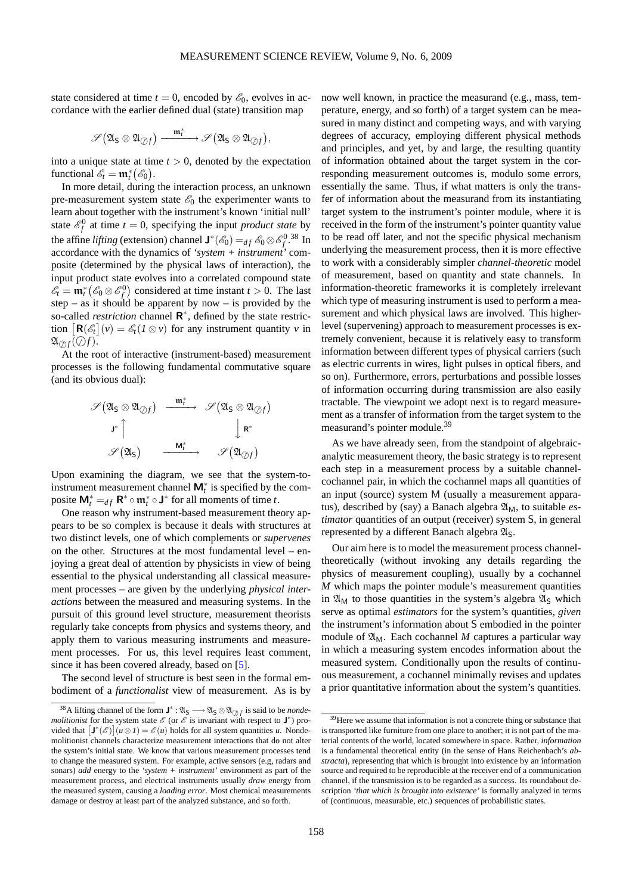state considered at time  $t = 0$ , encoded by  $\mathcal{E}_0$ , evolves in accordance with the earlier defined dual (state) transition map

$$
\mathscr{S}\big(\mathfrak{A}_S\otimes\mathfrak{A}_{\oslash f}\big)\xrightarrow{\mathfrak{m}_t^*}\mathscr{S}\big(\mathfrak{A}_S\otimes\mathfrak{A}_{\oslash f}\big),
$$

into a unique state at time  $t > 0$ , denoted by the expectation functional  $\mathscr{E}_t = \mathfrak{m}_t^* (\mathscr{E}_0)$ .

In more detail, during the interaction process, an unknown pre-measurement system state  $\mathscr{E}_0$  the experimenter wants to learn about together with the instrument's known 'initial null' state  $\mathcal{E}_f^0$  at time  $t = 0$ , specifying the input *product state* by the affine *lifting* (extension) channel  $J^*(\mathscr{E}_0) =_{df} \mathscr{E}_0 \otimes \mathscr{E}_f^0$ .<sup>[38](#page-24-0)</sup> In accordance with the dynamics of *'system + instrument'* composite (determined by the physical laws of interaction), the input product state evolves into a correlated compound state  $\mathscr{E}_t = \mathbf{m}_t^* (\mathscr{E}_0 \otimes \mathscr{E}_f^0)$  considered at time instant  $t > 0$ . The last step – as it should be apparent by now – is provided by the so-called *restriction* channel  $\mathbb{R}^*$ , defined by the state restriction  $\left[\mathbf{R}(\mathscr{E}_t](v) = \mathscr{E}_t(I \otimes v)$  for any instrument quantity *v* in  $\mathfrak{A}_{\mathcal{D}f}(\mathcal{D}f).$ 

At the root of interactive (instrument-based) measurement processes is the following fundamental commutative square (and its obvious dual):

$$
\begin{array}{ccc} \mathscr{S}(\mathfrak{A}_{\mathsf{S}}\otimes\mathfrak{A}_{\oslash f}) & \xrightarrow{\mathfrak{m}_t^*} & \mathscr{S}(\mathfrak{A}_{\mathsf{S}}\otimes\mathfrak{A}_{\oslash f}) \\ \mathsf{J}^*\upharpoonright & & \downarrow\mathsf{R}^* \\ \mathscr{S}(\mathfrak{A}_{\mathsf{S}}) & \xrightarrow{\mathsf{M}_t^*} & \mathscr{S}(\mathfrak{A}_{\oslash f}) \end{array}
$$

Upon examining the diagram, we see that the system-toinstrument measurement channel  $M_t^*$  is specified by the composite  $\mathbf{M}_t^* =_{df} \mathbf{R}^* \circ \mathbf{m}_t^* \circ \mathbf{J}^*$  for all moments of time *t*.

One reason why instrument-based measurement theory appears to be so complex is because it deals with structures at two distinct levels, one of which complements or *supervenes* on the other. Structures at the most fundamental level – enjoying a great deal of attention by physicists in view of being essential to the physical understanding all classical measurement processes – are given by the underlying *physical interactions* between the measured and measuring systems. In the pursuit of this ground level structure, measurement theorists regularly take concepts from physics and systems theory, and apply them to various measuring instruments and measurement processes. For us, this level requires least comment, since it has been covered already, based on [\[5\]](#page-27-2).

The second level of structure is best seen in the formal embodiment of a *functionalist* view of measurement. As is by now well known, in practice the measurand (e.g., mass, temperature, energy, and so forth) of a target system can be measured in many distinct and competing ways, and with varying degrees of accuracy, employing different physical methods and principles, and yet, by and large, the resulting quantity of information obtained about the target system in the corresponding measurement outcomes is, modulo some errors, essentially the same. Thus, if what matters is only the transfer of information about the measurand from its instantiating target system to the instrument's pointer module, where it is received in the form of the instrument's pointer quantity value to be read off later, and not the specific physical mechanism underlying the measurement process, then it is more effective to work with a considerably simpler *channel-theoretic* model of measurement, based on quantity and state channels. In information-theoretic frameworks it is completely irrelevant which type of measuring instrument is used to perform a measurement and which physical laws are involved. This higherlevel (supervening) approach to measurement processes is extremely convenient, because it is relatively easy to transform information between different types of physical carriers (such as electric currents in wires, light pulses in optical fibers, and so on). Furthermore, errors, perturbations and possible losses of information occurring during transmission are also easily tractable. The viewpoint we adopt next is to regard measurement as a transfer of information from the target system to the measurand's pointer module.[39](#page-24-1)

As we have already seen, from the standpoint of algebraicanalytic measurement theory, the basic strategy is to represent each step in a measurement process by a suitable channelcochannel pair, in which the cochannel maps all quantities of an input (source) system M (usually a measurement apparatus), described by (say) a Banach algebra  $\mathfrak{A}_M$ , to suitable *estimator* quantities of an output (receiver) system S, in general represented by a different Banach algebra  $\mathfrak{A}_S$ .

Our aim here is to model the measurement process channeltheoretically (without invoking any details regarding the physics of measurement coupling), usually by a cochannel *M* which maps the pointer module's measurement quantities in  $\mathfrak{A}_{M}$  to those quantities in the system's algebra  $\mathfrak{A}_{S}$  which serve as optimal *estimators* for the system's quantities, *given* the instrument's information about S embodied in the pointer module of  $\mathfrak{A}_{M}$ . Each cochannel *M* captures a particular way in which a measuring system encodes information about the measured system. Conditionally upon the results of continuous measurement, a cochannel minimally revises and updates a prior quantitative information about the system's quantities.

<span id="page-24-0"></span><sup>&</sup>lt;sup>38</sup>A lifting channel of the form  $J^* : \mathfrak{A}_S \longrightarrow \mathfrak{A}_S \otimes \mathfrak{A}_{\mathcal{Q},f}$  is said to be *nondemolitionist* for the system state  $\mathscr E$  (or  $\mathscr E$  is invariant with respect to  $J^*$ ) provided that  $[J^*(\mathscr{E})](u \otimes I) = \mathscr{E}(u)$  holds for all system quantities *u*. Nondemolitionist channels characterize measurement interactions that do not alter the system's initial state. We know that various measurement processes tend to change the measured system. For example, active sensors (e.g, radars and sonars) *add* energy to the *'system + instrument'* environment as part of the measurement process, and electrical instruments usually *draw* energy from the measured system, causing a *loading error*. Most chemical measurements damage or destroy at least part of the analyzed substance, and so forth.

<span id="page-24-1"></span><sup>&</sup>lt;sup>39</sup>Here we assume that information is not a concrete thing or substance that is transported like furniture from one place to another; it is not part of the material contents of the world, located somewhere in space. Rather, *information* is a fundamental theoretical entity (in the sense of Hans Reichenbach's *abstracta*), representing that which is brought into existence by an information source and required to be reproducible at the receiver end of a communication channel, if the transmission is to be regarded as a success. Its roundabout description *'that which is brought into existence'* is formally analyzed in terms of (continuous, measurable, etc.) sequences of probabilistic states.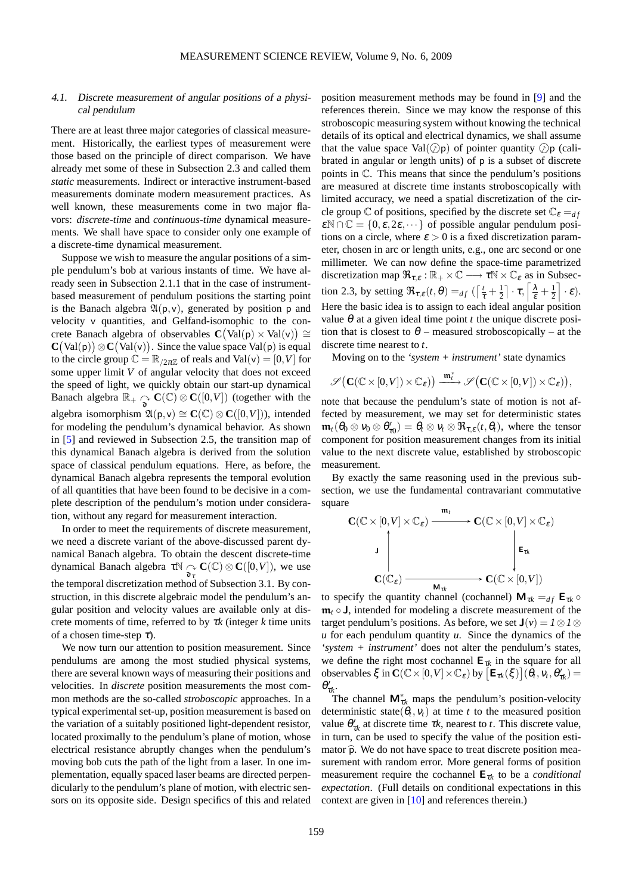# 4.1. Discrete measurement of angular positions of a physical pendulum

There are at least three major categories of classical measurement. Historically, the earliest types of measurement were those based on the principle of direct comparison. We have already met some of these in Subsection 2.3 and called them *static* measurements. Indirect or interactive instrument-based measurements dominate modern measurement practices. As well known, these measurements come in two major flavors: *discrete-time* and *continuous-time* dynamical measurements. We shall have space to consider only one example of a discrete-time dynamical measurement.

Suppose we wish to measure the angular positions of a simple pendulum's bob at various instants of time. We have already seen in Subsection 2.1.1 that in the case of instrumentbased measurement of pendulum positions the starting point is the Banach algebra  $\mathfrak{A}(p,v)$ , generated by position p and velocity v quantities, and Gelfand-isomophic to the concrete Banach algebra of observables  $C(Val(p) \times Val(v)) \cong$  $\mathbf{C}(\text{Val}(\mathsf{p})) \otimes \mathbf{C}(\text{Val}(\mathsf{v}))$ . Since the value space Val(p) is equal to the circle group  $\mathbb{C} = \mathbb{R}_{/2\pi\mathbb{Z}}$  of reals and Val(v) = [0, V] for some upper limit *V* of angular velocity that does not exceed the speed of light, we quickly obtain our start-up dynamical Banach algebra  $\mathbb{R}_+ \underset{\delta}{\curvearrowright} \mathbf{C}(\mathbb{C}) \otimes \mathbf{C}([0,V])$  (together with the algebra isomorphism  $\mathfrak{A}(\mathsf{p},\mathsf{v}) \cong \mathbf{C}(\mathbb{C}) \otimes \mathbf{C}([0,V]),$  intended for modeling the pendulum's dynamical behavior. As shown in [\[5\]](#page-27-2) and reviewed in Subsection 2.5, the transition map of this dynamical Banach algebra is derived from the solution space of classical pendulum equations. Here, as before, the dynamical Banach algebra represents the temporal evolution of all quantities that have been found to be decisive in a complete description of the pendulum's motion under consideration, without any regard for measurement interaction.

In order to meet the requirements of discrete measurement, we need a discrete variant of the above-discussed parent dynamical Banach algebra. To obtain the descent discrete-time dynamical Banach algebra  $\tau \mathbb{N} \underset{\mathbf{\hat{o}}_{\tau}}{\curvearrowright} \mathbf{C}(\mathbb{C}) \otimes \mathbf{C}([0,V])$ , we use the temporal discretization method of Subsection 3.1. By construction, in this discrete algebraic model the pendulum's angular position and velocity values are available only at discrete moments of time, referred to by <sup>τ</sup>*k* (integer *k* time units of a chosen time-step  $\tau$ ).

We now turn our attention to position measurement. Since pendulums are among the most studied physical systems, there are several known ways of measuring their positions and velocities. In *discrete* position measurements the most common methods are the so-called *stroboscopic* approaches. In a typical experimental set-up, position measurement is based on the variation of a suitably positioned light-dependent resistor, located proximally to the pendulum's plane of motion, whose electrical resistance abruptly changes when the pendulum's moving bob cuts the path of the light from a laser. In one implementation, equally spaced laser beams are directed perpendicularly to the pendulum's plane of motion, with electric sensors on its opposite side. Design specifics of this and related position measurement methods may be found in [\[9\]](#page-27-13) and the references therein. Since we may know the response of this stroboscopic measuring system without knowing the technical details of its optical and electrical dynamics, we shall assume that the value space  $Val(\mathcal{D}p)$  of pointer quantity  $\mathcal{D}p$  (calibrated in angular or length units) of p is a subset of discrete points in C. This means that since the pendulum's positions are measured at discrete time instants stroboscopically with limited accuracy, we need a spatial discretization of the circle group  $\mathbb C$  of positions, specified by the discrete set  $\mathbb C_{\varepsilon} =_{df}$  $\mathcal{E} \mathbb{N} \cap \mathbb{C} = \{0, \varepsilon, 2\varepsilon, \dots\}$  of possible angular pendulum positions on a circle, where  $\varepsilon > 0$  is a fixed discretization parameter, chosen in arc or length units, e.g., one arc second or one millimeter. We can now define the space-time parametrized discretization map  $\mathfrak{R}_{\tau,\varepsilon} : \mathbb{R}_+ \times \mathbb{C} \longrightarrow \tau \mathbb{N} \times \mathbb{C}_{\varepsilon}$  as in Subsection 2.3, by setting  $\Re_{\tau,\varepsilon}(t,\theta) =_{df} \left( \left[ \frac{t}{\tau} + \frac{1}{2} \right] \cdot \tau, \left[ \frac{\lambda}{\varepsilon} + \frac{1}{2} \right] \right)$  $\bigg] \cdot \varepsilon$ ). Here the basic idea is to assign to each ideal angular position value  $\theta$  at a given ideal time point *t* the unique discrete position that is closest to  $\theta$  – measured stroboscopically – at the discrete time nearest to *t*.

Moving on to the *'system + instrument'* state dynamics

$$
\mathscr{S}\big(\mathbf{C}(\mathbb{C}\times[0,V])\times\mathbb{C}_{\varepsilon})\big)\xrightarrow{\mathfrak{m}_{t}^*}\mathscr{S}\big(\mathbf{C}(\mathbb{C}\times[0,V])\times\mathbb{C}_{\varepsilon})\big),
$$

note that because the pendulum's state of motion is not affected by measurement, we may set for deterministic states  $\mathfrak{m}_t(\theta_0 \otimes v_0 \otimes \theta'_{\tau 0}) = \theta_t \otimes v_t \otimes \mathfrak{R}_{\tau,\varepsilon}(t,\theta_t)$ , where the tensor component for position measurement changes from its initial value to the next discrete value, established by stroboscopic measurement.

By exactly the same reasoning used in the previous subsection, we use the fundamental contravariant commutative square

$$
\mathbf{C}(\mathbb{C}\times[0,V]\times\mathbb{C}_{\varepsilon})\xrightarrow{\mathfrak{m}_{t}}\mathbf{C}(\mathbb{C}\times[0,V]\times\mathbb{C}_{\varepsilon})
$$
\n
$$
\downarrow \qquad \qquad \downarrow \qquad \qquad \downarrow \qquad \qquad \downarrow \qquad \qquad \downarrow \qquad \qquad \downarrow
$$
\n
$$
\mathbf{C}(\mathbb{C}_{\varepsilon})\xrightarrow{\mathbf{M}_{tk}}\mathbf{C}(\mathbb{C}\times[0,V])
$$

to specify the quantity channel (cochannel)  $M_{\tau k} =_{df} E_{\tau k}$  ං  $\mathfrak{m}_t \circ \mathsf{J}$ , intended for modeling a discrete measurement of the target pendulum's positions. As before, we set  $\mathbf{J}(v) = 1 \otimes 1 \otimes$ *u* for each pendulum quantity *u*. Since the dynamics of the *'system + instrument'* does not alter the pendulum's states, we define the right most cochannel  $E_{\tau k}$  in the square for all observables  $\xi$  in  $\mathbf{C}(\mathbb{C}\times[0,V]\times\mathbb{C}_{\varepsilon})$  by  $\left[\mathbf{E}_{\tau k}(\xi)\right](\hat{\theta}_t,v_t,\theta_{\tau k}')=$  $\theta'_{\tau k}$ .

The channel  $\mathbf{M}_{\tau k}^*$  maps the pendulum's position-velocity deterministic state( $\theta_t$ ,  $v_t$ ) at time *t* to the measured position value  $\theta'_{\tau k}$  at discrete time  $\tau k$ , nearest to *t*. This discrete value, in turn, can be used to specify the value of the position estimator  $\hat{p}$ . We do not have space to treat discrete position measurement with random error. More general forms of position measurement require the cochannel  $E_{\tau k}$  to be a *conditional expectation*. (Full details on conditional expectations in this context are given in [\[10\]](#page-27-14) and references therein.)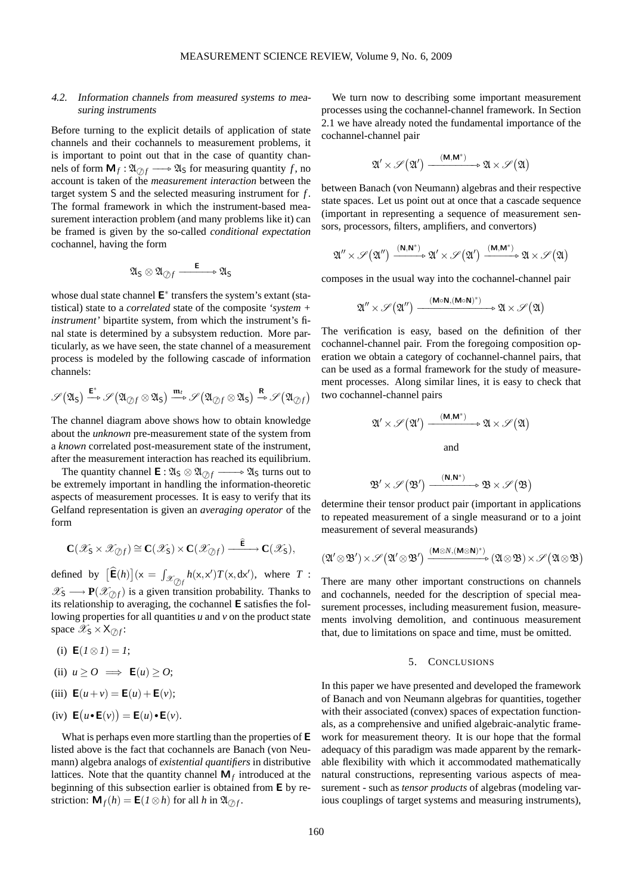# 4.2. Information channels from measured systems to measuring instruments

Before turning to the explicit details of application of state channels and their cochannels to measurement problems, it is important to point out that in the case of quantity channels of form  $M_f : \mathfrak{A}_{\mathcal{O}f} \longrightarrow \mathfrak{A}_{S}$  for measuring quantity *f*, no account is taken of the *measurement interaction* between the target system S and the selected measuring instrument for *f* . The formal framework in which the instrument-based measurement interaction problem (and many problems like it) can be framed is given by the so-called *conditional expectation* cochannel, having the form

$$
\mathfrak{A}_\mathsf{S}\otimes\mathfrak{A}_{\oslash f}\xrightarrow{\qquad \qquad \mathsf{E}} \mathfrak{A}_\mathsf{S}
$$

whose dual state channel  $E^*$  transfers the system's extant (statistical) state to a *correlated* state of the composite *'system + instrument'* bipartite system, from which the instrument's final state is determined by a subsystem reduction. More particularly, as we have seen, the state channel of a measurement process is modeled by the following cascade of information channels:

$$
\mathscr{S}(\mathfrak{A}_\mathsf{S}) \xrightarrow{\mathbf{E}^*} \mathscr{S}(\mathfrak{A}_{\text{op}} \otimes \mathfrak{A}_\mathsf{S}) \xrightarrow{\mathfrak{m}_t} \mathscr{S}(\mathfrak{A}_{\text{op}} \otimes \mathfrak{A}_\mathsf{S}) \xrightarrow{\mathbf{R}} \mathscr{S}(\mathfrak{A}_{\text{op}})
$$

The channel diagram above shows how to obtain knowledge about the *unknown* pre-measurement state of the system from a *known* correlated post-measurement state of the instrument, after the measurement interaction has reached its equilibrium.

The quantity channel  $\mathbf{E} : \mathfrak{A}_S \otimes \mathfrak{A}_{\partial f} \longrightarrow \mathfrak{A}_S$  turns out to be extremely important in handling the information-theoretic aspects of measurement processes. It is easy to verify that its Gelfand representation is given an *averaging operator* of the form

$$
\mathbf{C}(\mathscr{X}_{\mathsf{S}}\times\mathscr{X}_{\mathscr{D}f})\cong\mathbf{C}(\mathscr{X}_{\mathsf{S}})\times\mathbf{C}(\mathscr{X}_{\mathscr{D}f})\xrightarrow{\quad \widehat{\mathsf{E}}}\mathbf{C}(\mathscr{X}_{\mathsf{S}}),
$$

defined by  $\left[\hat{\mathbf{E}}(h)\right](x) = \int_{\mathcal{X}_{\text{opt}}} h(x, x') T(x, dx'),$  where *T* :  $\mathscr{X}_{\mathsf{S}} \longrightarrow \mathbf{P}(\mathscr{X}_{\mathcal{O}_1 f})$  is a given transition probability. Thanks to its relationship to averaging, the cochannel E satisfies the following properties for all quantities *u* and *v* on the product state space  $\mathscr{X}_{\mathsf{S}} \times \mathsf{X}_{\mathcal{D}f}$ :

(i)  $E(I \otimes I) = I;$ 

(ii) 
$$
u \geq 0 \implies \mathsf{E}(u) \geq 0;
$$

(iii) 
$$
E(u + v) = E(u) + E(v);
$$

(iv) 
$$
\mathbf{E}(u \cdot \mathbf{E}(v)) = \mathbf{E}(u) \cdot \mathbf{E}(v)
$$
.

What is perhaps even more startling than the properties of E listed above is the fact that cochannels are Banach (von Neumann) algebra analogs of *existential quantifiers* in distributive lattices. Note that the quantity channel  $M_f$  introduced at the beginning of this subsection earlier is obtained from E by restriction:  $\mathbf{M}_f(h) = \mathbf{E}(I \otimes h)$  for all *h* in  $\mathfrak{A}_{\mathcal{D}f}$ .

We turn now to describing some important measurement processes using the cochannel-channel framework. In Section 2.1 we have already noted the fundamental importance of the cochannel-channel pair

$$
\mathfrak{A}'\times\mathscr{S}\big(\mathfrak{A}'\big)\xrightarrow{\phantom{a}(\mathbf{M},\mathbf{M}^*)\phantom{a}}\mathfrak{A}\times\mathscr{S}\big(\mathfrak{A}\big)
$$

between Banach (von Neumann) algebras and their respective state spaces. Let us point out at once that a cascade sequence (important in representing a sequence of measurement sensors, processors, filters, amplifiers, and convertors)

$$
\mathfrak{A}''\times\mathscr{S}\big(\mathfrak{A}''\big)\xrightarrow{(\mathbf{N},\mathbf{N}^*)}\mathfrak{A}'\times\mathscr{S}\big(\mathfrak{A}'\big)\xrightarrow{(\mathbf{M},\mathbf{M}^*)}\mathfrak{A}\times\mathscr{S}\big(\mathfrak{A}\big)
$$

composes in the usual way into the cochannel-channel pair

$$
\mathfrak{A}''\times\mathscr{S}\big(\mathfrak{A}''\big)\xrightarrow{\quad\mathsf{(M}\circ\mathsf{N},\mathsf{(M}\circ\mathsf{N})^*)}\mathfrak{A}\times\mathscr{S}\big(\mathfrak{A}\big)
$$

The verification is easy, based on the definition of ther cochannel-channel pair. From the foregoing composition operation we obtain a category of cochannel-channel pairs, that can be used as a formal framework for the study of measurement processes. Along similar lines, it is easy to check that two cochannel-channel pairs

$$
\mathfrak{A}' \times \mathscr{S}(\mathfrak{A}') \xrightarrow{\phantom{a}(\mathbf{M}, \mathbf{M}^*)} \mathfrak{A} \times \mathscr{S}(\mathfrak{A})
$$
  
and

$$
\mathfrak{B}'\times\mathscr{S}\big(\mathfrak{B}'\big)\xrightarrow{\phantom{a}(\mathbf{N},\mathbf{N}^*)\phantom{a}}\mathfrak{B}\times\mathscr{S}\big(\mathfrak{B}\big)
$$

determine their tensor product pair (important in applications to repeated measurement of a single measurand or to a joint measurement of several measurands)

$$
(\mathfrak{A}' \otimes \mathfrak{B}') \times \mathscr{S} (\mathfrak{A}' \otimes \mathfrak{B}') \xrightarrow{(\mathsf{M} \otimes N, (\mathsf{M} \otimes \mathsf{N})^*)} (\mathfrak{A} \otimes \mathfrak{B}) \times \mathscr{S} (\mathfrak{A} \otimes \mathfrak{B})
$$

There are many other important constructions on channels and cochannels, needed for the description of special measurement processes, including measurement fusion, measurements involving demolition, and continuous measurement that, due to limitations on space and time, must be omitted.

#### 5. CONCLUSIONS

In this paper we have presented and developed the framework of Banach and von Neumann algebras for quantities, together with their associated (convex) spaces of expectation functionals, as a comprehensive and unified algebraic-analytic framework for measurement theory. It is our hope that the formal adequacy of this paradigm was made apparent by the remarkable flexibility with which it accommodated mathematically natural constructions, representing various aspects of measurement - such as *tensor products* of algebras (modeling various couplings of target systems and measuring instruments),